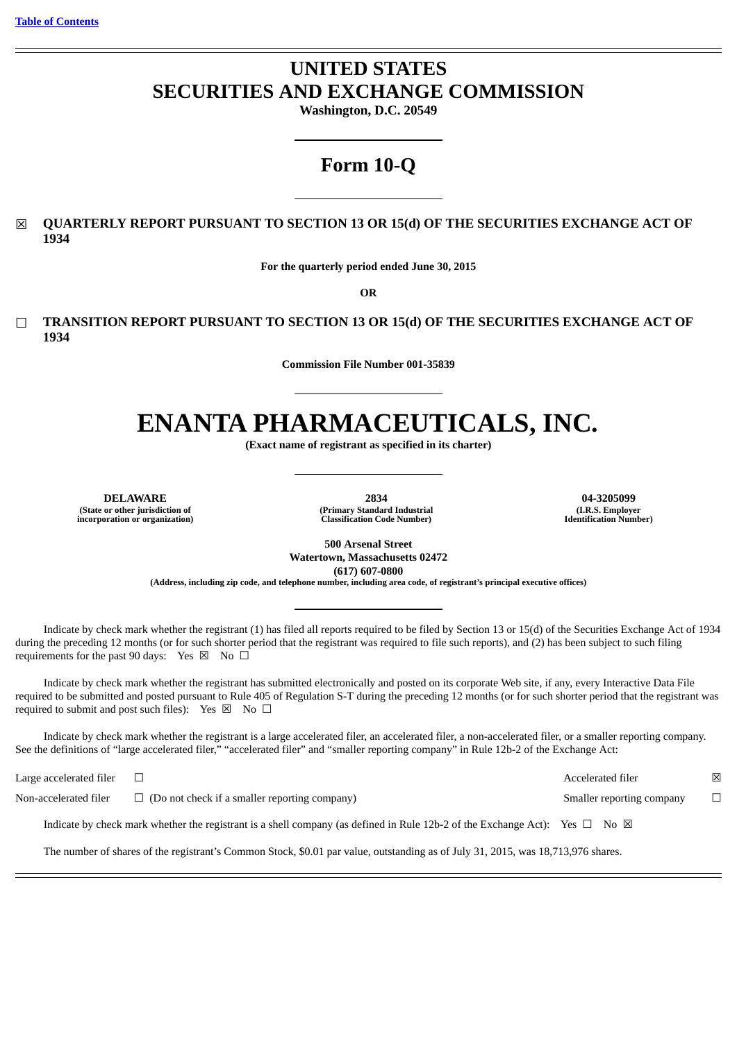# **UNITED STATES SECURITIES AND EXCHANGE COMMISSION**

**Washington, D.C. 20549**

## **Form 10-Q**

☒ **QUARTERLY REPORT PURSUANT TO SECTION 13 OR 15(d) OF THE SECURITIES EXCHANGE ACT OF 1934**

**For the quarterly period ended June 30, 2015**

**OR**

☐ **TRANSITION REPORT PURSUANT TO SECTION 13 OR 15(d) OF THE SECURITIES EXCHANGE ACT OF 1934**

**Commission File Number 001-35839**

# **ENANTA PHARMACEUTICALS, INC.**

**(Exact name of registrant as specified in its charter)**

**(State or other jurisdiction of incorporation or organization)**

**DELAWARE 2834 04-3205099 (Primary Standard Industrial Classification Code Number)**

**(I.R.S. Employer Identification Number)**

**500 Arsenal Street Watertown, Massachusetts 02472 (617) 607-0800**

**(Address, including zip code, and telephone number, including area code, of registrant's principal executive offices)**

Indicate by check mark whether the registrant (1) has filed all reports required to be filed by Section 13 or 15(d) of the Securities Exchange Act of 1934 during the preceding 12 months (or for such shorter period that the registrant was required to file such reports), and (2) has been subject to such filing requirements for the past 90 days: Yes  $\boxtimes$  No  $\Box$ 

Indicate by check mark whether the registrant has submitted electronically and posted on its corporate Web site, if any, every Interactive Data File required to be submitted and posted pursuant to Rule 405 of Regulation S-T during the preceding 12 months (or for such shorter period that the registrant was required to submit and post such files): Yes  $\boxtimes$  No  $\Box$ 

Indicate by check mark whether the registrant is a large accelerated filer, an accelerated filer, a non-accelerated filer, or a smaller reporting company. See the definitions of "large accelerated filer," "accelerated filer" and "smaller reporting company" in Rule 12b-2 of the Exchange Act:

| Large accelerated filer |                                                                                                                                            | Accelerated filer         | ⊠ |
|-------------------------|--------------------------------------------------------------------------------------------------------------------------------------------|---------------------------|---|
| Non-accelerated filer   | $\Box$ (Do not check if a smaller reporting company)                                                                                       | Smaller reporting company |   |
|                         | Indicate by check mark whether the registrant is a shell company (as defined in Rule 12b-2 of the Exchange Act): Yes $\Box$ No $\boxtimes$ |                           |   |

The number of shares of the registrant's Common Stock, \$0.01 par value, outstanding as of July 31, 2015, was 18,713,976 shares.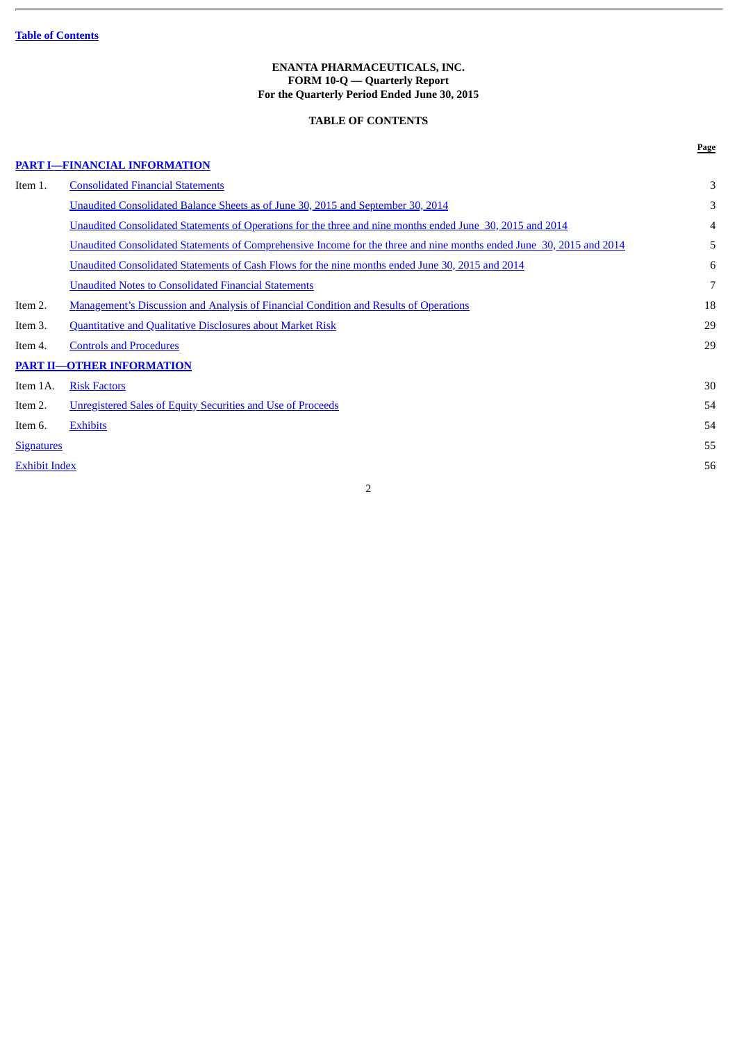## **ENANTA PHARMACEUTICALS, INC. FORM 10-Q — Quarterly Report For the Quarterly Period Ended June 30, 2015**

## **TABLE OF CONTENTS**

<span id="page-1-0"></span>

|                      |                                                                                                                      | Page |
|----------------------|----------------------------------------------------------------------------------------------------------------------|------|
|                      | <b>PART I-FINANCIAL INFORMATION</b>                                                                                  |      |
| Item 1.              | <b>Consolidated Financial Statements</b>                                                                             | 3    |
|                      | Unaudited Consolidated Balance Sheets as of June 30, 2015 and September 30, 2014                                     | 3    |
|                      | Unaudited Consolidated Statements of Operations for the three and nine months ended June 30, 2015 and 2014           | 4    |
|                      | Unaudited Consolidated Statements of Comprehensive Income for the three and nine months ended June 30, 2015 and 2014 | 5    |
|                      | Unaudited Consolidated Statements of Cash Flows for the nine months ended June 30, 2015 and 2014                     | 6    |
|                      | <b>Unaudited Notes to Consolidated Financial Statements</b>                                                          | 7    |
| Item 2.              | <b>Management's Discussion and Analysis of Financial Condition and Results of Operations</b>                         | 18   |
| Item 3.              | <b>Quantitative and Qualitative Disclosures about Market Risk</b>                                                    | 29   |
| Item 4.              | <b>Controls and Procedures</b>                                                                                       | 29   |
| <b>PART II-</b>      | <b>-OTHER INFORMATION</b>                                                                                            |      |
| Item 1A.             | <b>Risk Factors</b>                                                                                                  | 30   |
| Item 2.              | <b>Unregistered Sales of Equity Securities and Use of Proceeds</b>                                                   | 54   |
| Item 6.              | <b>Exhibits</b>                                                                                                      | 54   |
| <b>Signatures</b>    |                                                                                                                      | 55   |
| <b>Exhibit Index</b> |                                                                                                                      | 56   |
|                      |                                                                                                                      |      |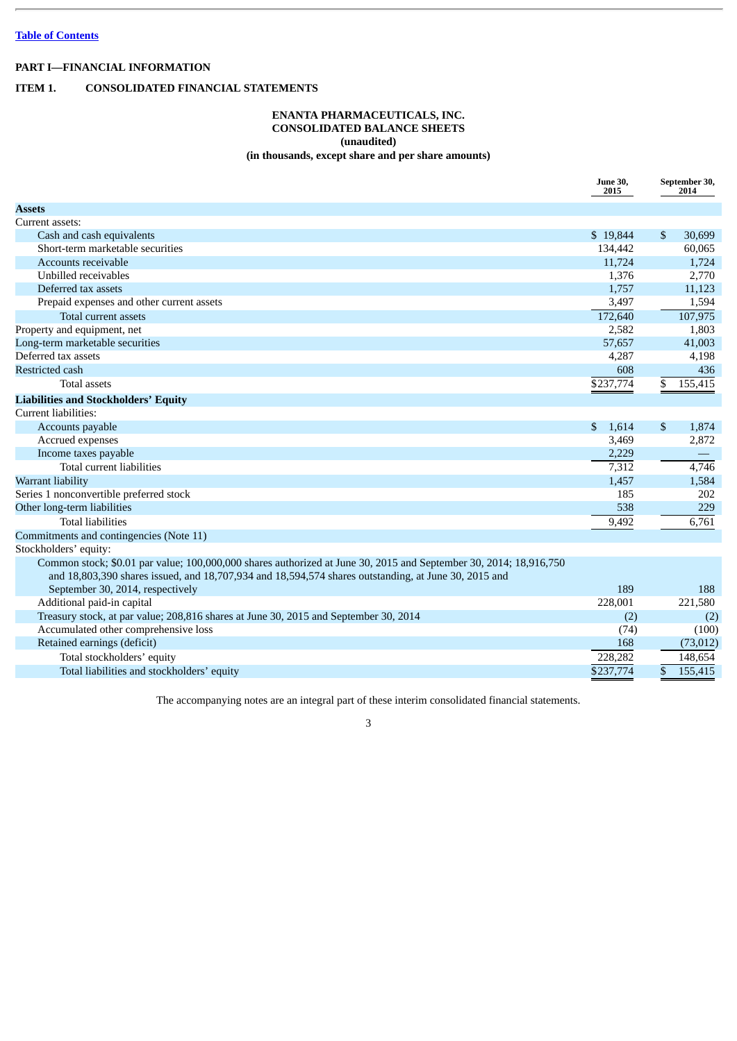## <span id="page-2-0"></span>**PART I—FINANCIAL INFORMATION**

## <span id="page-2-2"></span><span id="page-2-1"></span>**ITEM 1. CONSOLIDATED FINANCIAL STATEMENTS**

## **ENANTA PHARMACEUTICALS, INC. CONSOLIDATED BALANCE SHEETS (unaudited) (in thousands, except share and per share amounts)**

|                                                                                                                   | <b>June 30,</b><br>2015 |                | September 30,<br>2014 |
|-------------------------------------------------------------------------------------------------------------------|-------------------------|----------------|-----------------------|
| <b>Assets</b>                                                                                                     |                         |                |                       |
| Current assets:                                                                                                   |                         |                |                       |
| Cash and cash equivalents                                                                                         | \$19,844                | $\mathfrak{S}$ | 30,699                |
| Short-term marketable securities                                                                                  | 134,442                 |                | 60,065                |
| Accounts receivable                                                                                               | 11.724                  |                | 1,724                 |
| Unbilled receivables                                                                                              | 1,376                   |                | 2,770                 |
| Deferred tax assets                                                                                               | 1,757                   |                | 11,123                |
| Prepaid expenses and other current assets                                                                         | 3,497                   |                | 1,594                 |
| Total current assets                                                                                              | 172,640                 |                | 107,975               |
| Property and equipment, net                                                                                       | 2,582                   |                | 1,803                 |
| Long-term marketable securities                                                                                   | 57,657                  |                | 41,003                |
| Deferred tax assets                                                                                               | 4,287                   |                | 4,198                 |
| <b>Restricted cash</b>                                                                                            | 608                     |                | 436                   |
| <b>Total assets</b>                                                                                               | \$237,774               | \$             | 155,415               |
| <b>Liabilities and Stockholders' Equity</b>                                                                       |                         |                |                       |
| Current liabilities:                                                                                              |                         |                |                       |
| Accounts payable                                                                                                  | $\mathbb{S}$<br>1,614   | $\mathfrak{S}$ | 1,874                 |
| Accrued expenses                                                                                                  | 3,469                   |                | 2,872                 |
| Income taxes payable                                                                                              | 2,229                   |                |                       |
| Total current liabilities                                                                                         | 7,312                   |                | 4,746                 |
| Warrant liability                                                                                                 | 1,457                   |                | 1,584                 |
| Series 1 nonconvertible preferred stock                                                                           | 185                     |                | 202                   |
| Other long-term liabilities                                                                                       | 538                     |                | 229                   |
| <b>Total liabilities</b>                                                                                          | 9,492                   |                | 6,761                 |
| Commitments and contingencies (Note 11)                                                                           |                         |                |                       |
| Stockholders' equity:                                                                                             |                         |                |                       |
| Common stock; \$0.01 par value; 100,000,000 shares authorized at June 30, 2015 and September 30, 2014; 18,916,750 |                         |                |                       |
| and 18,803,390 shares issued, and 18,707,934 and 18,594,574 shares outstanding, at June 30, 2015 and              |                         |                |                       |
| September 30, 2014, respectively                                                                                  | 189                     |                | 188                   |
| Additional paid-in capital                                                                                        | 228,001                 |                | 221,580               |
| Treasury stock, at par value; 208,816 shares at June 30, 2015 and September 30, 2014                              | (2)                     |                | (2)                   |
| Accumulated other comprehensive loss                                                                              | (74)                    |                | (100)                 |
| Retained earnings (deficit)                                                                                       | 168                     |                | (73, 012)             |
| Total stockholders' equity                                                                                        | 228,282                 |                | 148,654               |
| Total liabilities and stockholders' equity                                                                        | \$237,774               | \$             | 155,415               |

The accompanying notes are an integral part of these interim consolidated financial statements.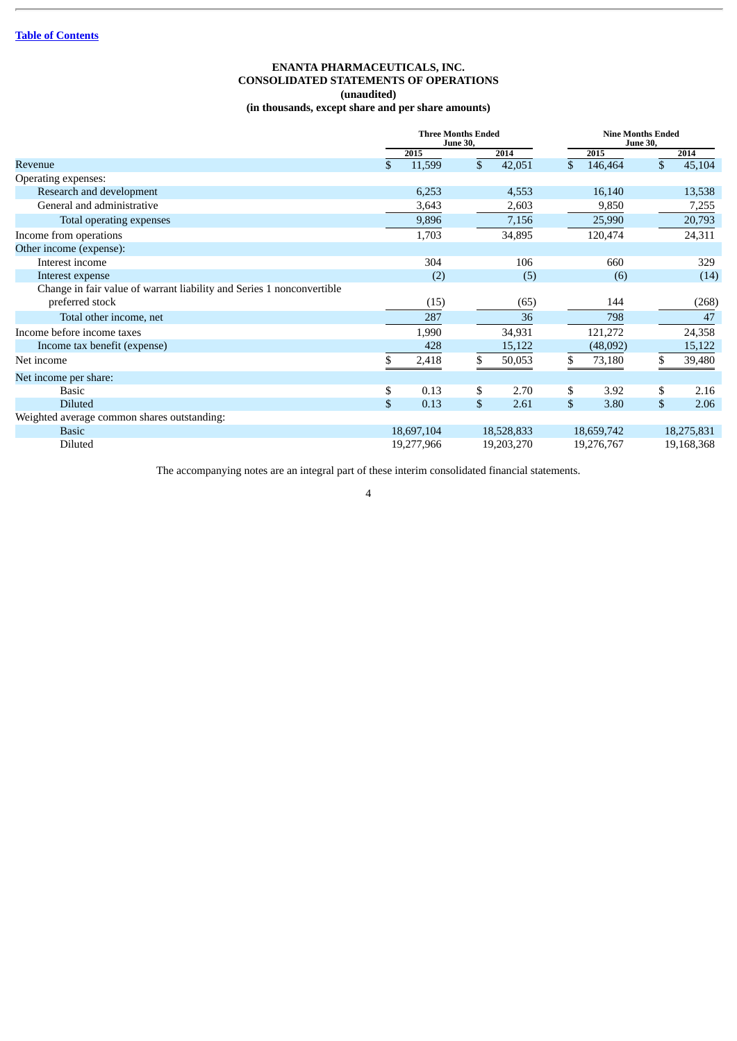## **ENANTA PHARMACEUTICALS, INC. CONSOLIDATED STATEMENTS OF OPERATIONS (unaudited) (in thousands, except share and per share amounts)**

<span id="page-3-0"></span>

|                                                                       |              | <b>Three Months Ended</b><br><b>June 30,</b> |      |            |                | <b>Nine Months Ended</b><br><b>June 30,</b> |            |            |  |
|-----------------------------------------------------------------------|--------------|----------------------------------------------|------|------------|----------------|---------------------------------------------|------------|------------|--|
|                                                                       |              | 2015                                         | 2014 |            | 2015           |                                             |            | 2014       |  |
| Revenue                                                               | \$           | 11,599                                       | \$   | 42,051     | $\mathbb{S}^-$ | 146,464                                     | \$         | 45,104     |  |
| Operating expenses:                                                   |              |                                              |      |            |                |                                             |            |            |  |
| Research and development                                              |              | 6,253                                        |      | 4,553      |                | 16,140                                      |            | 13,538     |  |
| General and administrative                                            |              | 3,643                                        |      | 2,603      |                | 9,850                                       |            | 7,255      |  |
| Total operating expenses                                              |              | 9,896                                        |      | 7,156      |                | 25,990                                      |            | 20,793     |  |
| Income from operations                                                |              | 1,703                                        |      | 34,895     |                | 120,474                                     |            | 24,311     |  |
| Other income (expense):                                               |              |                                              |      |            |                |                                             |            |            |  |
| Interest income                                                       |              | 304                                          |      | 106        |                | 660                                         |            | 329        |  |
| Interest expense                                                      |              | (2)                                          |      | (5)        |                | (6)                                         |            | (14)       |  |
| Change in fair value of warrant liability and Series 1 nonconvertible |              |                                              |      |            |                |                                             |            |            |  |
| preferred stock                                                       |              | (15)                                         |      | (65)       |                | 144                                         |            | (268)      |  |
| Total other income, net                                               |              | 287                                          |      | 36         |                | 798                                         |            | 47         |  |
| Income before income taxes                                            |              | 1,990                                        |      | 34,931     |                | 121,272                                     |            | 24,358     |  |
| Income tax benefit (expense)                                          |              | 428                                          |      | 15,122     |                | (48,092)                                    |            | 15,122     |  |
| Net income                                                            |              | 2,418                                        | \$.  | 50,053     | \$             | 73,180                                      | \$         | 39,480     |  |
| Net income per share:                                                 |              |                                              |      |            |                |                                             |            |            |  |
| <b>Basic</b>                                                          | \$           | 0.13                                         | \$   | 2.70       | \$             | 3.92                                        | \$         | 2.16       |  |
| <b>Diluted</b>                                                        | $\mathbb{S}$ | 0.13                                         | \$   | 2.61       | \$             | 3.80                                        | \$         | 2.06       |  |
| Weighted average common shares outstanding:                           |              |                                              |      |            |                |                                             |            |            |  |
| <b>Basic</b>                                                          |              | 18,697,104                                   |      | 18,528,833 |                | 18,659,742                                  | 18,275,831 |            |  |
| Diluted                                                               |              | 19,277,966                                   |      | 19,203,270 |                | 19,276,767                                  |            | 19,168,368 |  |

The accompanying notes are an integral part of these interim consolidated financial statements.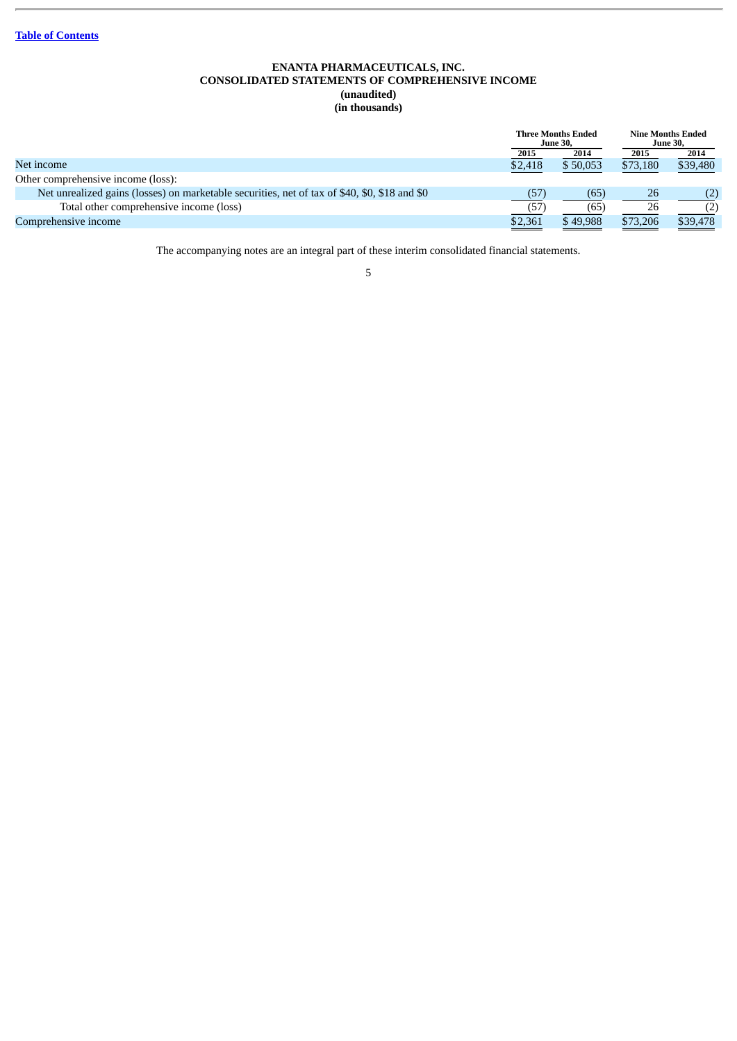#### **ENANTA PHARMACEUTICALS, INC. CONSOLIDATED STATEMENTS OF COMPREHENSIVE INCOME (unaudited) (in thousands)**

<span id="page-4-0"></span>

|                                                                                               |         | <b>Three Months Ended</b><br><b>June 30.</b> | <b>Nine Months Ended</b><br><b>June 30.</b> |          |  |
|-----------------------------------------------------------------------------------------------|---------|----------------------------------------------|---------------------------------------------|----------|--|
|                                                                                               | 2015    | 2014                                         | 2015                                        | 2014     |  |
| Net income                                                                                    | \$2,418 | \$50.053                                     | \$73,180                                    | \$39,480 |  |
| Other comprehensive income (loss):                                                            |         |                                              |                                             |          |  |
| Net unrealized gains (losses) on marketable securities, net of tax of \$40, \$0, \$18 and \$0 | 57      | (65)                                         | 26                                          | (2)      |  |
| Total other comprehensive income (loss)                                                       | (57     | (65)                                         | 26                                          | (2)      |  |
| Comprehensive income                                                                          | \$2,361 | \$49,988                                     | \$73,206                                    | \$39,478 |  |

The accompanying notes are an integral part of these interim consolidated financial statements.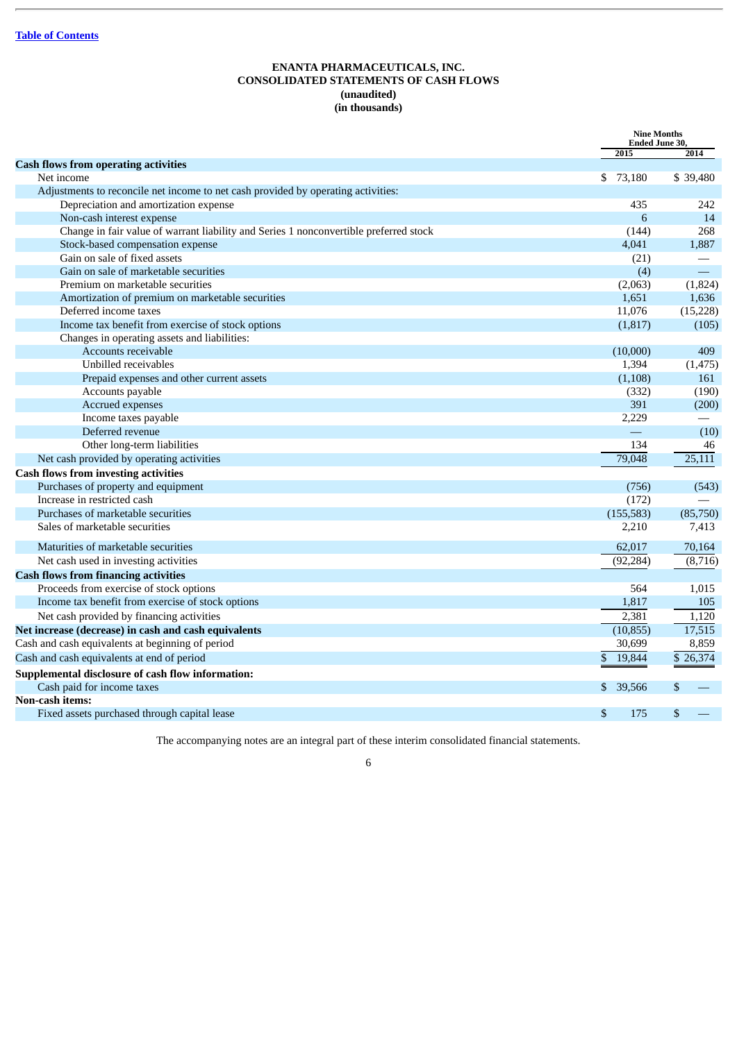## **ENANTA PHARMACEUTICALS, INC. CONSOLIDATED STATEMENTS OF CASH FLOWS (unaudited) (in thousands)**

<span id="page-5-0"></span>

|                                                                                       | <b>Nine Months</b><br>Ended June 30, |                       |
|---------------------------------------------------------------------------------------|--------------------------------------|-----------------------|
|                                                                                       | 2015                                 | 2014                  |
| <b>Cash flows from operating activities</b>                                           |                                      |                       |
| Net income                                                                            | \$ 73,180                            | \$39,480              |
| Adjustments to reconcile net income to net cash provided by operating activities:     |                                      |                       |
| Depreciation and amortization expense                                                 | 435                                  | 242                   |
| Non-cash interest expense                                                             | 6                                    | 14                    |
| Change in fair value of warrant liability and Series 1 nonconvertible preferred stock | (144)                                | 268                   |
| Stock-based compensation expense                                                      | 4,041                                | 1,887                 |
| Gain on sale of fixed assets                                                          | (21)                                 |                       |
| Gain on sale of marketable securities                                                 | (4)                                  | $\equiv$              |
| Premium on marketable securities                                                      | (2,063)                              | (1,824)               |
| Amortization of premium on marketable securities                                      | 1,651                                | 1,636                 |
| Deferred income taxes                                                                 | 11,076                               | (15, 228)             |
| Income tax benefit from exercise of stock options                                     | (1,817)                              | (105)                 |
| Changes in operating assets and liabilities:                                          |                                      |                       |
| Accounts receivable                                                                   | (10,000)                             | 409                   |
| Unbilled receivables                                                                  | 1,394                                | (1, 475)              |
| Prepaid expenses and other current assets                                             | (1,108)                              | 161                   |
| Accounts payable                                                                      | (332)                                | (190)                 |
| Accrued expenses                                                                      | 391                                  | (200)                 |
| Income taxes payable                                                                  | 2,229                                | $\qquad \qquad$       |
| Deferred revenue                                                                      | $\equiv$                             | (10)                  |
| Other long-term liabilities                                                           | 134                                  | 46                    |
| Net cash provided by operating activities                                             | 79.048                               | 25,111                |
| <b>Cash flows from investing activities</b>                                           |                                      |                       |
| Purchases of property and equipment                                                   | (756)                                | (543)                 |
| Increase in restricted cash                                                           | (172)                                |                       |
| Purchases of marketable securities                                                    | (155, 583)                           | (85,750)              |
| Sales of marketable securities                                                        | 2,210                                | 7,413                 |
| Maturities of marketable securities                                                   | 62,017                               | 70,164                |
| Net cash used in investing activities                                                 | (92, 284)                            | (8,716)               |
| <b>Cash flows from financing activities</b>                                           |                                      |                       |
| Proceeds from exercise of stock options                                               | 564                                  | 1,015                 |
| Income tax benefit from exercise of stock options                                     | 1,817                                | 105                   |
| Net cash provided by financing activities                                             | 2,381                                | 1,120                 |
| Net increase (decrease) in cash and cash equivalents                                  | (10, 855)                            | 17,515                |
| Cash and cash equivalents at beginning of period                                      | 30,699                               | 8,859                 |
| Cash and cash equivalents at end of period                                            | $\overline{)19,844}$                 | $\overline{$}$ 26,374 |
| Supplemental disclosure of cash flow information:                                     |                                      |                       |
| Cash paid for income taxes                                                            | $\mathbb{S}$<br>39,566               | \$                    |
| <b>Non-cash items:</b>                                                                |                                      |                       |
| Fixed assets purchased through capital lease                                          | \$<br>175                            | \$                    |
|                                                                                       |                                      |                       |

The accompanying notes are an integral part of these interim consolidated financial statements.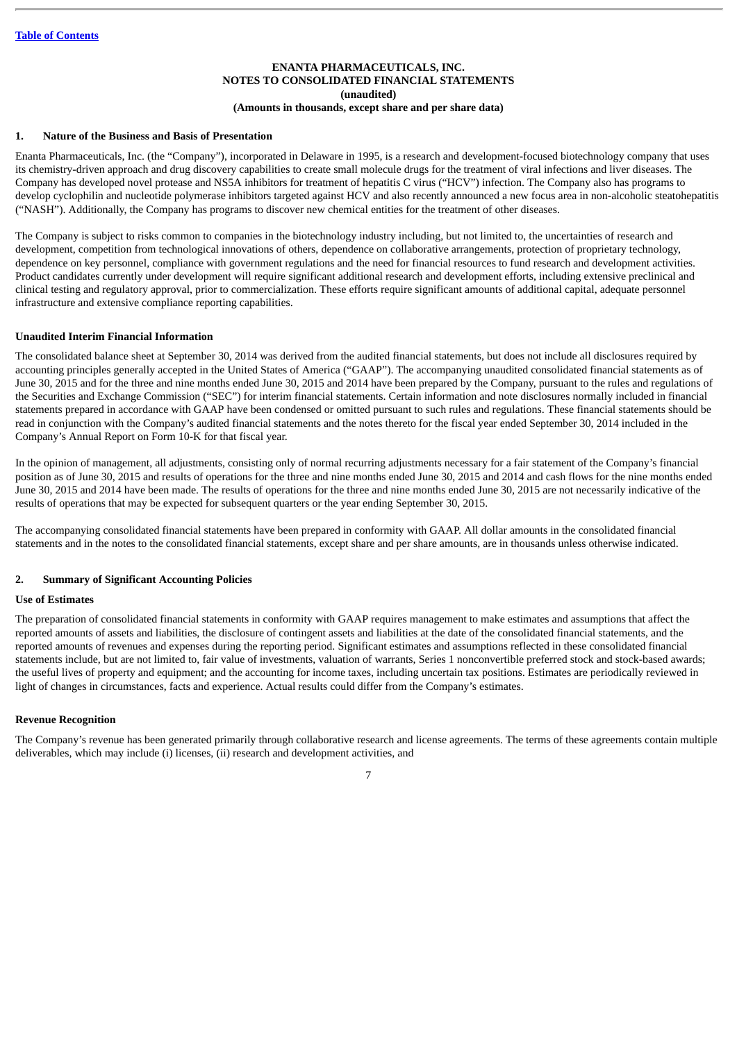## **ENANTA PHARMACEUTICALS, INC. NOTES TO CONSOLIDATED FINANCIAL STATEMENTS (unaudited) (Amounts in thousands, except share and per share data)**

#### <span id="page-6-0"></span>**1. Nature of the Business and Basis of Presentation**

Enanta Pharmaceuticals, Inc. (the "Company"), incorporated in Delaware in 1995, is a research and development-focused biotechnology company that uses its chemistry-driven approach and drug discovery capabilities to create small molecule drugs for the treatment of viral infections and liver diseases. The Company has developed novel protease and NS5A inhibitors for treatment of hepatitis C virus ("HCV") infection. The Company also has programs to develop cyclophilin and nucleotide polymerase inhibitors targeted against HCV and also recently announced a new focus area in non-alcoholic steatohepatitis ("NASH"). Additionally, the Company has programs to discover new chemical entities for the treatment of other diseases.

The Company is subject to risks common to companies in the biotechnology industry including, but not limited to, the uncertainties of research and development, competition from technological innovations of others, dependence on collaborative arrangements, protection of proprietary technology, dependence on key personnel, compliance with government regulations and the need for financial resources to fund research and development activities. Product candidates currently under development will require significant additional research and development efforts, including extensive preclinical and clinical testing and regulatory approval, prior to commercialization. These efforts require significant amounts of additional capital, adequate personnel infrastructure and extensive compliance reporting capabilities.

#### **Unaudited Interim Financial Information**

The consolidated balance sheet at September 30, 2014 was derived from the audited financial statements, but does not include all disclosures required by accounting principles generally accepted in the United States of America ("GAAP"). The accompanying unaudited consolidated financial statements as of June 30, 2015 and for the three and nine months ended June 30, 2015 and 2014 have been prepared by the Company, pursuant to the rules and regulations of the Securities and Exchange Commission ("SEC") for interim financial statements. Certain information and note disclosures normally included in financial statements prepared in accordance with GAAP have been condensed or omitted pursuant to such rules and regulations. These financial statements should be read in conjunction with the Company's audited financial statements and the notes thereto for the fiscal year ended September 30, 2014 included in the Company's Annual Report on Form 10-K for that fiscal year.

In the opinion of management, all adjustments, consisting only of normal recurring adjustments necessary for a fair statement of the Company's financial position as of June 30, 2015 and results of operations for the three and nine months ended June 30, 2015 and 2014 and cash flows for the nine months ended June 30, 2015 and 2014 have been made. The results of operations for the three and nine months ended June 30, 2015 are not necessarily indicative of the results of operations that may be expected for subsequent quarters or the year ending September 30, 2015.

The accompanying consolidated financial statements have been prepared in conformity with GAAP. All dollar amounts in the consolidated financial statements and in the notes to the consolidated financial statements, except share and per share amounts, are in thousands unless otherwise indicated.

#### **2. Summary of Significant Accounting Policies**

#### **Use of Estimates**

The preparation of consolidated financial statements in conformity with GAAP requires management to make estimates and assumptions that affect the reported amounts of assets and liabilities, the disclosure of contingent assets and liabilities at the date of the consolidated financial statements, and the reported amounts of revenues and expenses during the reporting period. Significant estimates and assumptions reflected in these consolidated financial statements include, but are not limited to, fair value of investments, valuation of warrants, Series 1 nonconvertible preferred stock and stock-based awards; the useful lives of property and equipment; and the accounting for income taxes, including uncertain tax positions. Estimates are periodically reviewed in light of changes in circumstances, facts and experience. Actual results could differ from the Company's estimates.

#### **Revenue Recognition**

The Company's revenue has been generated primarily through collaborative research and license agreements. The terms of these agreements contain multiple deliverables, which may include (i) licenses, (ii) research and development activities, and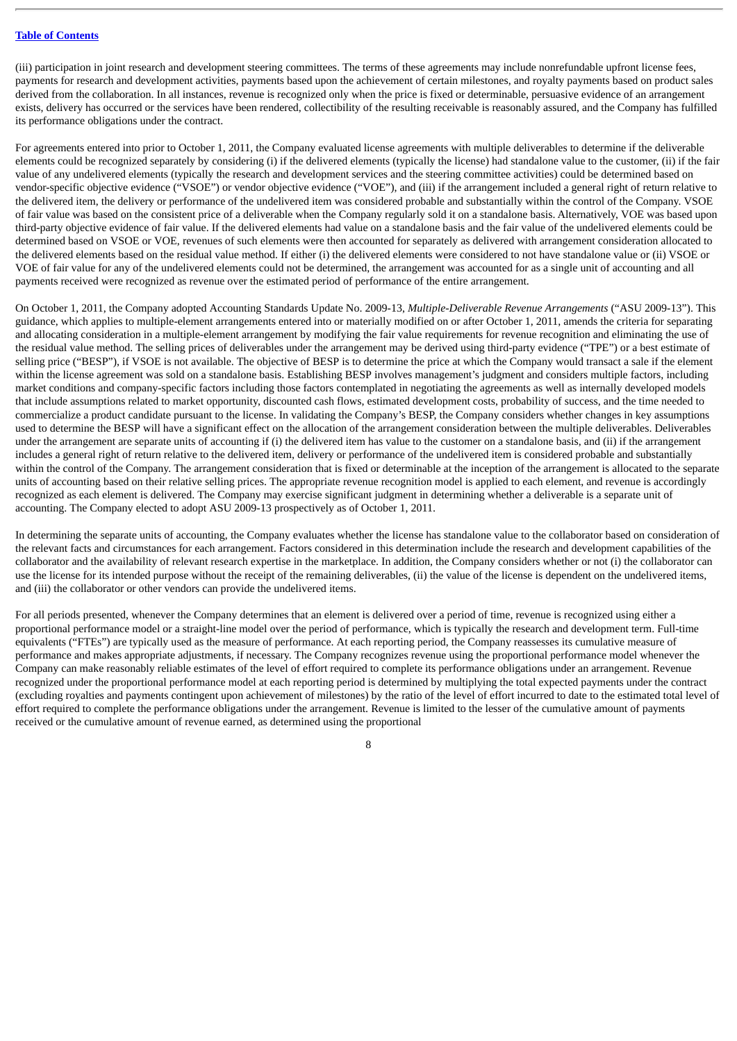(iii) participation in joint research and development steering committees. The terms of these agreements may include nonrefundable upfront license fees, payments for research and development activities, payments based upon the achievement of certain milestones, and royalty payments based on product sales derived from the collaboration. In all instances, revenue is recognized only when the price is fixed or determinable, persuasive evidence of an arrangement exists, delivery has occurred or the services have been rendered, collectibility of the resulting receivable is reasonably assured, and the Company has fulfilled its performance obligations under the contract.

For agreements entered into prior to October 1, 2011, the Company evaluated license agreements with multiple deliverables to determine if the deliverable elements could be recognized separately by considering (i) if the delivered elements (typically the license) had standalone value to the customer, (ii) if the fair value of any undelivered elements (typically the research and development services and the steering committee activities) could be determined based on vendor-specific objective evidence ("VSOE") or vendor objective evidence ("VOE"), and (iii) if the arrangement included a general right of return relative to the delivered item, the delivery or performance of the undelivered item was considered probable and substantially within the control of the Company. VSOE of fair value was based on the consistent price of a deliverable when the Company regularly sold it on a standalone basis. Alternatively, VOE was based upon third-party objective evidence of fair value. If the delivered elements had value on a standalone basis and the fair value of the undelivered elements could be determined based on VSOE or VOE, revenues of such elements were then accounted for separately as delivered with arrangement consideration allocated to the delivered elements based on the residual value method. If either (i) the delivered elements were considered to not have standalone value or (ii) VSOE or VOE of fair value for any of the undelivered elements could not be determined, the arrangement was accounted for as a single unit of accounting and all payments received were recognized as revenue over the estimated period of performance of the entire arrangement.

On October 1, 2011, the Company adopted Accounting Standards Update No. 2009-13, *Multiple-Deliverable Revenue Arrangements* ("ASU 2009-13"). This guidance, which applies to multiple-element arrangements entered into or materially modified on or after October 1, 2011, amends the criteria for separating and allocating consideration in a multiple-element arrangement by modifying the fair value requirements for revenue recognition and eliminating the use of the residual value method. The selling prices of deliverables under the arrangement may be derived using third-party evidence ("TPE") or a best estimate of selling price ("BESP"), if VSOE is not available. The objective of BESP is to determine the price at which the Company would transact a sale if the element within the license agreement was sold on a standalone basis. Establishing BESP involves management's judgment and considers multiple factors, including market conditions and company-specific factors including those factors contemplated in negotiating the agreements as well as internally developed models that include assumptions related to market opportunity, discounted cash flows, estimated development costs, probability of success, and the time needed to commercialize a product candidate pursuant to the license. In validating the Company's BESP, the Company considers whether changes in key assumptions used to determine the BESP will have a significant effect on the allocation of the arrangement consideration between the multiple deliverables. Deliverables under the arrangement are separate units of accounting if (i) the delivered item has value to the customer on a standalone basis, and (ii) if the arrangement includes a general right of return relative to the delivered item, delivery or performance of the undelivered item is considered probable and substantially within the control of the Company. The arrangement consideration that is fixed or determinable at the inception of the arrangement is allocated to the separate units of accounting based on their relative selling prices. The appropriate revenue recognition model is applied to each element, and revenue is accordingly recognized as each element is delivered. The Company may exercise significant judgment in determining whether a deliverable is a separate unit of accounting. The Company elected to adopt ASU 2009-13 prospectively as of October 1, 2011.

In determining the separate units of accounting, the Company evaluates whether the license has standalone value to the collaborator based on consideration of the relevant facts and circumstances for each arrangement. Factors considered in this determination include the research and development capabilities of the collaborator and the availability of relevant research expertise in the marketplace. In addition, the Company considers whether or not (i) the collaborator can use the license for its intended purpose without the receipt of the remaining deliverables, (ii) the value of the license is dependent on the undelivered items, and (iii) the collaborator or other vendors can provide the undelivered items.

For all periods presented, whenever the Company determines that an element is delivered over a period of time, revenue is recognized using either a proportional performance model or a straight-line model over the period of performance, which is typically the research and development term. Full-time equivalents ("FTEs") are typically used as the measure of performance. At each reporting period, the Company reassesses its cumulative measure of performance and makes appropriate adjustments, if necessary. The Company recognizes revenue using the proportional performance model whenever the Company can make reasonably reliable estimates of the level of effort required to complete its performance obligations under an arrangement. Revenue recognized under the proportional performance model at each reporting period is determined by multiplying the total expected payments under the contract (excluding royalties and payments contingent upon achievement of milestones) by the ratio of the level of effort incurred to date to the estimated total level of effort required to complete the performance obligations under the arrangement. Revenue is limited to the lesser of the cumulative amount of payments received or the cumulative amount of revenue earned, as determined using the proportional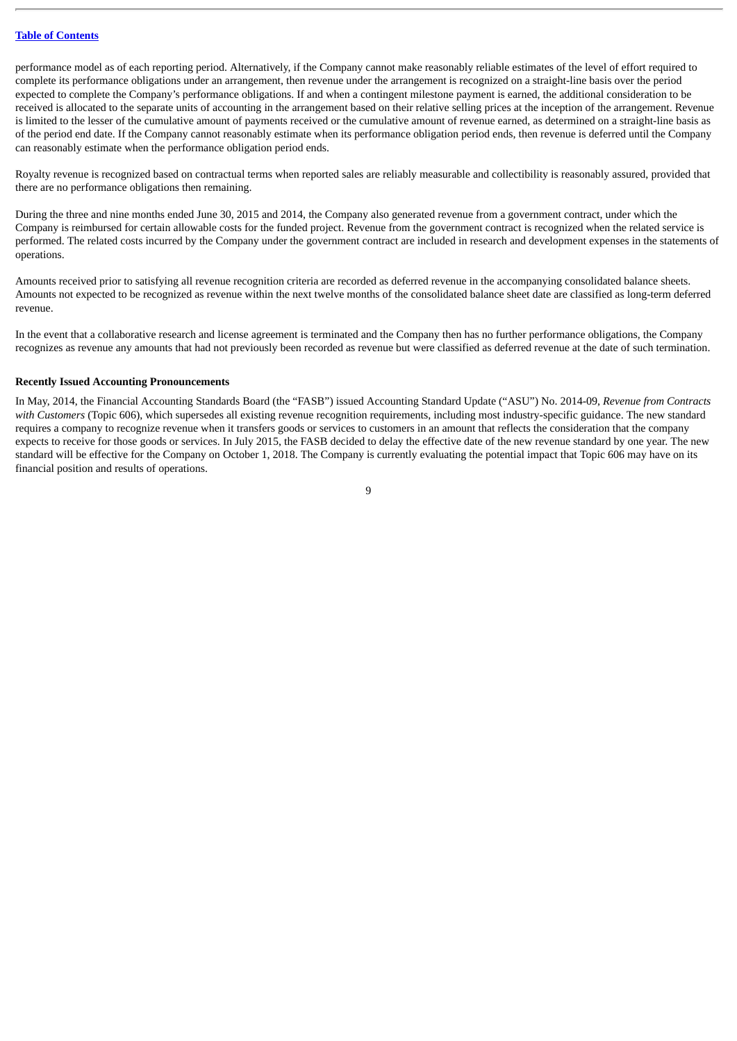performance model as of each reporting period. Alternatively, if the Company cannot make reasonably reliable estimates of the level of effort required to complete its performance obligations under an arrangement, then revenue under the arrangement is recognized on a straight-line basis over the period expected to complete the Company's performance obligations. If and when a contingent milestone payment is earned, the additional consideration to be received is allocated to the separate units of accounting in the arrangement based on their relative selling prices at the inception of the arrangement. Revenue is limited to the lesser of the cumulative amount of payments received or the cumulative amount of revenue earned, as determined on a straight-line basis as of the period end date. If the Company cannot reasonably estimate when its performance obligation period ends, then revenue is deferred until the Company can reasonably estimate when the performance obligation period ends.

Royalty revenue is recognized based on contractual terms when reported sales are reliably measurable and collectibility is reasonably assured, provided that there are no performance obligations then remaining.

During the three and nine months ended June 30, 2015 and 2014, the Company also generated revenue from a government contract, under which the Company is reimbursed for certain allowable costs for the funded project. Revenue from the government contract is recognized when the related service is performed. The related costs incurred by the Company under the government contract are included in research and development expenses in the statements of operations.

Amounts received prior to satisfying all revenue recognition criteria are recorded as deferred revenue in the accompanying consolidated balance sheets. Amounts not expected to be recognized as revenue within the next twelve months of the consolidated balance sheet date are classified as long-term deferred revenue.

In the event that a collaborative research and license agreement is terminated and the Company then has no further performance obligations, the Company recognizes as revenue any amounts that had not previously been recorded as revenue but were classified as deferred revenue at the date of such termination.

#### **Recently Issued Accounting Pronouncements**

In May, 2014, the Financial Accounting Standards Board (the "FASB") issued Accounting Standard Update ("ASU") No. 2014-09, *Revenue from Contracts with Customers* (Topic 606), which supersedes all existing revenue recognition requirements, including most industry-specific guidance. The new standard requires a company to recognize revenue when it transfers goods or services to customers in an amount that reflects the consideration that the company expects to receive for those goods or services. In July 2015, the FASB decided to delay the effective date of the new revenue standard by one year. The new standard will be effective for the Company on October 1, 2018. The Company is currently evaluating the potential impact that Topic 606 may have on its financial position and results of operations.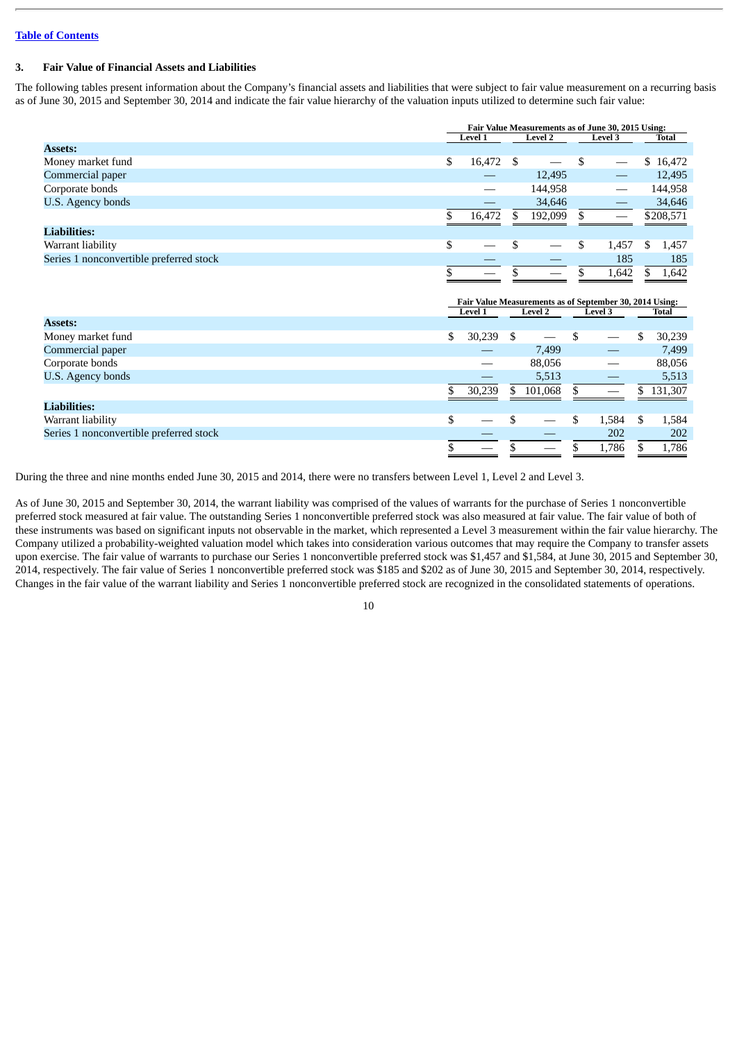#### **3. Fair Value of Financial Assets and Liabilities**

The following tables present information about the Company's financial assets and liabilities that were subject to fair value measurement on a recurring basis as of June 30, 2015 and September 30, 2014 and indicate the fair value hierarchy of the valuation inputs utilized to determine such fair value:

|                                         | Fair Value Measurements as of June 30, 2015 Using: |                |         |                |       |   |              |  |
|-----------------------------------------|----------------------------------------------------|----------------|---------|----------------|-------|---|--------------|--|
|                                         | <b>Level 1</b>                                     | <b>Level 2</b> |         | <b>Level 3</b> |       |   | <b>Total</b> |  |
| <b>Assets:</b>                          |                                                    |                |         |                |       |   |              |  |
| Money market fund                       | \$<br>16,472                                       |                |         |                |       |   | \$16,472     |  |
| Commercial paper                        |                                                    |                | 12,495  |                |       |   | 12,495       |  |
| Corporate bonds                         |                                                    |                | 144,958 |                |       |   | 144,958      |  |
| U.S. Agency bonds                       |                                                    |                | 34,646  |                |       |   | 34,646       |  |
|                                         | 16,472                                             |                | 192,099 |                |       |   | \$208,571    |  |
| <b>Liabilities:</b>                     |                                                    |                |         |                |       |   |              |  |
| Warrant liability                       | \$                                                 | \$             |         | \$             | 1,457 | S | 1,457        |  |
| Series 1 nonconvertible preferred stock |                                                    |                |         |                | 185   |   | 185          |  |
|                                         |                                                    |                |         |                | 1,642 |   | 1,642        |  |
|                                         |                                                    |                |         |                |       |   |              |  |

|                                         | Fair Value Measurements as of September 30, 2014 Using: |        |                |         |                |       |       |         |
|-----------------------------------------|---------------------------------------------------------|--------|----------------|---------|----------------|-------|-------|---------|
|                                         | <b>Level 1</b>                                          |        | <b>Level 2</b> |         | <b>Level 3</b> |       | Total |         |
| <b>Assets:</b>                          |                                                         |        |                |         |                |       |       |         |
| Money market fund                       | \$                                                      | 30,239 | S              |         |                |       |       | 30,239  |
| Commercial paper                        |                                                         |        |                | 7,499   |                |       |       | 7,499   |
| Corporate bonds                         |                                                         |        |                | 88,056  |                |       |       | 88,056  |
| U.S. Agency bonds                       |                                                         |        |                | 5,513   |                |       |       | 5,513   |
|                                         |                                                         | 30.239 | S.             | 101,068 |                |       |       | 131,307 |
| <b>Liabilities:</b>                     |                                                         |        |                |         |                |       |       |         |
| Warrant liability                       | \$                                                      |        |                |         |                | 1,584 | \$.   | 1,584   |
| Series 1 nonconvertible preferred stock |                                                         |        |                |         |                | 202   |       | 202     |
|                                         |                                                         |        |                |         |                | 1,786 |       | 1.786   |

During the three and nine months ended June 30, 2015 and 2014, there were no transfers between Level 1, Level 2 and Level 3.

As of June 30, 2015 and September 30, 2014, the warrant liability was comprised of the values of warrants for the purchase of Series 1 nonconvertible preferred stock measured at fair value. The outstanding Series 1 nonconvertible preferred stock was also measured at fair value. The fair value of both of these instruments was based on significant inputs not observable in the market, which represented a Level 3 measurement within the fair value hierarchy. The Company utilized a probability-weighted valuation model which takes into consideration various outcomes that may require the Company to transfer assets upon exercise. The fair value of warrants to purchase our Series 1 nonconvertible preferred stock was \$1,457 and \$1,584, at June 30, 2015 and September 30, 2014, respectively. The fair value of Series 1 nonconvertible preferred stock was \$185 and \$202 as of June 30, 2015 and September 30, 2014, respectively. Changes in the fair value of the warrant liability and Series 1 nonconvertible preferred stock are recognized in the consolidated statements of operations.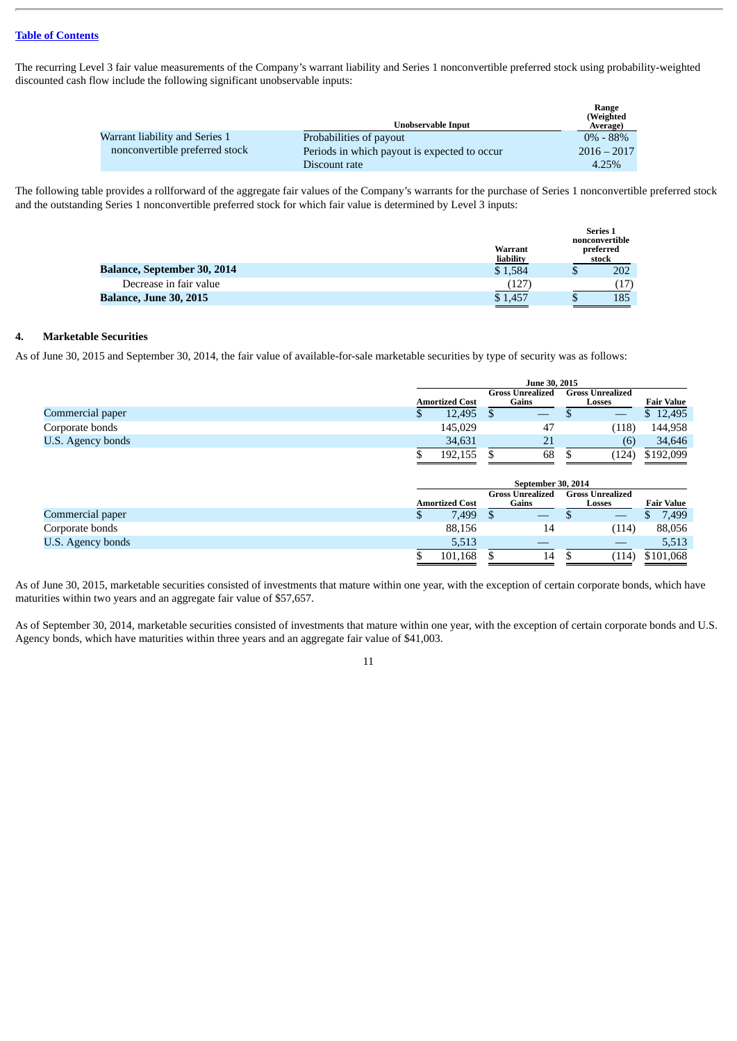The recurring Level 3 fair value measurements of the Company's warrant liability and Series 1 nonconvertible preferred stock using probability-weighted discounted cash flow include the following significant unobservable inputs:

|                                | Unobservable Input                           | Range<br>(Weighted<br>Average) |
|--------------------------------|----------------------------------------------|--------------------------------|
| Warrant liability and Series 1 | Probabilities of payout                      | $0\% - 88\%$                   |
| nonconvertible preferred stock | Periods in which payout is expected to occur | $2016 - 2017$                  |
|                                | Discount rate                                | 4.25%                          |

The following table provides a rollforward of the aggregate fair values of the Company's warrants for the purchase of Series 1 nonconvertible preferred stock and the outstanding Series 1 nonconvertible preferred stock for which fair value is determined by Level 3 inputs:

|                                    | Warrant<br>liability |   | <b>Series 1</b><br>nonconvertible<br>preferred<br>stock |
|------------------------------------|----------------------|---|---------------------------------------------------------|
| <b>Balance, September 30, 2014</b> | \$1,584              | ۰ | 202                                                     |
| Decrease in fair value             | (127)                |   | (17                                                     |
| <b>Balance, June 30, 2015</b>      | \$1,457              | J | 185                                                     |

## **4. Marketable Securities**

As of June 30, 2015 and September 30, 2014, the fair value of available-for-sale marketable securities by type of security was as follows:

|                   | <b>June 30, 2015</b>  |         |  |    |  |                                  |           |                                   |                   |
|-------------------|-----------------------|---------|--|----|--|----------------------------------|-----------|-----------------------------------|-------------------|
|                   | <b>Amortized Cost</b> |         |  |    |  | <b>Gross Unrealized</b><br>Gains |           | <b>Gross Unrealized</b><br>Losses | <b>Fair Value</b> |
| Commercial paper  | ω                     | 12,495  |  |    |  |                                  | 12,495    |                                   |                   |
| Corporate bonds   |                       | 145,029 |  | 47 |  | (118)                            | 144,958   |                                   |                   |
| U.S. Agency bonds |                       | 34,631  |  | 21 |  | (6)                              | 34,646    |                                   |                   |
|                   |                       | 192,155 |  | 68 |  | $^{\prime}124$ ,                 | \$192,099 |                                   |                   |

|                   | <b>September 30, 2014</b> |                       |  |                         |                         |       |  |                   |  |  |
|-------------------|---------------------------|-----------------------|--|-------------------------|-------------------------|-------|--|-------------------|--|--|
|                   |                           |                       |  | <b>Gross Unrealized</b> | <b>Gross Unrealized</b> |       |  |                   |  |  |
|                   |                           | <b>Amortized Cost</b> |  | Gains                   | Losses                  |       |  | <b>Fair Value</b> |  |  |
| Commercial paper  |                           | 7,499                 |  |                         |                         |       |  | 7.499             |  |  |
| Corporate bonds   |                           | 88,156                |  | 14                      |                         | (114) |  | 88,056            |  |  |
| U.S. Agency bonds |                           | 5,513                 |  | __                      |                         | _     |  | 5,513             |  |  |
|                   |                           | 101,168               |  | 14                      |                         | (114) |  | \$101,068         |  |  |

As of June 30, 2015, marketable securities consisted of investments that mature within one year, with the exception of certain corporate bonds, which have maturities within two years and an aggregate fair value of \$57,657.

As of September 30, 2014, marketable securities consisted of investments that mature within one year, with the exception of certain corporate bonds and U.S. Agency bonds, which have maturities within three years and an aggregate fair value of \$41,003.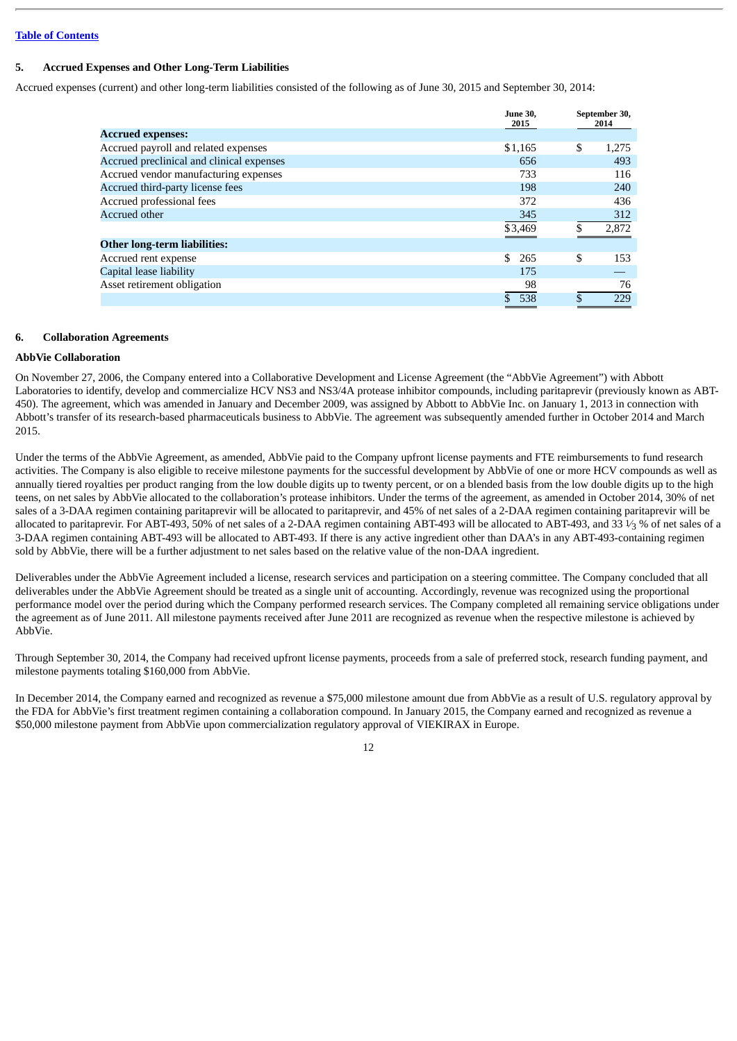#### **5. Accrued Expenses and Other Long-Term Liabilities**

Accrued expenses (current) and other long-term liabilities consisted of the following as of June 30, 2015 and September 30, 2014:

|                                           | <b>June 30,</b><br>2015 |     | September 30,<br>2014 |
|-------------------------------------------|-------------------------|-----|-----------------------|
| <b>Accrued expenses:</b>                  |                         |     |                       |
| Accrued payroll and related expenses      | \$1,165                 | \$  | 1,275                 |
| Accrued preclinical and clinical expenses | 656                     |     | 493                   |
| Accrued vendor manufacturing expenses     | 733                     |     | 116                   |
| Accrued third-party license fees          | 198                     |     | 240                   |
| Accrued professional fees                 | 372                     |     | 436                   |
| Accrued other                             | 345                     |     | 312                   |
|                                           | \$3,469                 |     | 2,872                 |
| <b>Other long-term liabilities:</b>       |                         |     |                       |
| Accrued rent expense                      | \$<br>265               | \$. | 153                   |
| Capital lease liability                   | 175                     |     |                       |
| Asset retirement obligation               | 98                      |     | 76                    |
|                                           | 538                     |     | 229                   |

#### **6. Collaboration Agreements**

## **AbbVie Collaboration**

On November 27, 2006, the Company entered into a Collaborative Development and License Agreement (the "AbbVie Agreement") with Abbott Laboratories to identify, develop and commercialize HCV NS3 and NS3/4A protease inhibitor compounds, including paritaprevir (previously known as ABT-450). The agreement, which was amended in January and December 2009, was assigned by Abbott to AbbVie Inc. on January 1, 2013 in connection with Abbott's transfer of its research-based pharmaceuticals business to AbbVie. The agreement was subsequently amended further in October 2014 and March 2015.

Under the terms of the AbbVie Agreement, as amended, AbbVie paid to the Company upfront license payments and FTE reimbursements to fund research activities. The Company is also eligible to receive milestone payments for the successful development by AbbVie of one or more HCV compounds as well as annually tiered royalties per product ranging from the low double digits up to twenty percent, or on a blended basis from the low double digits up to the high teens, on net sales by AbbVie allocated to the collaboration's protease inhibitors. Under the terms of the agreement, as amended in October 2014, 30% of net sales of a 3-DAA regimen containing paritaprevir will be allocated to paritaprevir, and 45% of net sales of a 2-DAA regimen containing paritaprevir will be allocated to paritaprevir. For ABT-493, 50% of net sales of a 2-DAA regimen containing ABT-493 will be allocated to ABT-493, and 33 1⁄3 % of net sales of a 3-DAA regimen containing ABT-493 will be allocated to ABT-493. If there is any active ingredient other than DAA's in any ABT-493-containing regimen sold by AbbVie, there will be a further adjustment to net sales based on the relative value of the non-DAA ingredient.

Deliverables under the AbbVie Agreement included a license, research services and participation on a steering committee. The Company concluded that all deliverables under the AbbVie Agreement should be treated as a single unit of accounting. Accordingly, revenue was recognized using the proportional performance model over the period during which the Company performed research services. The Company completed all remaining service obligations under the agreement as of June 2011. All milestone payments received after June 2011 are recognized as revenue when the respective milestone is achieved by AbbVie.

Through September 30, 2014, the Company had received upfront license payments, proceeds from a sale of preferred stock, research funding payment, and milestone payments totaling \$160,000 from AbbVie.

In December 2014, the Company earned and recognized as revenue a \$75,000 milestone amount due from AbbVie as a result of U.S. regulatory approval by the FDA for AbbVie's first treatment regimen containing a collaboration compound. In January 2015, the Company earned and recognized as revenue a \$50,000 milestone payment from AbbVie upon commercialization regulatory approval of VIEKIRAX in Europe.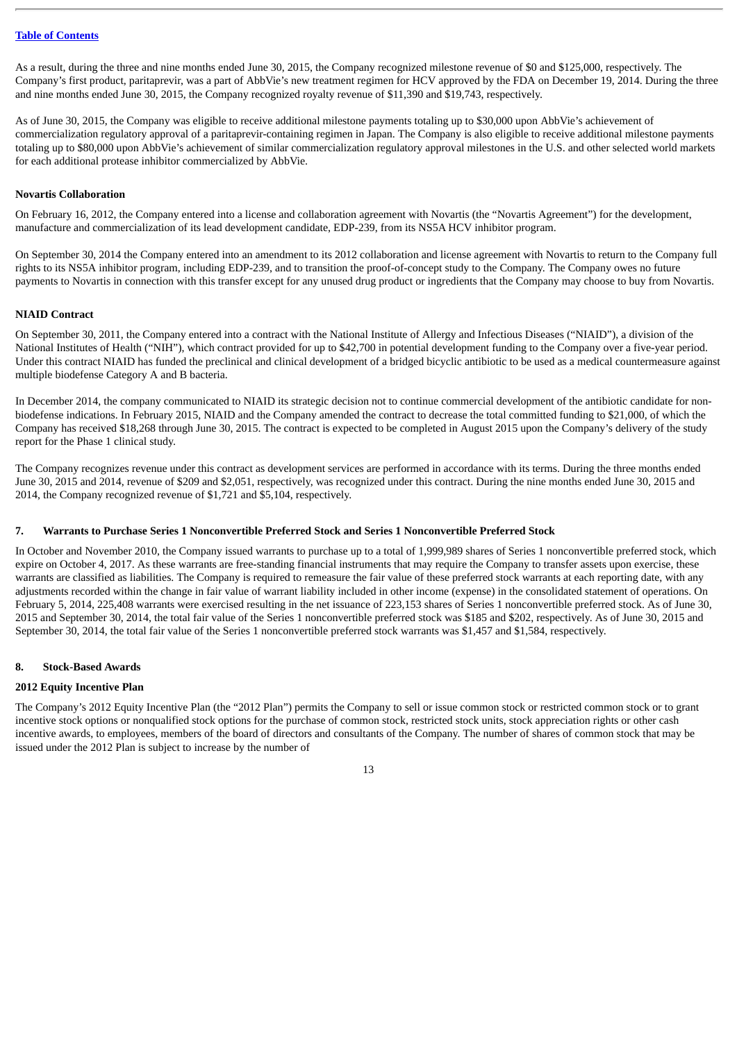As a result, during the three and nine months ended June 30, 2015, the Company recognized milestone revenue of \$0 and \$125,000, respectively. The Company's first product, paritaprevir, was a part of AbbVie's new treatment regimen for HCV approved by the FDA on December 19, 2014. During the three and nine months ended June 30, 2015, the Company recognized royalty revenue of \$11,390 and \$19,743, respectively.

As of June 30, 2015, the Company was eligible to receive additional milestone payments totaling up to \$30,000 upon AbbVie's achievement of commercialization regulatory approval of a paritaprevir-containing regimen in Japan. The Company is also eligible to receive additional milestone payments totaling up to \$80,000 upon AbbVie's achievement of similar commercialization regulatory approval milestones in the U.S. and other selected world markets for each additional protease inhibitor commercialized by AbbVie.

#### **Novartis Collaboration**

On February 16, 2012, the Company entered into a license and collaboration agreement with Novartis (the "Novartis Agreement") for the development, manufacture and commercialization of its lead development candidate, EDP-239, from its NS5A HCV inhibitor program.

On September 30, 2014 the Company entered into an amendment to its 2012 collaboration and license agreement with Novartis to return to the Company full rights to its NS5A inhibitor program, including EDP-239, and to transition the proof-of-concept study to the Company. The Company owes no future payments to Novartis in connection with this transfer except for any unused drug product or ingredients that the Company may choose to buy from Novartis.

#### **NIAID Contract**

On September 30, 2011, the Company entered into a contract with the National Institute of Allergy and Infectious Diseases ("NIAID"), a division of the National Institutes of Health ("NIH"), which contract provided for up to \$42,700 in potential development funding to the Company over a five-year period. Under this contract NIAID has funded the preclinical and clinical development of a bridged bicyclic antibiotic to be used as a medical countermeasure against multiple biodefense Category A and B bacteria.

In December 2014, the company communicated to NIAID its strategic decision not to continue commercial development of the antibiotic candidate for nonbiodefense indications. In February 2015, NIAID and the Company amended the contract to decrease the total committed funding to \$21,000, of which the Company has received \$18,268 through June 30, 2015. The contract is expected to be completed in August 2015 upon the Company's delivery of the study report for the Phase 1 clinical study.

The Company recognizes revenue under this contract as development services are performed in accordance with its terms. During the three months ended June 30, 2015 and 2014, revenue of \$209 and \$2,051, respectively, was recognized under this contract. During the nine months ended June 30, 2015 and 2014, the Company recognized revenue of \$1,721 and \$5,104, respectively.

#### **7. Warrants to Purchase Series 1 Nonconvertible Preferred Stock and Series 1 Nonconvertible Preferred Stock**

In October and November 2010, the Company issued warrants to purchase up to a total of 1,999,989 shares of Series 1 nonconvertible preferred stock, which expire on October 4, 2017. As these warrants are free-standing financial instruments that may require the Company to transfer assets upon exercise, these warrants are classified as liabilities. The Company is required to remeasure the fair value of these preferred stock warrants at each reporting date, with any adjustments recorded within the change in fair value of warrant liability included in other income (expense) in the consolidated statement of operations. On February 5, 2014, 225,408 warrants were exercised resulting in the net issuance of 223,153 shares of Series 1 nonconvertible preferred stock. As of June 30, 2015 and September 30, 2014, the total fair value of the Series 1 nonconvertible preferred stock was \$185 and \$202, respectively. As of June 30, 2015 and September 30, 2014, the total fair value of the Series 1 nonconvertible preferred stock warrants was \$1,457 and \$1,584, respectively.

## **8. Stock-Based Awards**

## **2012 Equity Incentive Plan**

The Company's 2012 Equity Incentive Plan (the "2012 Plan") permits the Company to sell or issue common stock or restricted common stock or to grant incentive stock options or nonqualified stock options for the purchase of common stock, restricted stock units, stock appreciation rights or other cash incentive awards, to employees, members of the board of directors and consultants of the Company. The number of shares of common stock that may be issued under the 2012 Plan is subject to increase by the number of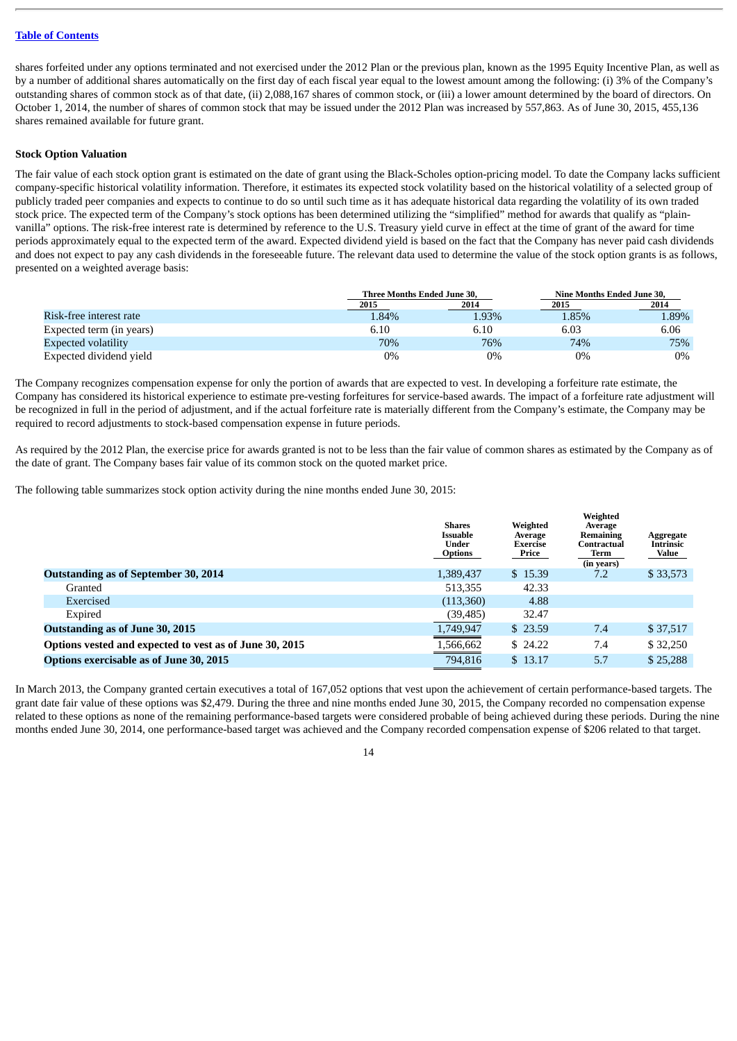shares forfeited under any options terminated and not exercised under the 2012 Plan or the previous plan, known as the 1995 Equity Incentive Plan, as well as by a number of additional shares automatically on the first day of each fiscal year equal to the lowest amount among the following: (i) 3% of the Company's outstanding shares of common stock as of that date, (ii) 2,088,167 shares of common stock, or (iii) a lower amount determined by the board of directors. On October 1, 2014, the number of shares of common stock that may be issued under the 2012 Plan was increased by 557,863. As of June 30, 2015, 455,136 shares remained available for future grant.

#### **Stock Option Valuation**

The fair value of each stock option grant is estimated on the date of grant using the Black-Scholes option-pricing model. To date the Company lacks sufficient company-specific historical volatility information. Therefore, it estimates its expected stock volatility based on the historical volatility of a selected group of publicly traded peer companies and expects to continue to do so until such time as it has adequate historical data regarding the volatility of its own traded stock price. The expected term of the Company's stock options has been determined utilizing the "simplified" method for awards that qualify as "plainvanilla" options. The risk-free interest rate is determined by reference to the U.S. Treasury yield curve in effect at the time of grant of the award for time periods approximately equal to the expected term of the award. Expected dividend yield is based on the fact that the Company has never paid cash dividends and does not expect to pay any cash dividends in the foreseeable future. The relevant data used to determine the value of the stock option grants is as follows, presented on a weighted average basis:

|                          |       | Three Months Ended June 30. |       | <b>Nine Months Ended June 30.</b> |
|--------------------------|-------|-----------------------------|-------|-----------------------------------|
|                          | 2015  | 2014                        | 2015  | 2014                              |
| Risk-free interest rate  | 1.84% | 1.93%                       | 1.85% | 1.89%                             |
| Expected term (in years) | 6.10  | 6.10                        | 6.03  | 6.06                              |
| Expected volatility      | 70%   | 76%                         | 74%   | 75%                               |
| Expected dividend vield  | $0\%$ | $0\%$                       | 0%    | 0%                                |

The Company recognizes compensation expense for only the portion of awards that are expected to vest. In developing a forfeiture rate estimate, the Company has considered its historical experience to estimate pre-vesting forfeitures for service-based awards. The impact of a forfeiture rate adjustment will be recognized in full in the period of adjustment, and if the actual forfeiture rate is materially different from the Company's estimate, the Company may be required to record adjustments to stock-based compensation expense in future periods.

As required by the 2012 Plan, the exercise price for awards granted is not to be less than the fair value of common shares as estimated by the Company as of the date of grant. The Company bases fair value of its common stock on the quoted market price.

The following table summarizes stock option activity during the nine months ended June 30, 2015:

|                                                         | <b>Shares</b><br><b>Issuable</b><br>Under<br>Options | Weighted<br>Average<br>Exercise<br><b>Price</b> | Weighted<br>Average<br><b>Remaining</b><br>Contractual<br>Term<br>(in years) | Aggregate<br><b>Intrinsic</b><br><b>Value</b> |
|---------------------------------------------------------|------------------------------------------------------|-------------------------------------------------|------------------------------------------------------------------------------|-----------------------------------------------|
| Outstanding as of September 30, 2014                    | 1,389,437                                            | \$15.39                                         | 7.2                                                                          | \$33,573                                      |
| Granted                                                 | 513,355                                              | 42.33                                           |                                                                              |                                               |
| Exercised                                               | (113,360)                                            | 4.88                                            |                                                                              |                                               |
| Expired                                                 | (39, 485)                                            | 32.47                                           |                                                                              |                                               |
| Outstanding as of June 30, 2015                         | 1,749,947                                            | \$23.59                                         | 7.4                                                                          | \$37,517                                      |
| Options vested and expected to vest as of June 30, 2015 | 1,566,662                                            | \$24.22                                         | 7.4                                                                          | \$32,250                                      |
| Options exercisable as of June 30, 2015                 | 794.816                                              | \$13.17                                         | 5.7                                                                          | \$25,288                                      |

In March 2013, the Company granted certain executives a total of 167,052 options that vest upon the achievement of certain performance-based targets. The grant date fair value of these options was \$2,479. During the three and nine months ended June 30, 2015, the Company recorded no compensation expense related to these options as none of the remaining performance-based targets were considered probable of being achieved during these periods. During the nine months ended June 30, 2014, one performance-based target was achieved and the Company recorded compensation expense of \$206 related to that target.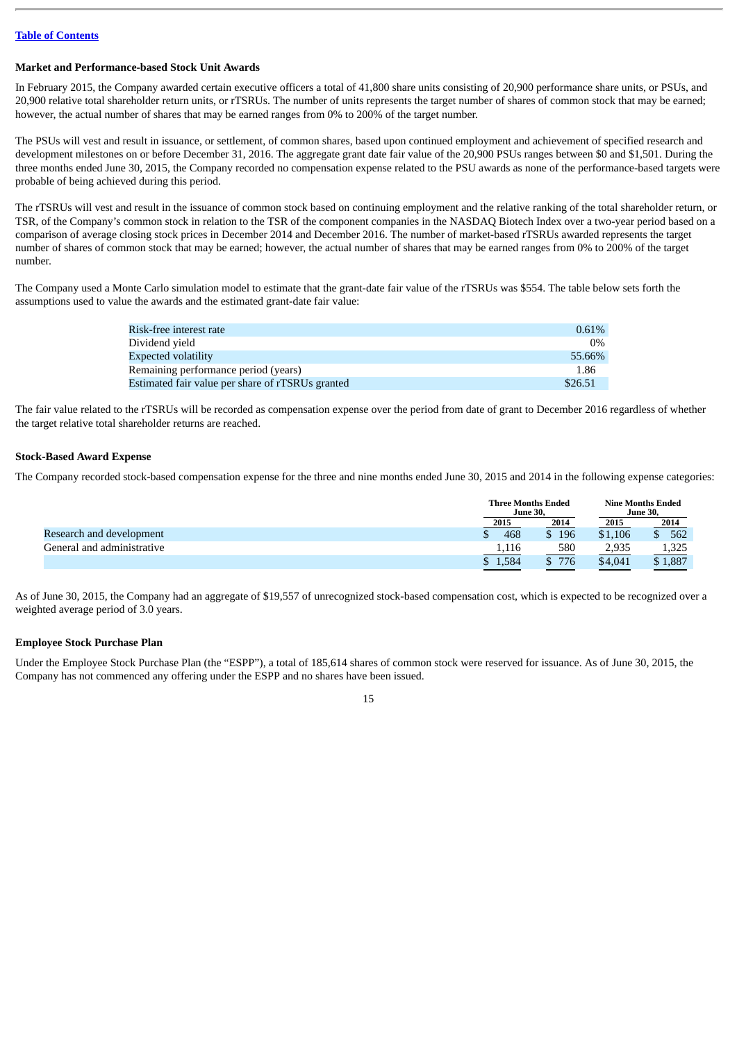## **Market and Performance-based Stock Unit Awards**

In February 2015, the Company awarded certain executive officers a total of 41,800 share units consisting of 20,900 performance share units, or PSUs, and 20,900 relative total shareholder return units, or rTSRUs. The number of units represents the target number of shares of common stock that may be earned; however, the actual number of shares that may be earned ranges from 0% to 200% of the target number.

The PSUs will vest and result in issuance, or settlement, of common shares, based upon continued employment and achievement of specified research and development milestones on or before December 31, 2016. The aggregate grant date fair value of the 20,900 PSUs ranges between \$0 and \$1,501. During the three months ended June 30, 2015, the Company recorded no compensation expense related to the PSU awards as none of the performance-based targets were probable of being achieved during this period.

The rTSRUs will vest and result in the issuance of common stock based on continuing employment and the relative ranking of the total shareholder return, or TSR, of the Company's common stock in relation to the TSR of the component companies in the NASDAQ Biotech Index over a two-year period based on a comparison of average closing stock prices in December 2014 and December 2016. The number of market-based rTSRUs awarded represents the target number of shares of common stock that may be earned; however, the actual number of shares that may be earned ranges from 0% to 200% of the target number.

The Company used a Monte Carlo simulation model to estimate that the grant-date fair value of the rTSRUs was \$554. The table below sets forth the assumptions used to value the awards and the estimated grant-date fair value:

| Risk-free interest rate                          | 0.61%   |
|--------------------------------------------------|---------|
| Dividend vield                                   | $0\%$   |
| Expected volatility                              | 55.66%  |
| Remaining performance period (years)             | 1.86    |
| Estimated fair value per share of rTSRUs granted | \$26.51 |

The fair value related to the rTSRUs will be recorded as compensation expense over the period from date of grant to December 2016 regardless of whether the target relative total shareholder returns are reached.

## **Stock-Based Award Expense**

The Company recorded stock-based compensation expense for the three and nine months ended June 30, 2015 and 2014 in the following expense categories:

|                            |       | <b>Three Months Ended</b><br><b>June 30.</b> |         | <b>Nine Months Ended</b><br><b>June 30.</b> |  |
|----------------------------|-------|----------------------------------------------|---------|---------------------------------------------|--|
|                            | 2015  | 2014                                         | 2015    | 2014                                        |  |
| Research and development   | 468   | 196<br>\$                                    | \$1,106 | 562                                         |  |
| General and administrative | 1.116 | 580                                          | 2,935   | 1,325                                       |  |
|                            | 1,584 | 776<br>m.                                    | \$4.041 | \$1,887                                     |  |

As of June 30, 2015, the Company had an aggregate of \$19,557 of unrecognized stock-based compensation cost, which is expected to be recognized over a weighted average period of 3.0 years.

## **Employee Stock Purchase Plan**

Under the Employee Stock Purchase Plan (the "ESPP"), a total of 185,614 shares of common stock were reserved for issuance. As of June 30, 2015, the Company has not commenced any offering under the ESPP and no shares have been issued.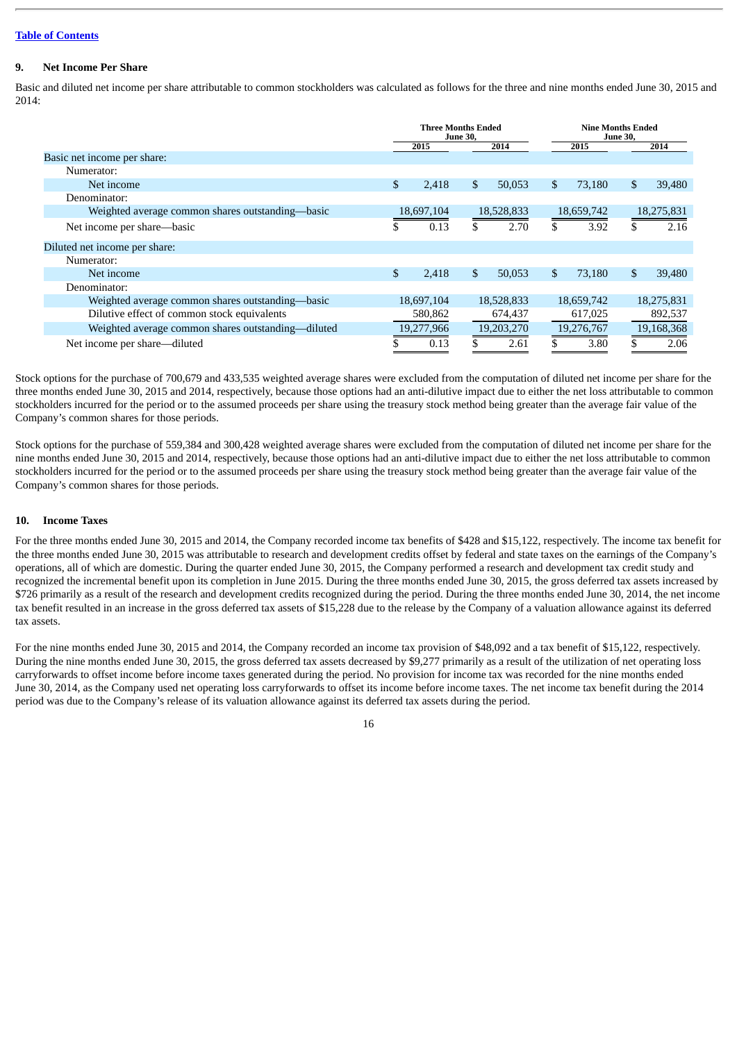## **9. Net Income Per Share**

Basic and diluted net income per share attributable to common stockholders was calculated as follows for the three and nine months ended June 30, 2015 and 2014:

|                                                    | <b>Three Months Ended</b><br><b>June 30,</b> |            | <b>Nine Months Ended</b><br><b>June 30,</b> |     |            |    |            |
|----------------------------------------------------|----------------------------------------------|------------|---------------------------------------------|-----|------------|----|------------|
|                                                    |                                              | 2015       | 2014                                        |     | 2015       |    | 2014       |
| Basic net income per share:                        |                                              |            |                                             |     |            |    |            |
| Numerator:                                         |                                              |            |                                             |     |            |    |            |
| Net income                                         | $\mathfrak{S}$                               | 2,418      | \$<br>50,053                                | \$. | 73,180     | \$ | 39,480     |
| Denominator:                                       |                                              |            |                                             |     |            |    |            |
| Weighted average common shares outstanding—basic   |                                              | 18,697,104 | 18,528,833                                  |     | 18,659,742 |    | 18,275,831 |
| Net income per share-basic                         | \$                                           | 0.13       | \$<br>2.70                                  | \$  | 3.92       | \$ | 2.16       |
| Diluted net income per share:                      |                                              |            |                                             |     |            |    |            |
| Numerator:                                         |                                              |            |                                             |     |            |    |            |
| Net income                                         | \$                                           | 2,418      | \$<br>50,053                                | \$. | 73,180     | \$ | 39,480     |
| Denominator:                                       |                                              |            |                                             |     |            |    |            |
| Weighted average common shares outstanding-basic   |                                              | 18,697,104 | 18,528,833                                  |     | 18,659,742 |    | 18,275,831 |
| Dilutive effect of common stock equivalents        |                                              | 580,862    | 674,437                                     |     | 617,025    |    | 892,537    |
| Weighted average common shares outstanding-diluted |                                              | 19,277,966 | 19,203,270                                  |     | 19,276,767 |    | 19,168,368 |
| Net income per share—diluted                       |                                              | 0.13       | 2.61                                        |     | 3.80       |    | 2.06       |

Stock options for the purchase of 700,679 and 433,535 weighted average shares were excluded from the computation of diluted net income per share for the three months ended June 30, 2015 and 2014, respectively, because those options had an anti-dilutive impact due to either the net loss attributable to common stockholders incurred for the period or to the assumed proceeds per share using the treasury stock method being greater than the average fair value of the Company's common shares for those periods.

Stock options for the purchase of 559,384 and 300,428 weighted average shares were excluded from the computation of diluted net income per share for the nine months ended June 30, 2015 and 2014, respectively, because those options had an anti-dilutive impact due to either the net loss attributable to common stockholders incurred for the period or to the assumed proceeds per share using the treasury stock method being greater than the average fair value of the Company's common shares for those periods.

#### **10. Income Taxes**

For the three months ended June 30, 2015 and 2014, the Company recorded income tax benefits of \$428 and \$15,122, respectively. The income tax benefit for the three months ended June 30, 2015 was attributable to research and development credits offset by federal and state taxes on the earnings of the Company's operations, all of which are domestic. During the quarter ended June 30, 2015, the Company performed a research and development tax credit study and recognized the incremental benefit upon its completion in June 2015. During the three months ended June 30, 2015, the gross deferred tax assets increased by \$726 primarily as a result of the research and development credits recognized during the period. During the three months ended June 30, 2014, the net income tax benefit resulted in an increase in the gross deferred tax assets of \$15,228 due to the release by the Company of a valuation allowance against its deferred tax assets.

For the nine months ended June 30, 2015 and 2014, the Company recorded an income tax provision of \$48,092 and a tax benefit of \$15,122, respectively. During the nine months ended June 30, 2015, the gross deferred tax assets decreased by \$9,277 primarily as a result of the utilization of net operating loss carryforwards to offset income before income taxes generated during the period. No provision for income tax was recorded for the nine months ended June 30, 2014, as the Company used net operating loss carryforwards to offset its income before income taxes. The net income tax benefit during the 2014 period was due to the Company's release of its valuation allowance against its deferred tax assets during the period.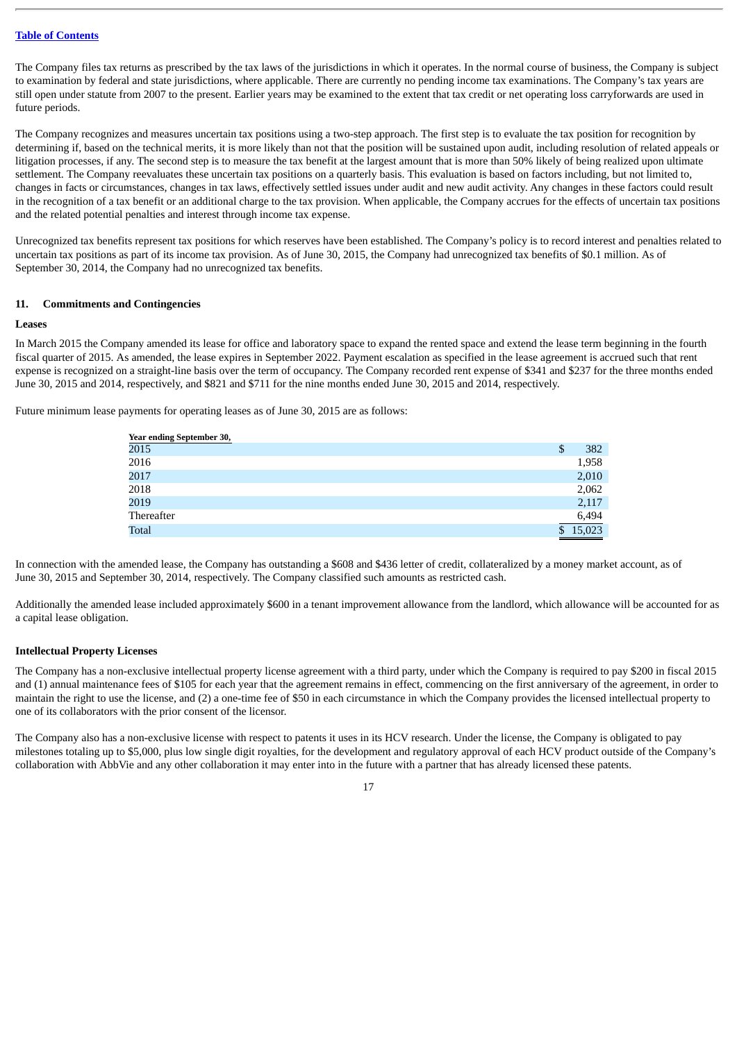The Company files tax returns as prescribed by the tax laws of the jurisdictions in which it operates. In the normal course of business, the Company is subject to examination by federal and state jurisdictions, where applicable. There are currently no pending income tax examinations. The Company's tax years are still open under statute from 2007 to the present. Earlier years may be examined to the extent that tax credit or net operating loss carryforwards are used in future periods.

The Company recognizes and measures uncertain tax positions using a two-step approach. The first step is to evaluate the tax position for recognition by determining if, based on the technical merits, it is more likely than not that the position will be sustained upon audit, including resolution of related appeals or litigation processes, if any. The second step is to measure the tax benefit at the largest amount that is more than 50% likely of being realized upon ultimate settlement. The Company reevaluates these uncertain tax positions on a quarterly basis. This evaluation is based on factors including, but not limited to, changes in facts or circumstances, changes in tax laws, effectively settled issues under audit and new audit activity. Any changes in these factors could result in the recognition of a tax benefit or an additional charge to the tax provision. When applicable, the Company accrues for the effects of uncertain tax positions and the related potential penalties and interest through income tax expense.

Unrecognized tax benefits represent tax positions for which reserves have been established. The Company's policy is to record interest and penalties related to uncertain tax positions as part of its income tax provision. As of June 30, 2015, the Company had unrecognized tax benefits of \$0.1 million. As of September 30, 2014, the Company had no unrecognized tax benefits.

#### **11. Commitments and Contingencies**

#### **Leases**

In March 2015 the Company amended its lease for office and laboratory space to expand the rented space and extend the lease term beginning in the fourth fiscal quarter of 2015. As amended, the lease expires in September 2022. Payment escalation as specified in the lease agreement is accrued such that rent expense is recognized on a straight-line basis over the term of occupancy. The Company recorded rent expense of \$341 and \$237 for the three months ended June 30, 2015 and 2014, respectively, and \$821 and \$711 for the nine months ended June 30, 2015 and 2014, respectively.

Future minimum lease payments for operating leases as of June 30, 2015 are as follows:

| Year ending September 30, |              |
|---------------------------|--------------|
| 2015                      | \$<br>382    |
| 2016                      | 1,958        |
| 2017                      | 2,010        |
| 2018                      | 2,062        |
| 2019                      | 2,117        |
| Thereafter                | 6,494        |
| <b>Total</b>              | \$<br>15,023 |
|                           |              |

In connection with the amended lease, the Company has outstanding a \$608 and \$436 letter of credit, collateralized by a money market account, as of June 30, 2015 and September 30, 2014, respectively. The Company classified such amounts as restricted cash.

Additionally the amended lease included approximately \$600 in a tenant improvement allowance from the landlord, which allowance will be accounted for as a capital lease obligation.

#### **Intellectual Property Licenses**

The Company has a non-exclusive intellectual property license agreement with a third party, under which the Company is required to pay \$200 in fiscal 2015 and (1) annual maintenance fees of \$105 for each year that the agreement remains in effect, commencing on the first anniversary of the agreement, in order to maintain the right to use the license, and (2) a one-time fee of \$50 in each circumstance in which the Company provides the licensed intellectual property to one of its collaborators with the prior consent of the licensor.

The Company also has a non-exclusive license with respect to patents it uses in its HCV research. Under the license, the Company is obligated to pay milestones totaling up to \$5,000, plus low single digit royalties, for the development and regulatory approval of each HCV product outside of the Company's collaboration with AbbVie and any other collaboration it may enter into in the future with a partner that has already licensed these patents.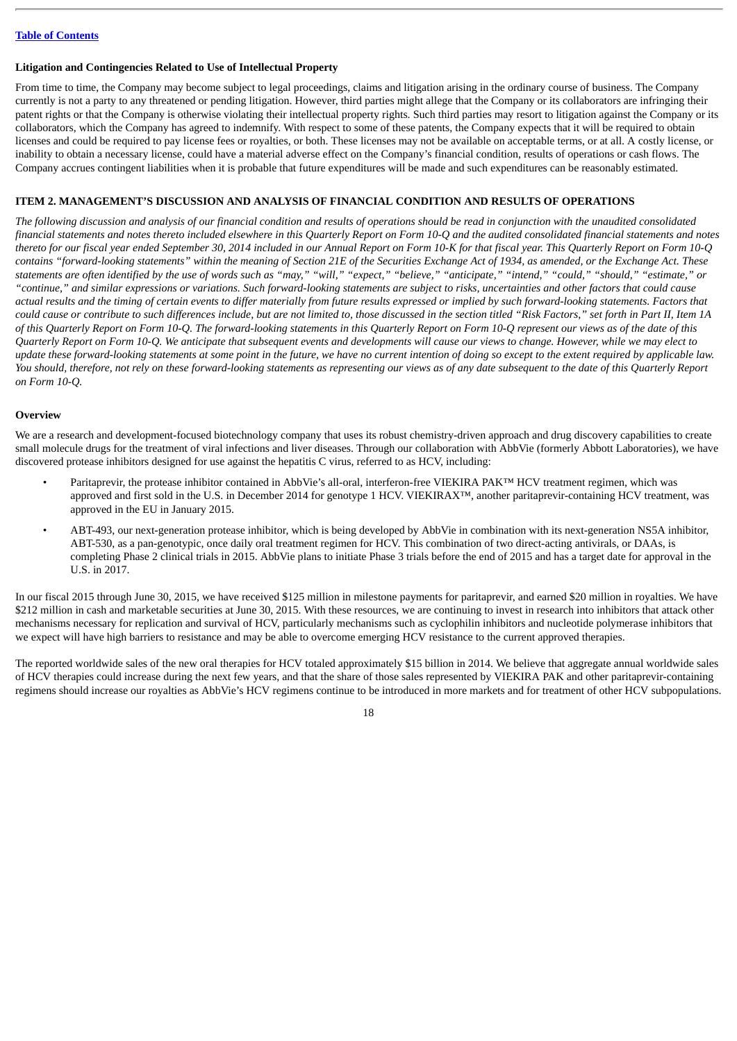#### **Litigation and Contingencies Related to Use of Intellectual Property**

From time to time, the Company may become subject to legal proceedings, claims and litigation arising in the ordinary course of business. The Company currently is not a party to any threatened or pending litigation. However, third parties might allege that the Company or its collaborators are infringing their patent rights or that the Company is otherwise violating their intellectual property rights. Such third parties may resort to litigation against the Company or its collaborators, which the Company has agreed to indemnify. With respect to some of these patents, the Company expects that it will be required to obtain licenses and could be required to pay license fees or royalties, or both. These licenses may not be available on acceptable terms, or at all. A costly license, or inability to obtain a necessary license, could have a material adverse effect on the Company's financial condition, results of operations or cash flows. The Company accrues contingent liabilities when it is probable that future expenditures will be made and such expenditures can be reasonably estimated.

#### <span id="page-17-0"></span>**ITEM 2. MANAGEMENT'S DISCUSSION AND ANALYSIS OF FINANCIAL CONDITION AND RESULTS OF OPERATIONS**

The following discussion and analysis of our financial condition and results of operations should be read in conjunction with the unaudited consolidated financial statements and notes thereto included elsewhere in this Quarterly Report on Form 10-Q and the audited consolidated financial statements and notes thereto for our fiscal year ended September 30, 2014 included in our Annual Report on Form 10-K for that fiscal year. This Quarterly Report on Form 10-Q contains "forward-looking statements" within the meaning of Section 21E of the Securities Exchange Act of 1934, as amended, or the Exchange Act. These statements are often identified by the use of words such as "may," "will," "expect," "believe," "anticipate," "intend," "could," "should," "estimate," or "continue," and similar expressions or variations. Such forward-looking statements are subject to risks, uncertainties and other factors that could cause actual results and the timing of certain events to differ materially from future results expressed or implied by such forward-looking statements. Factors that could cause or contribute to such differences include, but are not limited to, those discussed in the section titled "Risk Factors," set forth in Part II, Item 1A of this Quarterly Report on Form 10-Q. The forward-looking statements in this Quarterly Report on Form 10-Q represent our views as of the date of this Quarterly Report on Form 10-Q. We anticipate that subsequent events and developments will cause our views to change. However, while we may elect to update these forward-looking statements at some point in the future, we have no current intention of doing so except to the extent required by applicable law. You should, therefore, not rely on these forward-looking statements as representing our views as of any date subsequent to the date of this Quarterly Report *on Form 10-Q.*

#### **Overview**

We are a research and development-focused biotechnology company that uses its robust chemistry-driven approach and drug discovery capabilities to create small molecule drugs for the treatment of viral infections and liver diseases. Through our collaboration with AbbVie (formerly Abbott Laboratories), we have discovered protease inhibitors designed for use against the hepatitis C virus, referred to as HCV, including:

- Paritaprevir, the protease inhibitor contained in AbbVie's all-oral, interferon-free VIEKIRA PAK™ HCV treatment regimen, which was approved and first sold in the U.S. in December 2014 for genotype 1 HCV. VIEKIRAX™, another paritaprevir-containing HCV treatment, was approved in the EU in January 2015.
- ABT-493, our next-generation protease inhibitor, which is being developed by AbbVie in combination with its next-generation NS5A inhibitor, ABT-530, as a pan-genotypic, once daily oral treatment regimen for HCV. This combination of two direct-acting antivirals, or DAAs, is completing Phase 2 clinical trials in 2015. AbbVie plans to initiate Phase 3 trials before the end of 2015 and has a target date for approval in the U.S. in 2017.

In our fiscal 2015 through June 30, 2015, we have received \$125 million in milestone payments for paritaprevir, and earned \$20 million in royalties. We have \$212 million in cash and marketable securities at June 30, 2015. With these resources, we are continuing to invest in research into inhibitors that attack other mechanisms necessary for replication and survival of HCV, particularly mechanisms such as cyclophilin inhibitors and nucleotide polymerase inhibitors that we expect will have high barriers to resistance and may be able to overcome emerging HCV resistance to the current approved therapies.

The reported worldwide sales of the new oral therapies for HCV totaled approximately \$15 billion in 2014. We believe that aggregate annual worldwide sales of HCV therapies could increase during the next few years, and that the share of those sales represented by VIEKIRA PAK and other paritaprevir-containing regimens should increase our royalties as AbbVie's HCV regimens continue to be introduced in more markets and for treatment of other HCV subpopulations.

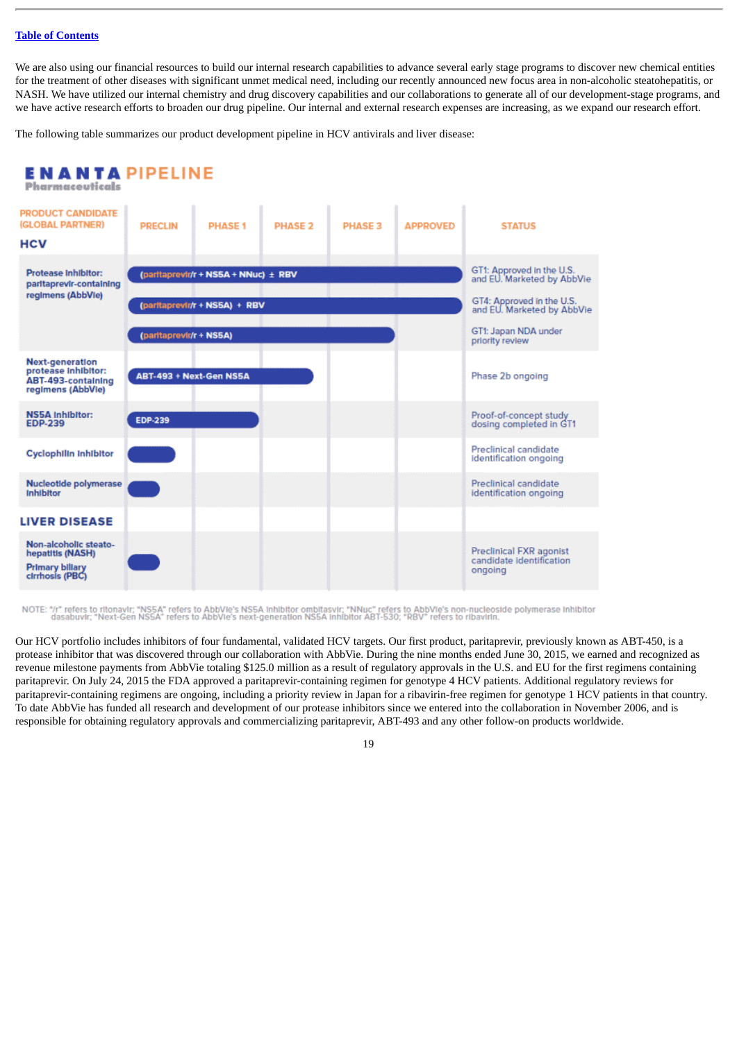We are also using our financial resources to build our internal research capabilities to advance several early stage programs to discover new chemical entities for the treatment of other diseases with significant unmet medical need, including our recently announced new focus area in non-alcoholic steatohepatitis, or NASH. We have utilized our internal chemistry and drug discovery capabilities and our collaborations to generate all of our development-stage programs, and we have active research efforts to broaden our drug pipeline. Our internal and external research expenses are increasing, as we expand our research effort.

The following table summarizes our product development pipeline in HCV antivirals and liver disease:



NOTE: "/r" refers to ritonavir; "NS5A" refers to AbbVie's NS5A inhibitor ombitasvir; "NNuc" refers to AbbVie's non-nucleoside polymerase inhibitor<br>dasabuvir; "Next-Gen NS5A" refers to AbbVie's next-generation NS5A inhibito

Our HCV portfolio includes inhibitors of four fundamental, validated HCV targets. Our first product, paritaprevir, previously known as ABT-450, is a protease inhibitor that was discovered through our collaboration with AbbVie. During the nine months ended June 30, 2015, we earned and recognized as revenue milestone payments from AbbVie totaling \$125.0 million as a result of regulatory approvals in the U.S. and EU for the first regimens containing paritaprevir. On July 24, 2015 the FDA approved a paritaprevir-containing regimen for genotype 4 HCV patients. Additional regulatory reviews for paritaprevir-containing regimens are ongoing, including a priority review in Japan for a ribavirin-free regimen for genotype 1 HCV patients in that country. To date AbbVie has funded all research and development of our protease inhibitors since we entered into the collaboration in November 2006, and is responsible for obtaining regulatory approvals and commercializing paritaprevir, ABT-493 and any other follow-on products worldwide.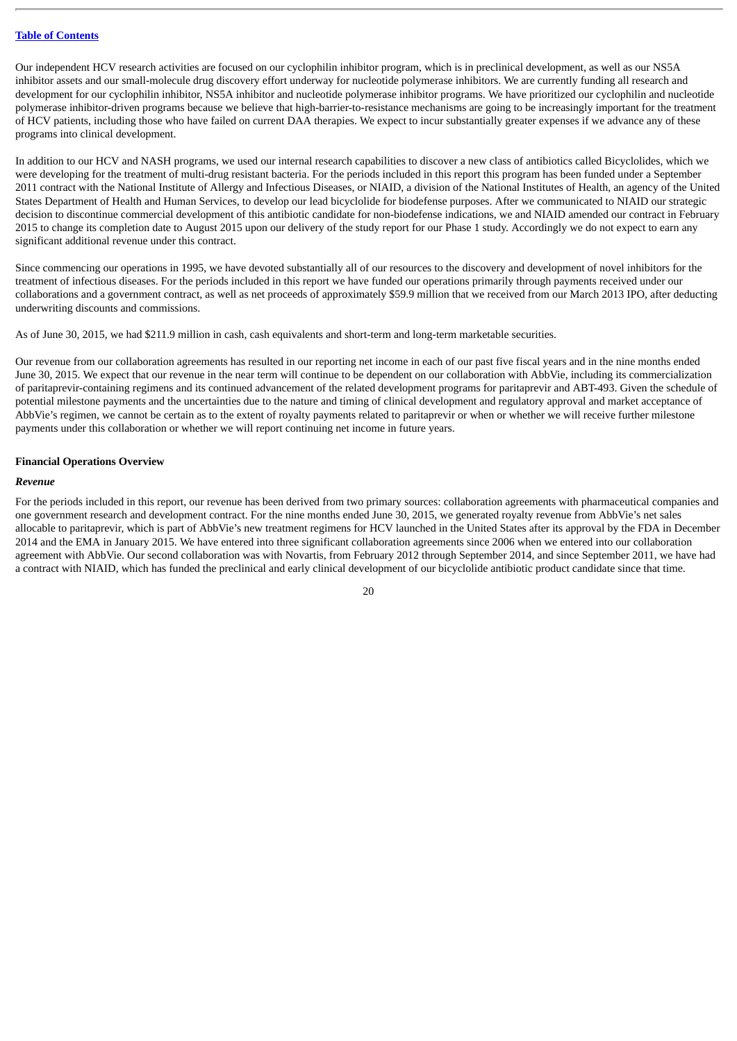Our independent HCV research activities are focused on our cyclophilin inhibitor program, which is in preclinical development, as well as our NS5A inhibitor assets and our small-molecule drug discovery effort underway for nucleotide polymerase inhibitors. We are currently funding all research and development for our cyclophilin inhibitor, NS5A inhibitor and nucleotide polymerase inhibitor programs. We have prioritized our cyclophilin and nucleotide polymerase inhibitor-driven programs because we believe that high-barrier-to-resistance mechanisms are going to be increasingly important for the treatment of HCV patients, including those who have failed on current DAA therapies. We expect to incur substantially greater expenses if we advance any of these programs into clinical development.

In addition to our HCV and NASH programs, we used our internal research capabilities to discover a new class of antibiotics called Bicyclolides, which we were developing for the treatment of multi-drug resistant bacteria. For the periods included in this report this program has been funded under a September 2011 contract with the National Institute of Allergy and Infectious Diseases, or NIAID, a division of the National Institutes of Health, an agency of the United States Department of Health and Human Services, to develop our lead bicyclolide for biodefense purposes. After we communicated to NIAID our strategic decision to discontinue commercial development of this antibiotic candidate for non-biodefense indications, we and NIAID amended our contract in February 2015 to change its completion date to August 2015 upon our delivery of the study report for our Phase 1 study. Accordingly we do not expect to earn any significant additional revenue under this contract.

Since commencing our operations in 1995, we have devoted substantially all of our resources to the discovery and development of novel inhibitors for the treatment of infectious diseases. For the periods included in this report we have funded our operations primarily through payments received under our collaborations and a government contract, as well as net proceeds of approximately \$59.9 million that we received from our March 2013 IPO, after deducting underwriting discounts and commissions.

As of June 30, 2015, we had \$211.9 million in cash, cash equivalents and short-term and long-term marketable securities.

Our revenue from our collaboration agreements has resulted in our reporting net income in each of our past five fiscal years and in the nine months ended June 30, 2015. We expect that our revenue in the near term will continue to be dependent on our collaboration with AbbVie, including its commercialization of paritaprevir-containing regimens and its continued advancement of the related development programs for paritaprevir and ABT-493. Given the schedule of potential milestone payments and the uncertainties due to the nature and timing of clinical development and regulatory approval and market acceptance of AbbVie's regimen, we cannot be certain as to the extent of royalty payments related to paritaprevir or when or whether we will receive further milestone payments under this collaboration or whether we will report continuing net income in future years.

#### **Financial Operations Overview**

#### *Revenue*

For the periods included in this report, our revenue has been derived from two primary sources: collaboration agreements with pharmaceutical companies and one government research and development contract. For the nine months ended June 30, 2015, we generated royalty revenue from AbbVie's net sales allocable to paritaprevir, which is part of AbbVie's new treatment regimens for HCV launched in the United States after its approval by the FDA in December 2014 and the EMA in January 2015. We have entered into three significant collaboration agreements since 2006 when we entered into our collaboration agreement with AbbVie. Our second collaboration was with Novartis, from February 2012 through September 2014, and since September 2011, we have had a contract with NIAID, which has funded the preclinical and early clinical development of our bicyclolide antibiotic product candidate since that time.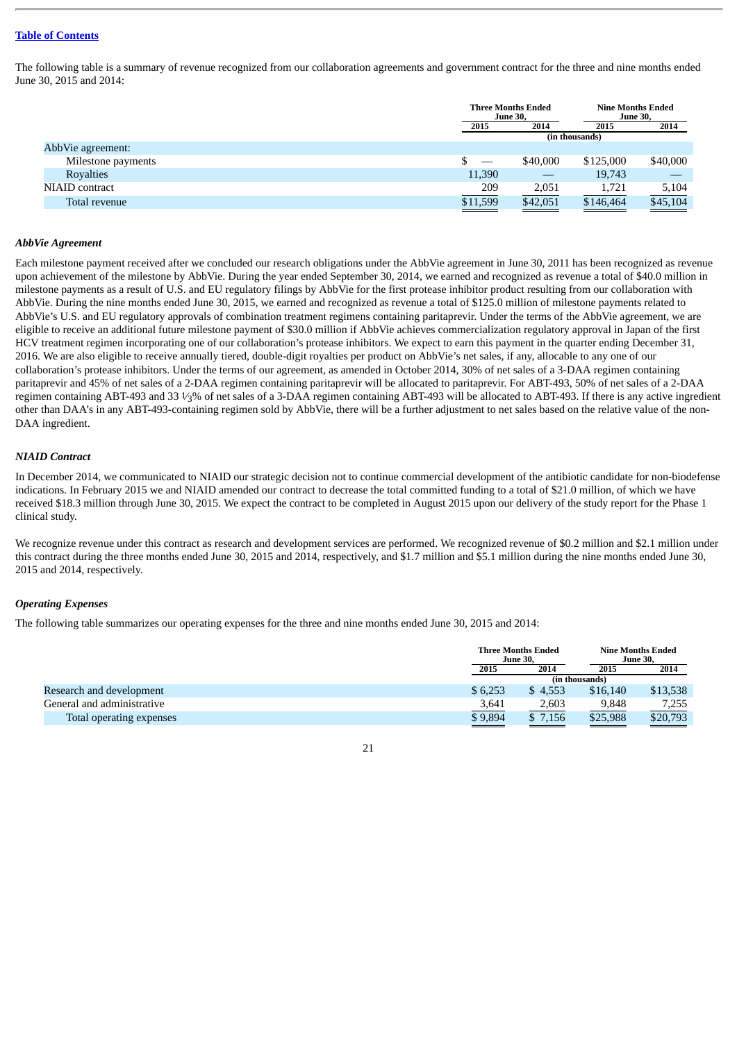The following table is a summary of revenue recognized from our collaboration agreements and government contract for the three and nine months ended June 30, 2015 and 2014:

|                    |          | <b>Three Months Ended</b><br><b>June 30.</b> |           | <b>Nine Months Ended</b><br><b>June 30,</b> |  |
|--------------------|----------|----------------------------------------------|-----------|---------------------------------------------|--|
|                    | 2015     | 2014                                         | 2015      | 2014                                        |  |
|                    |          | (in thousands)                               |           |                                             |  |
| AbbVie agreement:  |          |                                              |           |                                             |  |
| Milestone payments |          | \$40,000                                     | \$125,000 | \$40,000                                    |  |
| Rovalties          | 11,390   | __                                           | 19,743    |                                             |  |
| NIAID contract     | 209      | 2,051                                        | 1,721     | 5,104                                       |  |
| Total revenue      | \$11,599 | \$42,051                                     | \$146,464 | \$45,104                                    |  |

#### *AbbVie Agreement*

Each milestone payment received after we concluded our research obligations under the AbbVie agreement in June 30, 2011 has been recognized as revenue upon achievement of the milestone by AbbVie. During the year ended September 30, 2014, we earned and recognized as revenue a total of \$40.0 million in milestone payments as a result of U.S. and EU regulatory filings by AbbVie for the first protease inhibitor product resulting from our collaboration with AbbVie. During the nine months ended June 30, 2015, we earned and recognized as revenue a total of \$125.0 million of milestone payments related to AbbVie's U.S. and EU regulatory approvals of combination treatment regimens containing paritaprevir. Under the terms of the AbbVie agreement, we are eligible to receive an additional future milestone payment of \$30.0 million if AbbVie achieves commercialization regulatory approval in Japan of the first HCV treatment regimen incorporating one of our collaboration's protease inhibitors. We expect to earn this payment in the quarter ending December 31, 2016. We are also eligible to receive annually tiered, double-digit royalties per product on AbbVie's net sales, if any, allocable to any one of our collaboration's protease inhibitors. Under the terms of our agreement, as amended in October 2014, 30% of net sales of a 3-DAA regimen containing paritaprevir and 45% of net sales of a 2-DAA regimen containing paritaprevir will be allocated to paritaprevir. For ABT-493, 50% of net sales of a 2-DAA regimen containing ABT-493 and 33 1⁄3% of net sales of a 3-DAA regimen containing ABT-493 will be allocated to ABT-493. If there is any active ingredient other than DAA's in any ABT-493-containing regimen sold by AbbVie, there will be a further adjustment to net sales based on the relative value of the non-DAA ingredient.

## *NIAID Contract*

In December 2014, we communicated to NIAID our strategic decision not to continue commercial development of the antibiotic candidate for non-biodefense indications. In February 2015 we and NIAID amended our contract to decrease the total committed funding to a total of \$21.0 million, of which we have received \$18.3 million through June 30, 2015. We expect the contract to be completed in August 2015 upon our delivery of the study report for the Phase 1 clinical study.

We recognize revenue under this contract as research and development services are performed. We recognized revenue of \$0.2 million and \$2.1 million under this contract during the three months ended June 30, 2015 and 2014, respectively, and \$1.7 million and \$5.1 million during the nine months ended June 30, 2015 and 2014, respectively.

## *Operating Expenses*

The following table summarizes our operating expenses for the three and nine months ended June 30, 2015 and 2014:

|                            |                   | <b>Three Months Ended</b><br><b>June 30.</b> |                                                                                                                                   | <b>Nine Months Ended</b><br><b>June 30.</b> |  |
|----------------------------|-------------------|----------------------------------------------|-----------------------------------------------------------------------------------------------------------------------------------|---------------------------------------------|--|
|                            | 2015              | 2014                                         | 2015                                                                                                                              | 2014                                        |  |
|                            |                   | (in thousands)                               |                                                                                                                                   |                                             |  |
| Research and development   | \$6,253           | \$4.553                                      | \$16,140                                                                                                                          | \$13,538                                    |  |
| General and administrative | 3,641             | 2,603                                        | 9.848                                                                                                                             | 7,255                                       |  |
| Total operating expenses   | \$9,894<br>______ | \$7,156                                      | \$25,988<br><u> Tanzania de la contenentación de la contenentación de la contenentación de la contenentación de la contenenta</u> | \$20,793                                    |  |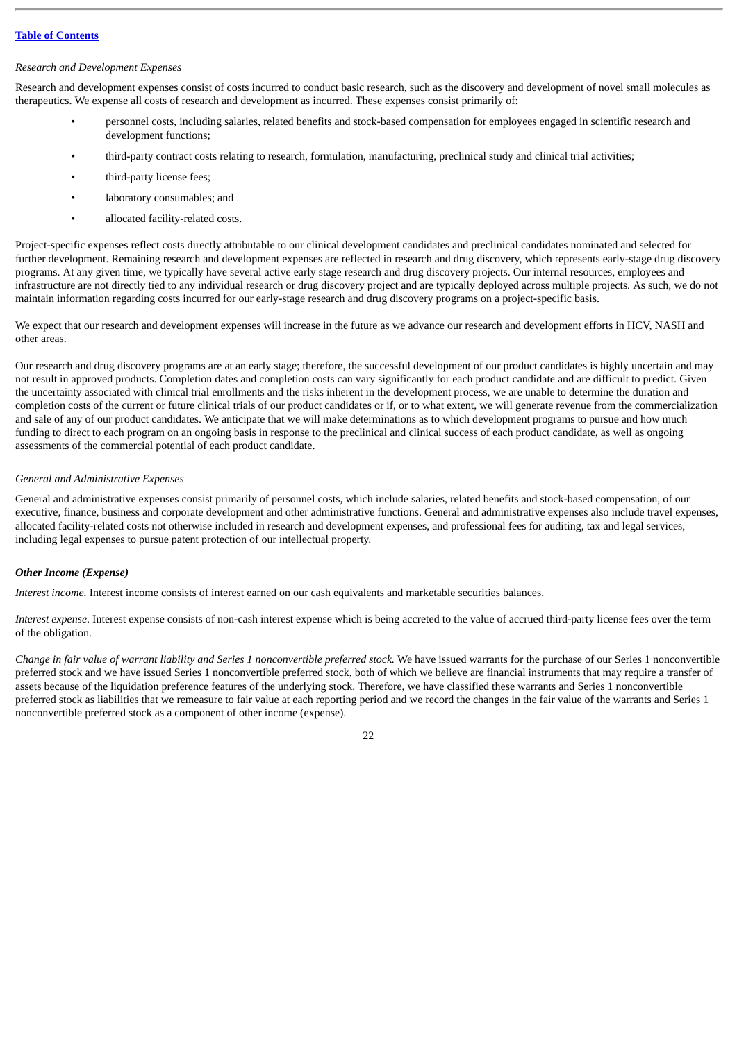#### *Research and Development Expenses*

Research and development expenses consist of costs incurred to conduct basic research, such as the discovery and development of novel small molecules as therapeutics. We expense all costs of research and development as incurred. These expenses consist primarily of:

- personnel costs, including salaries, related benefits and stock-based compensation for employees engaged in scientific research and development functions;
- third-party contract costs relating to research, formulation, manufacturing, preclinical study and clinical trial activities;
- third-party license fees;
- laboratory consumables; and
- allocated facility-related costs.

Project-specific expenses reflect costs directly attributable to our clinical development candidates and preclinical candidates nominated and selected for further development. Remaining research and development expenses are reflected in research and drug discovery, which represents early-stage drug discovery programs. At any given time, we typically have several active early stage research and drug discovery projects. Our internal resources, employees and infrastructure are not directly tied to any individual research or drug discovery project and are typically deployed across multiple projects. As such, we do not maintain information regarding costs incurred for our early-stage research and drug discovery programs on a project-specific basis.

We expect that our research and development expenses will increase in the future as we advance our research and development efforts in HCV, NASH and other areas.

Our research and drug discovery programs are at an early stage; therefore, the successful development of our product candidates is highly uncertain and may not result in approved products. Completion dates and completion costs can vary significantly for each product candidate and are difficult to predict. Given the uncertainty associated with clinical trial enrollments and the risks inherent in the development process, we are unable to determine the duration and completion costs of the current or future clinical trials of our product candidates or if, or to what extent, we will generate revenue from the commercialization and sale of any of our product candidates. We anticipate that we will make determinations as to which development programs to pursue and how much funding to direct to each program on an ongoing basis in response to the preclinical and clinical success of each product candidate, as well as ongoing assessments of the commercial potential of each product candidate.

#### *General and Administrative Expenses*

General and administrative expenses consist primarily of personnel costs, which include salaries, related benefits and stock-based compensation, of our executive, finance, business and corporate development and other administrative functions. General and administrative expenses also include travel expenses, allocated facility-related costs not otherwise included in research and development expenses, and professional fees for auditing, tax and legal services, including legal expenses to pursue patent protection of our intellectual property.

## *Other Income (Expense)*

*Interest income.* Interest income consists of interest earned on our cash equivalents and marketable securities balances.

*Interest expense*. Interest expense consists of non-cash interest expense which is being accreted to the value of accrued third-party license fees over the term of the obligation.

Change in fair value of warrant liability and Series 1 nonconvertible preferred stock. We have issued warrants for the purchase of our Series 1 nonconvertible preferred stock and we have issued Series 1 nonconvertible preferred stock, both of which we believe are financial instruments that may require a transfer of assets because of the liquidation preference features of the underlying stock. Therefore, we have classified these warrants and Series 1 nonconvertible preferred stock as liabilities that we remeasure to fair value at each reporting period and we record the changes in the fair value of the warrants and Series 1 nonconvertible preferred stock as a component of other income (expense).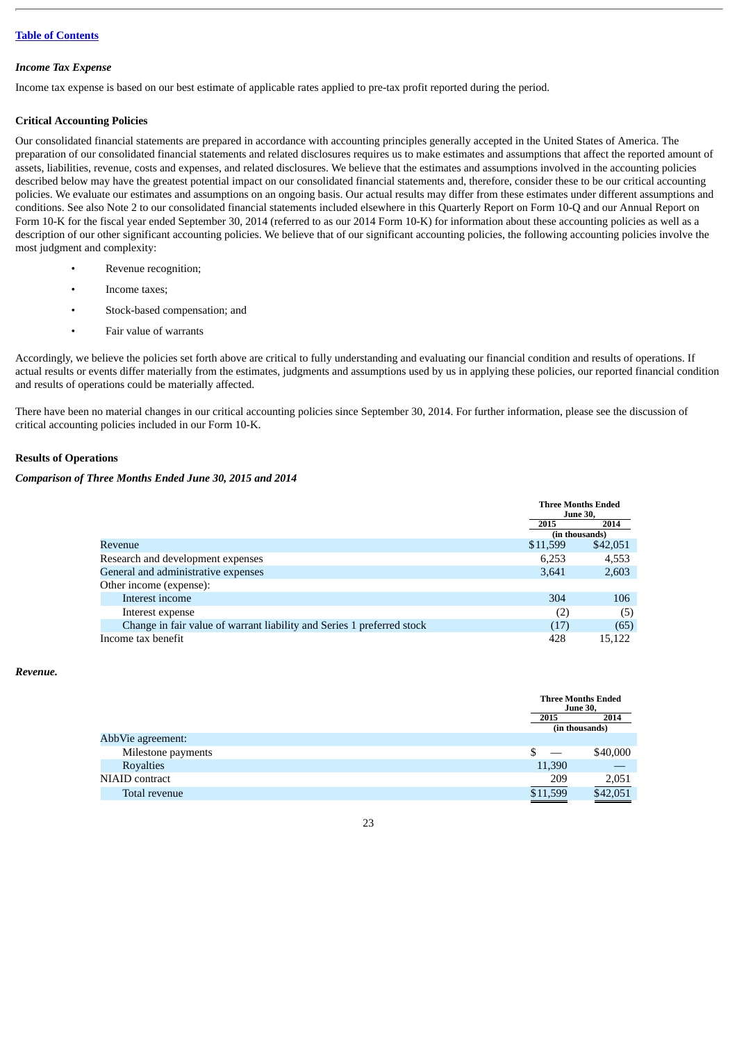#### *Income Tax Expense*

Income tax expense is based on our best estimate of applicable rates applied to pre-tax profit reported during the period.

#### **Critical Accounting Policies**

Our consolidated financial statements are prepared in accordance with accounting principles generally accepted in the United States of America. The preparation of our consolidated financial statements and related disclosures requires us to make estimates and assumptions that affect the reported amount of assets, liabilities, revenue, costs and expenses, and related disclosures. We believe that the estimates and assumptions involved in the accounting policies described below may have the greatest potential impact on our consolidated financial statements and, therefore, consider these to be our critical accounting policies. We evaluate our estimates and assumptions on an ongoing basis. Our actual results may differ from these estimates under different assumptions and conditions. See also Note 2 to our consolidated financial statements included elsewhere in this Quarterly Report on Form 10-Q and our Annual Report on Form 10-K for the fiscal year ended September 30, 2014 (referred to as our 2014 Form 10-K) for information about these accounting policies as well as a description of our other significant accounting policies. We believe that of our significant accounting policies, the following accounting policies involve the most judgment and complexity:

- Revenue recognition;
- Income taxes:
- Stock-based compensation; and
- Fair value of warrants

Accordingly, we believe the policies set forth above are critical to fully understanding and evaluating our financial condition and results of operations. If actual results or events differ materially from the estimates, judgments and assumptions used by us in applying these policies, our reported financial condition and results of operations could be materially affected.

There have been no material changes in our critical accounting policies since September 30, 2014. For further information, please see the discussion of critical accounting policies included in our Form 10-K.

#### **Results of Operations**

#### *Comparison of Three Months Ended June 30, 2015 and 2014*

|                                                                        | <b>Three Months Ended</b><br><b>June 30.</b> |                |
|------------------------------------------------------------------------|----------------------------------------------|----------------|
|                                                                        | 2015                                         | 2014           |
|                                                                        |                                              | (in thousands) |
| Revenue                                                                | \$11,599                                     | \$42,051       |
| Research and development expenses                                      | 6,253                                        | 4,553          |
| General and administrative expenses                                    | 3.641                                        | 2,603          |
| Other income (expense):                                                |                                              |                |
| Interest income                                                        | 304                                          | 106            |
| Interest expense                                                       | (2)                                          | (5)            |
| Change in fair value of warrant liability and Series 1 preferred stock | (17)                                         | (65)           |
| Income tax benefit                                                     | 428                                          | 15.122         |

*Revenue.*

|                    |          | <b>Three Months Ended</b><br><b>June 30,</b> |
|--------------------|----------|----------------------------------------------|
|                    | 2015     | 2014                                         |
|                    |          | (in thousands)                               |
| AbbVie agreement:  |          |                                              |
| Milestone payments |          | \$40,000                                     |
| <b>Royalties</b>   | 11,390   |                                              |
| NIAID contract     | 209      | 2,051                                        |
| Total revenue      | \$11,599 | \$42,051                                     |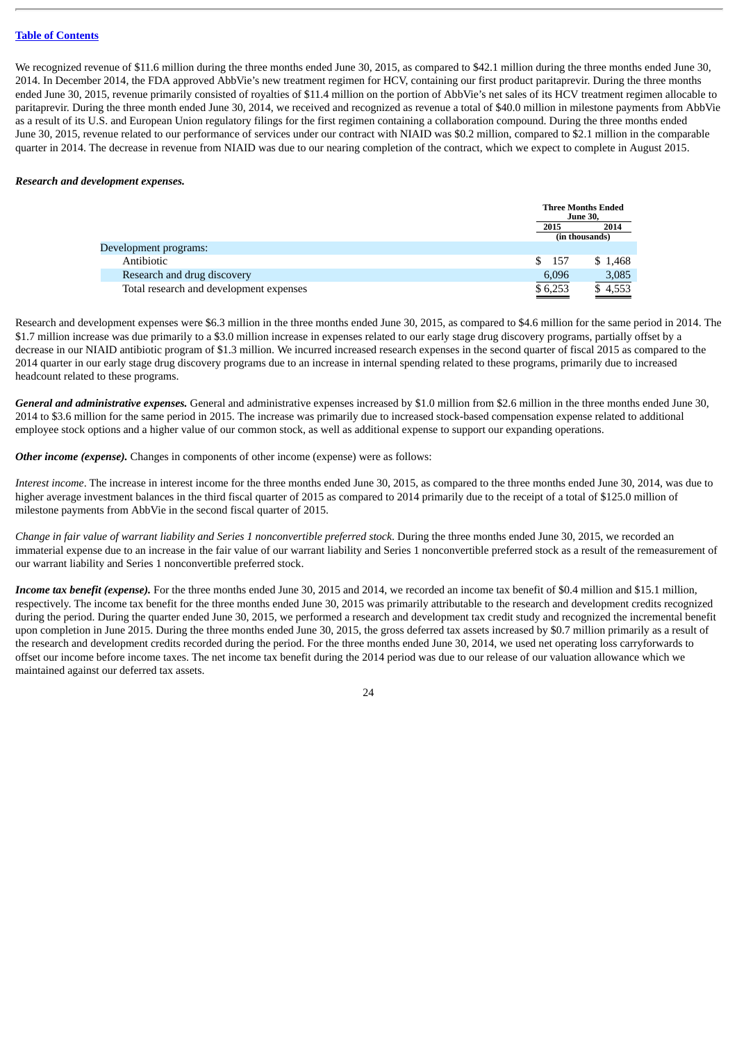We recognized revenue of \$11.6 million during the three months ended June 30, 2015, as compared to \$42.1 million during the three months ended June 30, 2014. In December 2014, the FDA approved AbbVie's new treatment regimen for HCV, containing our first product paritaprevir. During the three months ended June 30, 2015, revenue primarily consisted of royalties of \$11.4 million on the portion of AbbVie's net sales of its HCV treatment regimen allocable to paritaprevir. During the three month ended June 30, 2014, we received and recognized as revenue a total of \$40.0 million in milestone payments from AbbVie as a result of its U.S. and European Union regulatory filings for the first regimen containing a collaboration compound. During the three months ended June 30, 2015, revenue related to our performance of services under our contract with NIAID was \$0.2 million, compared to \$2.1 million in the comparable quarter in 2014. The decrease in revenue from NIAID was due to our nearing completion of the contract, which we expect to complete in August 2015.

#### *Research and development expenses.*

|                                         |            | <b>Three Months Ended</b><br><b>June 30,</b> |
|-----------------------------------------|------------|----------------------------------------------|
|                                         | 2015       | 2014                                         |
|                                         |            | (in thousands)                               |
| Development programs:                   |            |                                              |
| Antibiotic                              | -157<br>S. | \$1,468                                      |
| Research and drug discovery             | 6,096      | 3,085                                        |
| Total research and development expenses | \$6,253    | 4,553                                        |

Research and development expenses were \$6.3 million in the three months ended June 30, 2015, as compared to \$4.6 million for the same period in 2014. The \$1.7 million increase was due primarily to a \$3.0 million increase in expenses related to our early stage drug discovery programs, partially offset by a decrease in our NIAID antibiotic program of \$1.3 million. We incurred increased research expenses in the second quarter of fiscal 2015 as compared to the 2014 quarter in our early stage drug discovery programs due to an increase in internal spending related to these programs, primarily due to increased headcount related to these programs.

*General and administrative expenses.* General and administrative expenses increased by \$1.0 million from \$2.6 million in the three months ended June 30, 2014 to \$3.6 million for the same period in 2015. The increase was primarily due to increased stock-based compensation expense related to additional employee stock options and a higher value of our common stock, as well as additional expense to support our expanding operations.

*Other income (expense).* Changes in components of other income (expense) were as follows:

*Interest income*. The increase in interest income for the three months ended June 30, 2015, as compared to the three months ended June 30, 2014, was due to higher average investment balances in the third fiscal quarter of 2015 as compared to 2014 primarily due to the receipt of a total of \$125.0 million of milestone payments from AbbVie in the second fiscal quarter of 2015.

Change in fair value of warrant liability and Series 1 nonconvertible preferred stock. During the three months ended June 30, 2015, we recorded an immaterial expense due to an increase in the fair value of our warrant liability and Series 1 nonconvertible preferred stock as a result of the remeasurement of our warrant liability and Series 1 nonconvertible preferred stock.

*Income tax benefit (expense).* For the three months ended June 30, 2015 and 2014, we recorded an income tax benefit of \$0.4 million and \$15.1 million, respectively. The income tax benefit for the three months ended June 30, 2015 was primarily attributable to the research and development credits recognized during the period. During the quarter ended June 30, 2015, we performed a research and development tax credit study and recognized the incremental benefit upon completion in June 2015. During the three months ended June 30, 2015, the gross deferred tax assets increased by \$0.7 million primarily as a result of the research and development credits recorded during the period. For the three months ended June 30, 2014, we used net operating loss carryforwards to offset our income before income taxes. The net income tax benefit during the 2014 period was due to our release of our valuation allowance which we maintained against our deferred tax assets.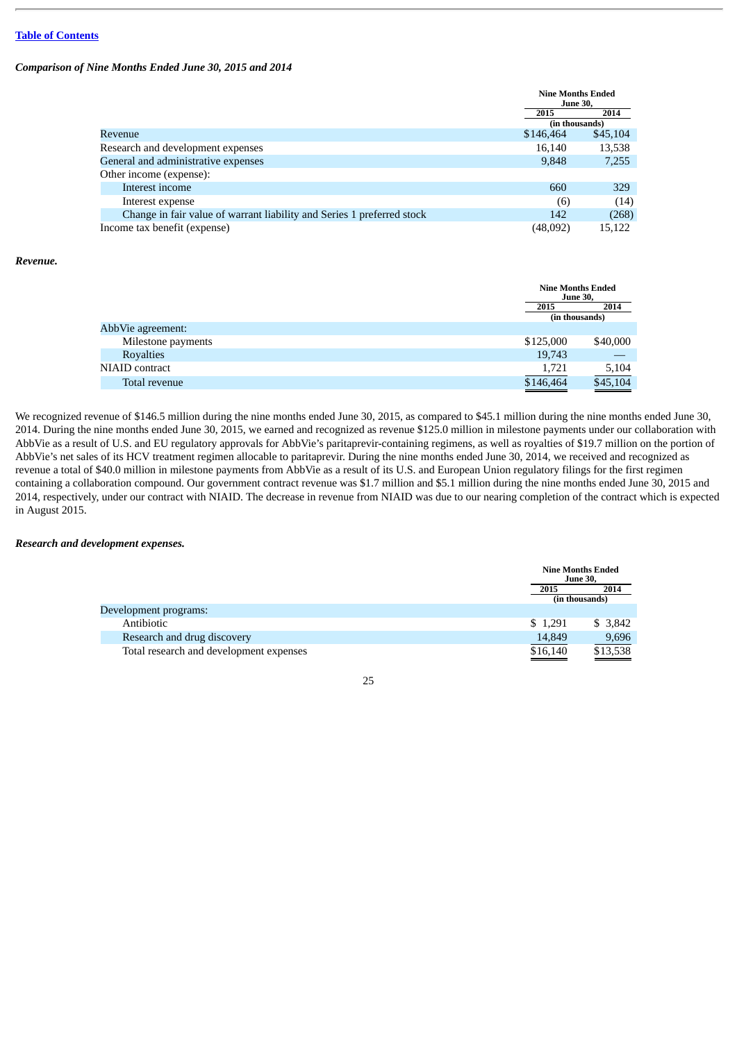#### *Comparison of Nine Months Ended June 30, 2015 and 2014*

|                                                                        |                | <b>Nine Months Ended</b><br><b>June 30.</b> |  |
|------------------------------------------------------------------------|----------------|---------------------------------------------|--|
|                                                                        | 2015           | 2014                                        |  |
|                                                                        | (in thousands) |                                             |  |
| Revenue                                                                | \$146,464      | \$45,104                                    |  |
| Research and development expenses                                      | 16.140         | 13,538                                      |  |
| General and administrative expenses                                    | 9,848          | 7,255                                       |  |
| Other income (expense):                                                |                |                                             |  |
| Interest income                                                        | 660            | 329                                         |  |
| Interest expense                                                       | (6)            | (14)                                        |  |
| Change in fair value of warrant liability and Series 1 preferred stock | 142            | (268)                                       |  |
| Income tax benefit (expense)                                           | (48,092)       | 15.122                                      |  |

*Revenue.*

|                    |           | <b>Nine Months Ended</b><br><b>June 30,</b> |  |
|--------------------|-----------|---------------------------------------------|--|
|                    | 2015      | 2014                                        |  |
|                    |           | (in thousands)                              |  |
| AbbVie agreement:  |           |                                             |  |
| Milestone payments | \$125,000 | \$40,000                                    |  |
| <b>Royalties</b>   | 19,743    |                                             |  |
| NIAID contract     | 1,721     | 5,104                                       |  |
| Total revenue      | \$146,464 | \$45,104                                    |  |
|                    |           |                                             |  |

We recognized revenue of \$146.5 million during the nine months ended June 30, 2015, as compared to \$45.1 million during the nine months ended June 30, 2014. During the nine months ended June 30, 2015, we earned and recognized as revenue \$125.0 million in milestone payments under our collaboration with AbbVie as a result of U.S. and EU regulatory approvals for AbbVie's paritaprevir-containing regimens, as well as royalties of \$19.7 million on the portion of AbbVie's net sales of its HCV treatment regimen allocable to paritaprevir. During the nine months ended June 30, 2014, we received and recognized as revenue a total of \$40.0 million in milestone payments from AbbVie as a result of its U.S. and European Union regulatory filings for the first regimen containing a collaboration compound. Our government contract revenue was \$1.7 million and \$5.1 million during the nine months ended June 30, 2015 and 2014, respectively, under our contract with NIAID. The decrease in revenue from NIAID was due to our nearing completion of the contract which is expected in August 2015.

## *Research and development expenses.*

|                                         |          | <b>Nine Months Ended</b><br><b>June 30.</b> |  |
|-----------------------------------------|----------|---------------------------------------------|--|
|                                         | 2015     | 2014                                        |  |
|                                         |          | (in thousands)                              |  |
| Development programs:                   |          |                                             |  |
| Antibiotic                              | \$1,291  | \$ 3,842                                    |  |
| Research and drug discovery             | 14,849   | 9,696                                       |  |
| Total research and development expenses | \$16,140 | \$13,538                                    |  |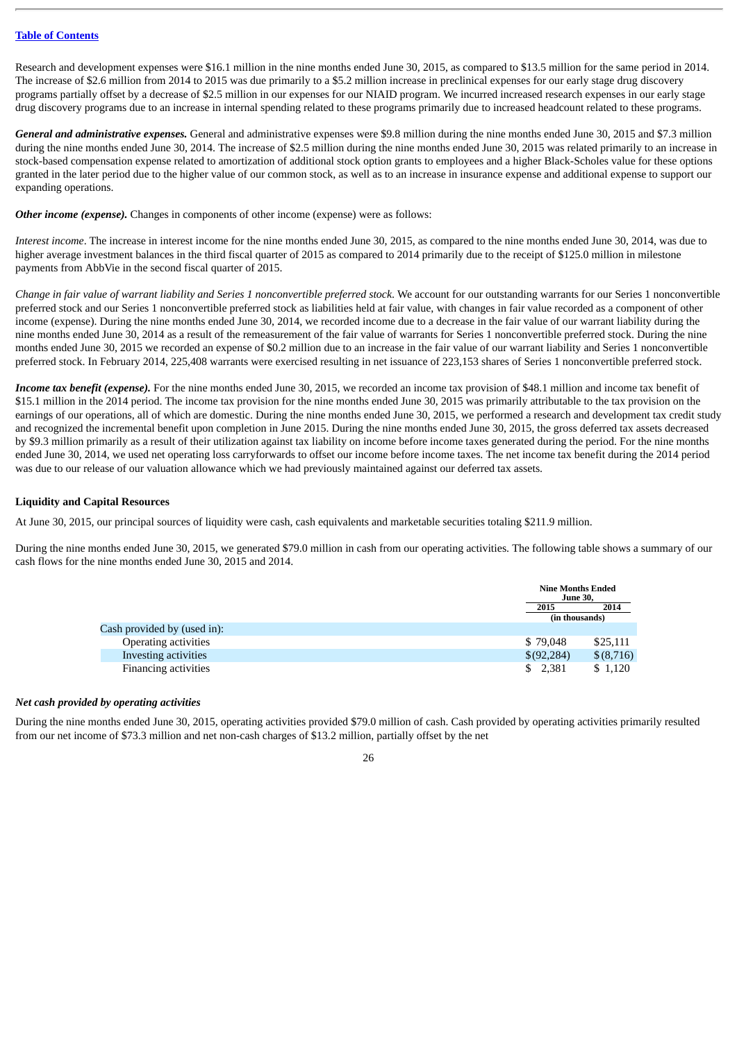Research and development expenses were \$16.1 million in the nine months ended June 30, 2015, as compared to \$13.5 million for the same period in 2014. The increase of \$2.6 million from 2014 to 2015 was due primarily to a \$5.2 million increase in preclinical expenses for our early stage drug discovery programs partially offset by a decrease of \$2.5 million in our expenses for our NIAID program. We incurred increased research expenses in our early stage drug discovery programs due to an increase in internal spending related to these programs primarily due to increased headcount related to these programs.

*General and administrative expenses.* General and administrative expenses were \$9.8 million during the nine months ended June 30, 2015 and \$7.3 million during the nine months ended June 30, 2014. The increase of \$2.5 million during the nine months ended June 30, 2015 was related primarily to an increase in stock-based compensation expense related to amortization of additional stock option grants to employees and a higher Black-Scholes value for these options granted in the later period due to the higher value of our common stock, as well as to an increase in insurance expense and additional expense to support our expanding operations.

*Other income (expense).* Changes in components of other income (expense) were as follows:

*Interest income*. The increase in interest income for the nine months ended June 30, 2015, as compared to the nine months ended June 30, 2014, was due to higher average investment balances in the third fiscal quarter of 2015 as compared to 2014 primarily due to the receipt of \$125.0 million in milestone payments from AbbVie in the second fiscal quarter of 2015.

Change in fair value of warrant liability and Series 1 nonconvertible preferred stock. We account for our outstanding warrants for our Series 1 nonconvertible preferred stock and our Series 1 nonconvertible preferred stock as liabilities held at fair value, with changes in fair value recorded as a component of other income (expense). During the nine months ended June 30, 2014, we recorded income due to a decrease in the fair value of our warrant liability during the nine months ended June 30, 2014 as a result of the remeasurement of the fair value of warrants for Series 1 nonconvertible preferred stock. During the nine months ended June 30, 2015 we recorded an expense of \$0.2 million due to an increase in the fair value of our warrant liability and Series 1 nonconvertible preferred stock. In February 2014, 225,408 warrants were exercised resulting in net issuance of 223,153 shares of Series 1 nonconvertible preferred stock.

*Income tax benefit (expense).* For the nine months ended June 30, 2015, we recorded an income tax provision of \$48.1 million and income tax benefit of \$15.1 million in the 2014 period. The income tax provision for the nine months ended June 30, 2015 was primarily attributable to the tax provision on the earnings of our operations, all of which are domestic. During the nine months ended June 30, 2015, we performed a research and development tax credit study and recognized the incremental benefit upon completion in June 2015. During the nine months ended June 30, 2015, the gross deferred tax assets decreased by \$9.3 million primarily as a result of their utilization against tax liability on income before income taxes generated during the period. For the nine months ended June 30, 2014, we used net operating loss carryforwards to offset our income before income taxes. The net income tax benefit during the 2014 period was due to our release of our valuation allowance which we had previously maintained against our deferred tax assets.

#### **Liquidity and Capital Resources**

At June 30, 2015, our principal sources of liquidity were cash, cash equivalents and marketable securities totaling \$211.9 million.

During the nine months ended June 30, 2015, we generated \$79.0 million in cash from our operating activities. The following table shows a summary of our cash flows for the nine months ended June 30, 2015 and 2014.

|                             |                | <b>Nine Months Ended</b><br><b>June 30.</b> |  |
|-----------------------------|----------------|---------------------------------------------|--|
|                             | 2015           | 2014                                        |  |
|                             | (in thousands) |                                             |  |
| Cash provided by (used in): |                |                                             |  |
| Operating activities        | \$79,048       | \$25,111                                    |  |
| Investing activities        | \$(92,284)     | \$(8,716)                                   |  |
| <b>Financing activities</b> | \$2,381        | \$1,120                                     |  |

#### *Net cash provided by operating activities*

During the nine months ended June 30, 2015, operating activities provided \$79.0 million of cash. Cash provided by operating activities primarily resulted from our net income of \$73.3 million and net non-cash charges of \$13.2 million, partially offset by the net

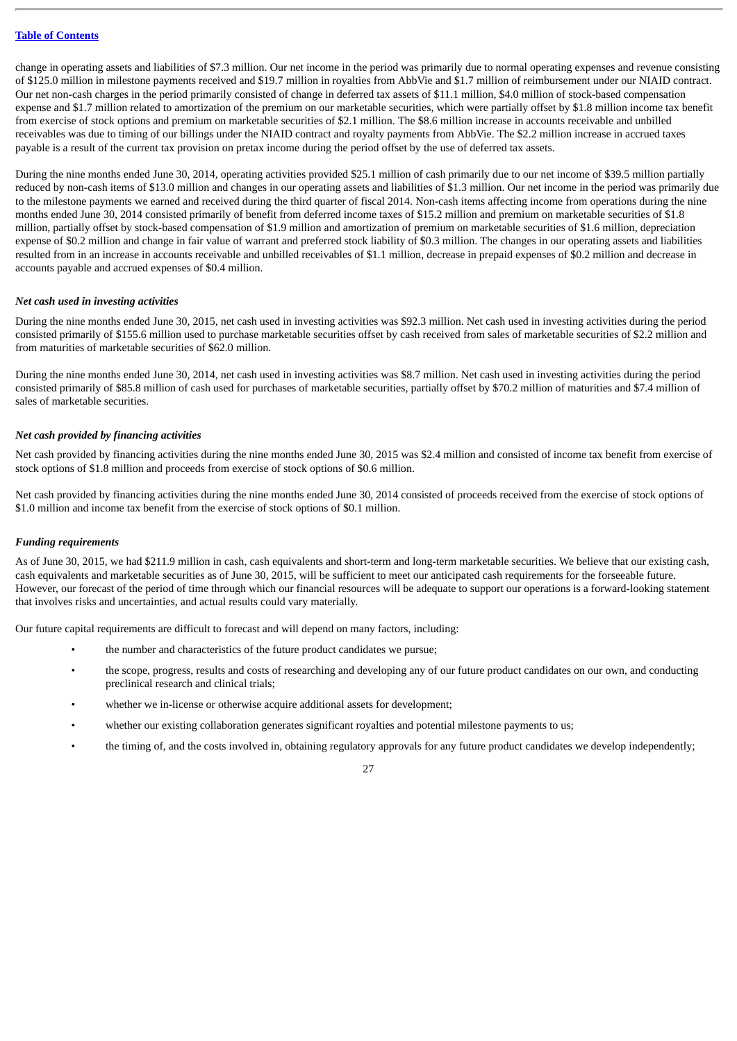change in operating assets and liabilities of \$7.3 million. Our net income in the period was primarily due to normal operating expenses and revenue consisting of \$125.0 million in milestone payments received and \$19.7 million in royalties from AbbVie and \$1.7 million of reimbursement under our NIAID contract. Our net non-cash charges in the period primarily consisted of change in deferred tax assets of \$11.1 million, \$4.0 million of stock-based compensation expense and \$1.7 million related to amortization of the premium on our marketable securities, which were partially offset by \$1.8 million income tax benefit from exercise of stock options and premium on marketable securities of \$2.1 million. The \$8.6 million increase in accounts receivable and unbilled receivables was due to timing of our billings under the NIAID contract and royalty payments from AbbVie. The \$2.2 million increase in accrued taxes payable is a result of the current tax provision on pretax income during the period offset by the use of deferred tax assets.

During the nine months ended June 30, 2014, operating activities provided \$25.1 million of cash primarily due to our net income of \$39.5 million partially reduced by non-cash items of \$13.0 million and changes in our operating assets and liabilities of \$1.3 million. Our net income in the period was primarily due to the milestone payments we earned and received during the third quarter of fiscal 2014. Non-cash items affecting income from operations during the nine months ended June 30, 2014 consisted primarily of benefit from deferred income taxes of \$15.2 million and premium on marketable securities of \$1.8 million, partially offset by stock-based compensation of \$1.9 million and amortization of premium on marketable securities of \$1.6 million, depreciation expense of \$0.2 million and change in fair value of warrant and preferred stock liability of \$0.3 million. The changes in our operating assets and liabilities resulted from in an increase in accounts receivable and unbilled receivables of \$1.1 million, decrease in prepaid expenses of \$0.2 million and decrease in accounts payable and accrued expenses of \$0.4 million.

#### *Net cash used in investing activities*

During the nine months ended June 30, 2015, net cash used in investing activities was \$92.3 million. Net cash used in investing activities during the period consisted primarily of \$155.6 million used to purchase marketable securities offset by cash received from sales of marketable securities of \$2.2 million and from maturities of marketable securities of \$62.0 million.

During the nine months ended June 30, 2014, net cash used in investing activities was \$8.7 million. Net cash used in investing activities during the period consisted primarily of \$85.8 million of cash used for purchases of marketable securities, partially offset by \$70.2 million of maturities and \$7.4 million of sales of marketable securities.

#### *Net cash provided by financing activities*

Net cash provided by financing activities during the nine months ended June 30, 2015 was \$2.4 million and consisted of income tax benefit from exercise of stock options of \$1.8 million and proceeds from exercise of stock options of \$0.6 million.

Net cash provided by financing activities during the nine months ended June 30, 2014 consisted of proceeds received from the exercise of stock options of \$1.0 million and income tax benefit from the exercise of stock options of \$0.1 million.

#### *Funding requirements*

As of June 30, 2015, we had \$211.9 million in cash, cash equivalents and short-term and long-term marketable securities. We believe that our existing cash, cash equivalents and marketable securities as of June 30, 2015, will be sufficient to meet our anticipated cash requirements for the forseeable future. However, our forecast of the period of time through which our financial resources will be adequate to support our operations is a forward-looking statement that involves risks and uncertainties, and actual results could vary materially.

Our future capital requirements are difficult to forecast and will depend on many factors, including:

- the number and characteristics of the future product candidates we pursue;
- the scope, progress, results and costs of researching and developing any of our future product candidates on our own, and conducting preclinical research and clinical trials;
- whether we in-license or otherwise acquire additional assets for development;
- whether our existing collaboration generates significant royalties and potential milestone payments to us;
- the timing of, and the costs involved in, obtaining regulatory approvals for any future product candidates we develop independently;

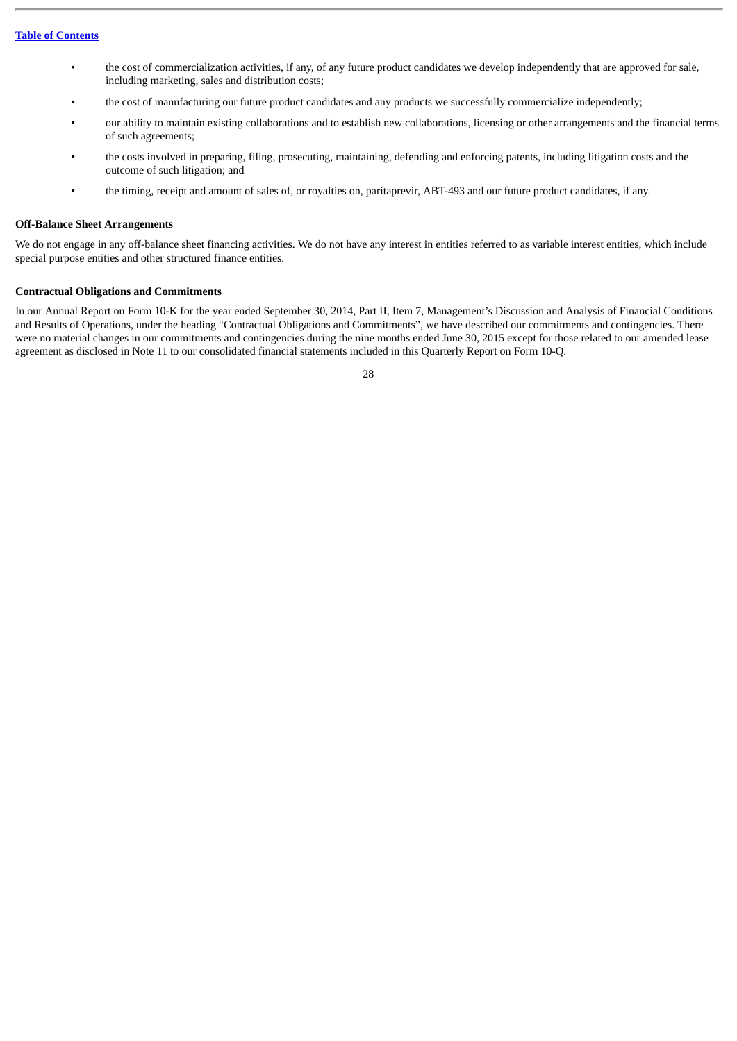- the cost of commercialization activities, if any, of any future product candidates we develop independently that are approved for sale, including marketing, sales and distribution costs;
- the cost of manufacturing our future product candidates and any products we successfully commercialize independently;
- our ability to maintain existing collaborations and to establish new collaborations, licensing or other arrangements and the financial terms of such agreements;
- the costs involved in preparing, filing, prosecuting, maintaining, defending and enforcing patents, including litigation costs and the outcome of such litigation; and
- the timing, receipt and amount of sales of, or royalties on, paritaprevir, ABT-493 and our future product candidates, if any.

#### **Off-Balance Sheet Arrangements**

We do not engage in any off-balance sheet financing activities. We do not have any interest in entities referred to as variable interest entities, which include special purpose entities and other structured finance entities.

#### **Contractual Obligations and Commitments**

In our Annual Report on Form 10-K for the year ended September 30, 2014, Part II, Item 7, Management's Discussion and Analysis of Financial Conditions and Results of Operations, under the heading "Contractual Obligations and Commitments", we have described our commitments and contingencies. There were no material changes in our commitments and contingencies during the nine months ended June 30, 2015 except for those related to our amended lease agreement as disclosed in Note 11 to our consolidated financial statements included in this Quarterly Report on Form 10-Q.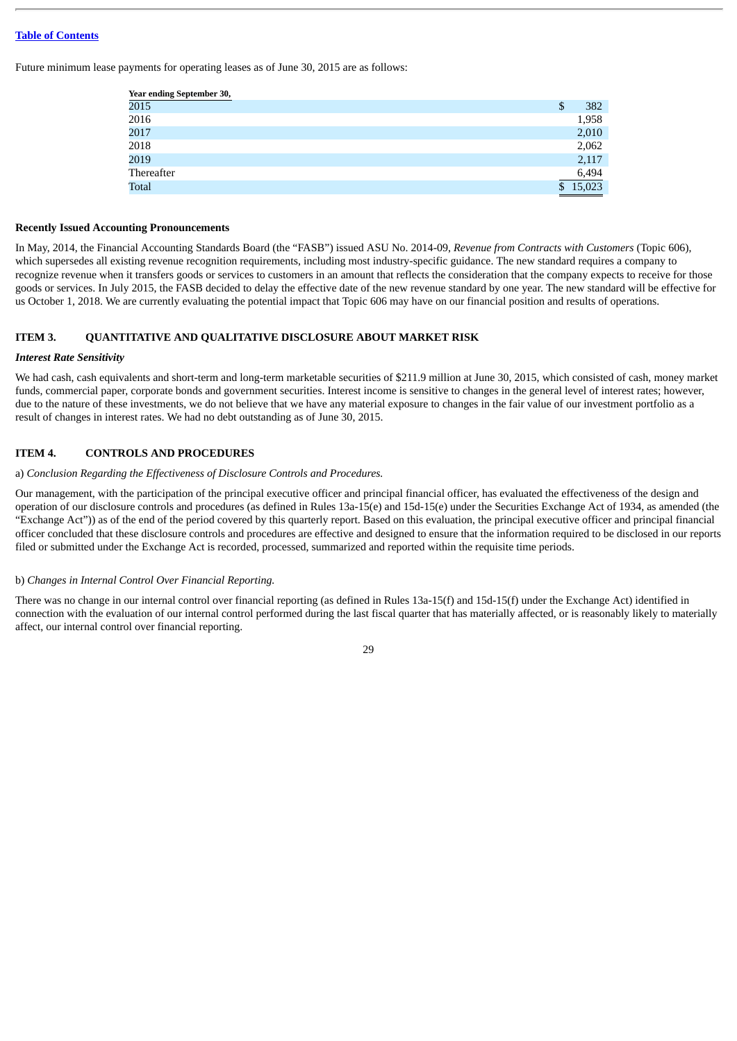Future minimum lease payments for operating leases as of June 30, 2015 are as follows:

| Year ending September 30, |    |        |
|---------------------------|----|--------|
| 2015                      | \$ | 382    |
| 2016                      |    | 1,958  |
| 2017                      |    | 2,010  |
| 2018                      |    | 2,062  |
| 2019                      |    | 2,117  |
| Thereafter                |    | 6,494  |
| <b>Total</b>              | S  | 15,023 |
|                           |    |        |

#### **Recently Issued Accounting Pronouncements**

In May, 2014, the Financial Accounting Standards Board (the "FASB") issued ASU No. 2014-09, *Revenue from Contracts with Customers* (Topic 606), which supersedes all existing revenue recognition requirements, including most industry-specific guidance. The new standard requires a company to recognize revenue when it transfers goods or services to customers in an amount that reflects the consideration that the company expects to receive for those goods or services. In July 2015, the FASB decided to delay the effective date of the new revenue standard by one year. The new standard will be effective for us October 1, 2018. We are currently evaluating the potential impact that Topic 606 may have on our financial position and results of operations.

## <span id="page-28-0"></span>**ITEM 3. QUANTITATIVE AND QUALITATIVE DISCLOSURE ABOUT MARKET RISK**

#### *Interest Rate Sensitivity*

We had cash, cash equivalents and short-term and long-term marketable securities of \$211.9 million at June 30, 2015, which consisted of cash, money market funds, commercial paper, corporate bonds and government securities. Interest income is sensitive to changes in the general level of interest rates; however, due to the nature of these investments, we do not believe that we have any material exposure to changes in the fair value of our investment portfolio as a result of changes in interest rates. We had no debt outstanding as of June 30, 2015.

## <span id="page-28-1"></span>**ITEM 4. CONTROLS AND PROCEDURES**

#### a) *Conclusion Regarding the Effectiveness of Disclosure Controls and Procedures.*

Our management, with the participation of the principal executive officer and principal financial officer, has evaluated the effectiveness of the design and operation of our disclosure controls and procedures (as defined in Rules 13a-15(e) and 15d-15(e) under the Securities Exchange Act of 1934, as amended (the "Exchange Act")) as of the end of the period covered by this quarterly report. Based on this evaluation, the principal executive officer and principal financial officer concluded that these disclosure controls and procedures are effective and designed to ensure that the information required to be disclosed in our reports filed or submitted under the Exchange Act is recorded, processed, summarized and reported within the requisite time periods.

#### b) *Changes in Internal Control Over Financial Reporting.*

There was no change in our internal control over financial reporting (as defined in Rules 13a-15(f) and 15d-15(f) under the Exchange Act) identified in connection with the evaluation of our internal control performed during the last fiscal quarter that has materially affected, or is reasonably likely to materially affect, our internal control over financial reporting.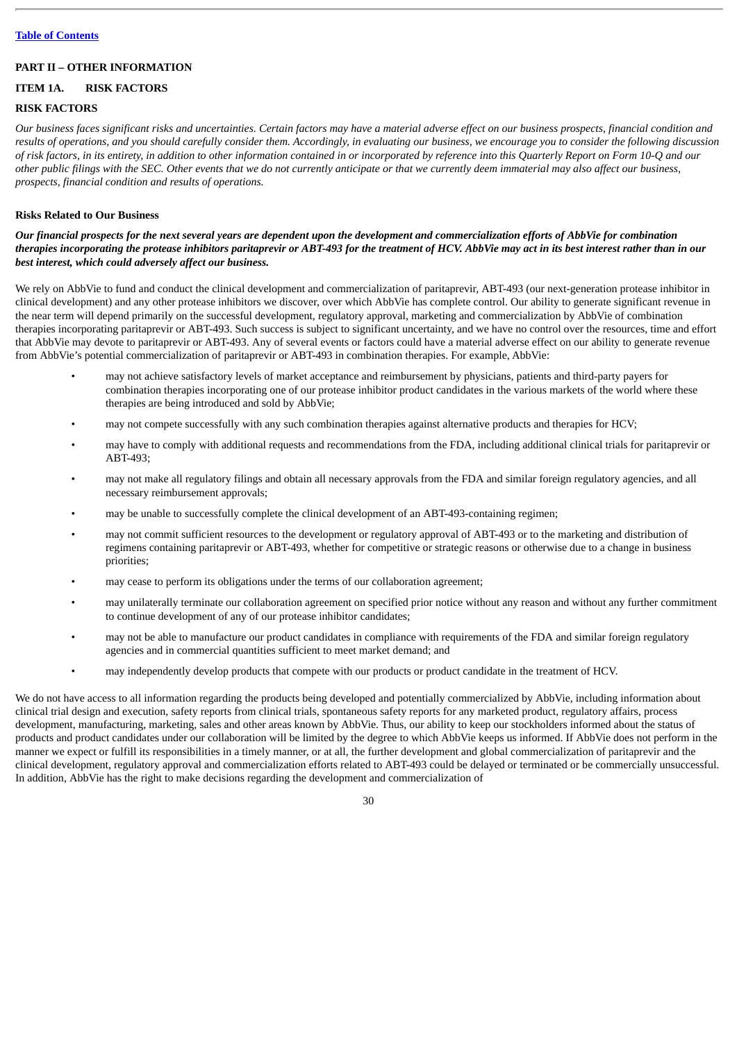## <span id="page-29-0"></span>**PART II – OTHER INFORMATION**

## <span id="page-29-1"></span>**ITEM 1A. RISK FACTORS**

#### **RISK FACTORS**

Our business faces significant risks and uncertainties. Certain factors may have a material adverse effect on our business prospects, financial condition and results of operations, and you should carefully consider them. Accordingly, in evaluating our business, we encourage you to consider the following discussion of risk factors, in its entirety, in addition to other information contained in or incorporated by reference into this Quarterly Report on Form 10-Q and our other public filings with the SEC. Other events that we do not currently anticipate or that we currently deem immaterial may also affect our business, *prospects, financial condition and results of operations.*

#### **Risks Related to Our Business**

Our financial prospects for the next several years are dependent upon the development and commercialization efforts of AbbVie for combination therapies incorporating the protease inhibitors paritaprevir or ABT-493 for the treatment of HCV. AbbVie may act in its best interest rather than in our *best interest, which could adversely affect our business.*

We rely on AbbVie to fund and conduct the clinical development and commercialization of paritaprevir, ABT-493 (our next-generation protease inhibitor in clinical development) and any other protease inhibitors we discover, over which AbbVie has complete control. Our ability to generate significant revenue in the near term will depend primarily on the successful development, regulatory approval, marketing and commercialization by AbbVie of combination therapies incorporating paritaprevir or ABT-493. Such success is subject to significant uncertainty, and we have no control over the resources, time and effort that AbbVie may devote to paritaprevir or ABT-493. Any of several events or factors could have a material adverse effect on our ability to generate revenue from AbbVie's potential commercialization of paritaprevir or ABT-493 in combination therapies. For example, AbbVie:

- may not achieve satisfactory levels of market acceptance and reimbursement by physicians, patients and third-party payers for combination therapies incorporating one of our protease inhibitor product candidates in the various markets of the world where these therapies are being introduced and sold by AbbVie;
- may not compete successfully with any such combination therapies against alternative products and therapies for HCV;
- may have to comply with additional requests and recommendations from the FDA, including additional clinical trials for paritaprevir or ABT-493;
- may not make all regulatory filings and obtain all necessary approvals from the FDA and similar foreign regulatory agencies, and all necessary reimbursement approvals;
- may be unable to successfully complete the clinical development of an ABT-493-containing regimen;
- may not commit sufficient resources to the development or regulatory approval of ABT-493 or to the marketing and distribution of regimens containing paritaprevir or ABT-493, whether for competitive or strategic reasons or otherwise due to a change in business priorities;
- may cease to perform its obligations under the terms of our collaboration agreement;
- may unilaterally terminate our collaboration agreement on specified prior notice without any reason and without any further commitment to continue development of any of our protease inhibitor candidates;
- may not be able to manufacture our product candidates in compliance with requirements of the FDA and similar foreign regulatory agencies and in commercial quantities sufficient to meet market demand; and
- may independently develop products that compete with our products or product candidate in the treatment of HCV.

We do not have access to all information regarding the products being developed and potentially commercialized by AbbVie, including information about clinical trial design and execution, safety reports from clinical trials, spontaneous safety reports for any marketed product, regulatory affairs, process development, manufacturing, marketing, sales and other areas known by AbbVie. Thus, our ability to keep our stockholders informed about the status of products and product candidates under our collaboration will be limited by the degree to which AbbVie keeps us informed. If AbbVie does not perform in the manner we expect or fulfill its responsibilities in a timely manner, or at all, the further development and global commercialization of paritaprevir and the clinical development, regulatory approval and commercialization efforts related to ABT-493 could be delayed or terminated or be commercially unsuccessful. In addition, AbbVie has the right to make decisions regarding the development and commercialization of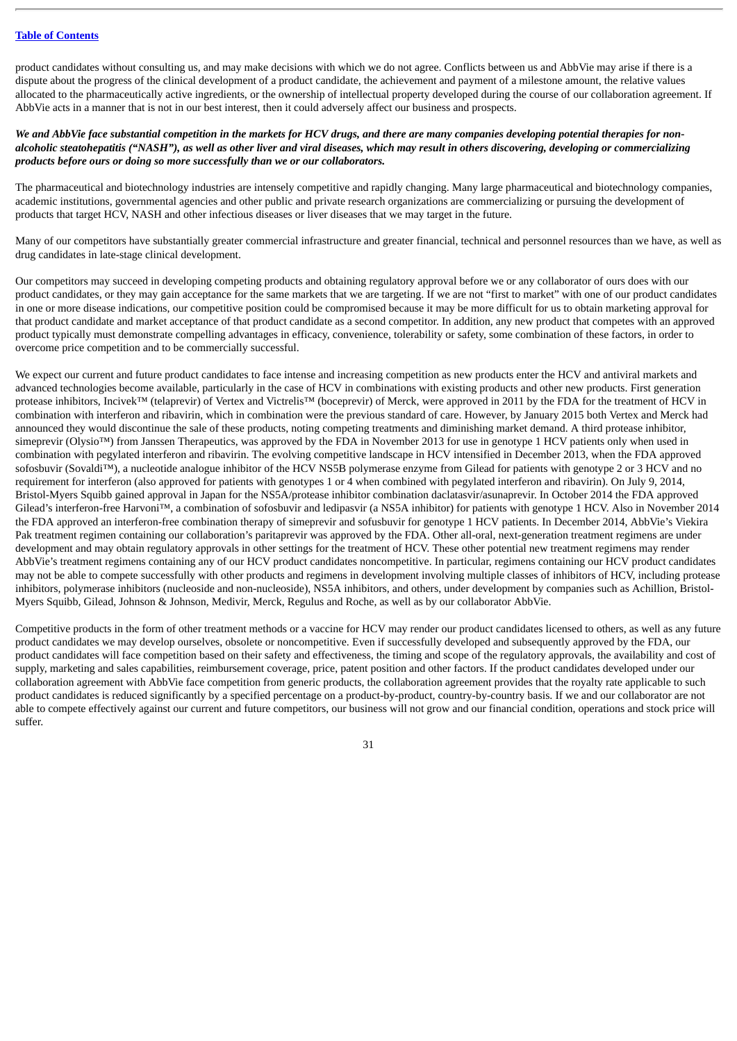product candidates without consulting us, and may make decisions with which we do not agree. Conflicts between us and AbbVie may arise if there is a dispute about the progress of the clinical development of a product candidate, the achievement and payment of a milestone amount, the relative values allocated to the pharmaceutically active ingredients, or the ownership of intellectual property developed during the course of our collaboration agreement. If AbbVie acts in a manner that is not in our best interest, then it could adversely affect our business and prospects.

We and AbbVie face substantial competition in the markets for HCV drugs, and there are many companies developing potential therapies for nonalcoholic steatohepatitis ("NASH"), as well as other liver and viral diseases, which may result in others discovering, developing or commercializing *products before ours or doing so more successfully than we or our collaborators.*

The pharmaceutical and biotechnology industries are intensely competitive and rapidly changing. Many large pharmaceutical and biotechnology companies, academic institutions, governmental agencies and other public and private research organizations are commercializing or pursuing the development of products that target HCV, NASH and other infectious diseases or liver diseases that we may target in the future.

Many of our competitors have substantially greater commercial infrastructure and greater financial, technical and personnel resources than we have, as well as drug candidates in late-stage clinical development.

Our competitors may succeed in developing competing products and obtaining regulatory approval before we or any collaborator of ours does with our product candidates, or they may gain acceptance for the same markets that we are targeting. If we are not "first to market" with one of our product candidates in one or more disease indications, our competitive position could be compromised because it may be more difficult for us to obtain marketing approval for that product candidate and market acceptance of that product candidate as a second competitor. In addition, any new product that competes with an approved product typically must demonstrate compelling advantages in efficacy, convenience, tolerability or safety, some combination of these factors, in order to overcome price competition and to be commercially successful.

We expect our current and future product candidates to face intense and increasing competition as new products enter the HCV and antiviral markets and advanced technologies become available, particularly in the case of HCV in combinations with existing products and other new products. First generation protease inhibitors, Incivek™ (telaprevir) of Vertex and Victrelis™ (boceprevir) of Merck, were approved in 2011 by the FDA for the treatment of HCV in combination with interferon and ribavirin, which in combination were the previous standard of care. However, by January 2015 both Vertex and Merck had announced they would discontinue the sale of these products, noting competing treatments and diminishing market demand. A third protease inhibitor, simeprevir (Olysio™) from Janssen Therapeutics, was approved by the FDA in November 2013 for use in genotype 1 HCV patients only when used in combination with pegylated interferon and ribavirin. The evolving competitive landscape in HCV intensified in December 2013, when the FDA approved sofosbuvir (Sovaldi<sup>™)</sup>), a nucleotide analogue inhibitor of the HCV NS5B polymerase enzyme from Gilead for patients with genotype 2 or 3 HCV and no requirement for interferon (also approved for patients with genotypes 1 or 4 when combined with pegylated interferon and ribavirin). On July 9, 2014, Bristol-Myers Squibb gained approval in Japan for the NS5A/protease inhibitor combination daclatasvir/asunaprevir. In October 2014 the FDA approved Gilead's interferon-free Harvoni™, a combination of sofosbuvir and ledipasvir (a NS5A inhibitor) for patients with genotype 1 HCV. Also in November 2014 the FDA approved an interferon-free combination therapy of simeprevir and sofusbuvir for genotype 1 HCV patients. In December 2014, AbbVie's Viekira Pak treatment regimen containing our collaboration's paritaprevir was approved by the FDA. Other all-oral, next-generation treatment regimens are under development and may obtain regulatory approvals in other settings for the treatment of HCV. These other potential new treatment regimens may render AbbVie's treatment regimens containing any of our HCV product candidates noncompetitive. In particular, regimens containing our HCV product candidates may not be able to compete successfully with other products and regimens in development involving multiple classes of inhibitors of HCV, including protease inhibitors, polymerase inhibitors (nucleoside and non-nucleoside), NS5A inhibitors, and others, under development by companies such as Achillion, Bristol-Myers Squibb, Gilead, Johnson & Johnson, Medivir, Merck, Regulus and Roche, as well as by our collaborator AbbVie.

Competitive products in the form of other treatment methods or a vaccine for HCV may render our product candidates licensed to others, as well as any future product candidates we may develop ourselves, obsolete or noncompetitive. Even if successfully developed and subsequently approved by the FDA, our product candidates will face competition based on their safety and effectiveness, the timing and scope of the regulatory approvals, the availability and cost of supply, marketing and sales capabilities, reimbursement coverage, price, patent position and other factors. If the product candidates developed under our collaboration agreement with AbbVie face competition from generic products, the collaboration agreement provides that the royalty rate applicable to such product candidates is reduced significantly by a specified percentage on a product-by-product, country-by-country basis. If we and our collaborator are not able to compete effectively against our current and future competitors, our business will not grow and our financial condition, operations and stock price will suffer.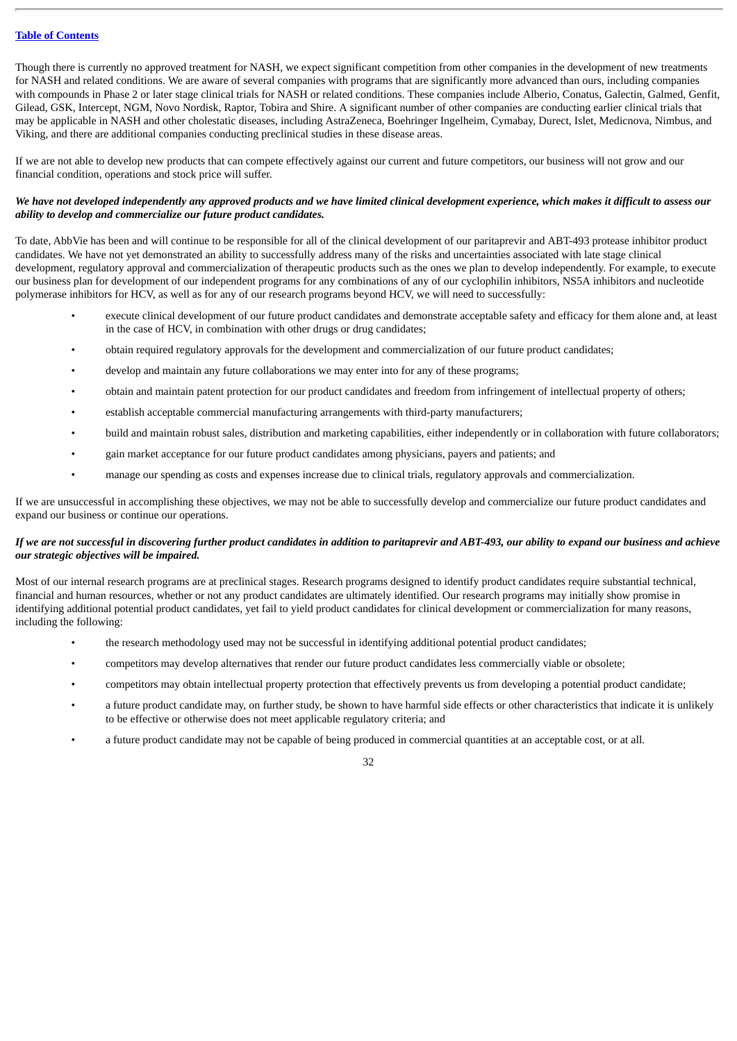Though there is currently no approved treatment for NASH, we expect significant competition from other companies in the development of new treatments for NASH and related conditions. We are aware of several companies with programs that are significantly more advanced than ours, including companies with compounds in Phase 2 or later stage clinical trials for NASH or related conditions. These companies include Alberio, Conatus, Galectin, Galmed, Genfit, Gilead, GSK, Intercept, NGM, Novo Nordisk, Raptor, Tobira and Shire. A significant number of other companies are conducting earlier clinical trials that may be applicable in NASH and other cholestatic diseases, including AstraZeneca, Boehringer Ingelheim, Cymabay, Durect, Islet, Medicnova, Nimbus, and Viking, and there are additional companies conducting preclinical studies in these disease areas.

If we are not able to develop new products that can compete effectively against our current and future competitors, our business will not grow and our financial condition, operations and stock price will suffer.

## We have not developed independently any approved products and we have limited clinical development experience, which makes it difficult to assess our *ability to develop and commercialize our future product candidates.*

To date, AbbVie has been and will continue to be responsible for all of the clinical development of our paritaprevir and ABT-493 protease inhibitor product candidates. We have not yet demonstrated an ability to successfully address many of the risks and uncertainties associated with late stage clinical development, regulatory approval and commercialization of therapeutic products such as the ones we plan to develop independently. For example, to execute our business plan for development of our independent programs for any combinations of any of our cyclophilin inhibitors, NS5A inhibitors and nucleotide polymerase inhibitors for HCV, as well as for any of our research programs beyond HCV, we will need to successfully:

- execute clinical development of our future product candidates and demonstrate acceptable safety and efficacy for them alone and, at least in the case of HCV, in combination with other drugs or drug candidates;
- obtain required regulatory approvals for the development and commercialization of our future product candidates;
- develop and maintain any future collaborations we may enter into for any of these programs;
- obtain and maintain patent protection for our product candidates and freedom from infringement of intellectual property of others;
- establish acceptable commercial manufacturing arrangements with third-party manufacturers;
- build and maintain robust sales, distribution and marketing capabilities, either independently or in collaboration with future collaborators;
- gain market acceptance for our future product candidates among physicians, payers and patients; and
- manage our spending as costs and expenses increase due to clinical trials, regulatory approvals and commercialization.

If we are unsuccessful in accomplishing these objectives, we may not be able to successfully develop and commercialize our future product candidates and expand our business or continue our operations.

## If we are not successful in discovering further product candidates in addition to paritaprevir and ABT-493, our ability to expand our business and achieve *our strategic objectives will be impaired.*

Most of our internal research programs are at preclinical stages. Research programs designed to identify product candidates require substantial technical, financial and human resources, whether or not any product candidates are ultimately identified. Our research programs may initially show promise in identifying additional potential product candidates, yet fail to yield product candidates for clinical development or commercialization for many reasons, including the following:

- the research methodology used may not be successful in identifying additional potential product candidates;
- competitors may develop alternatives that render our future product candidates less commercially viable or obsolete;
- competitors may obtain intellectual property protection that effectively prevents us from developing a potential product candidate;
- a future product candidate may, on further study, be shown to have harmful side effects or other characteristics that indicate it is unlikely to be effective or otherwise does not meet applicable regulatory criteria; and
- a future product candidate may not be capable of being produced in commercial quantities at an acceptable cost, or at all.

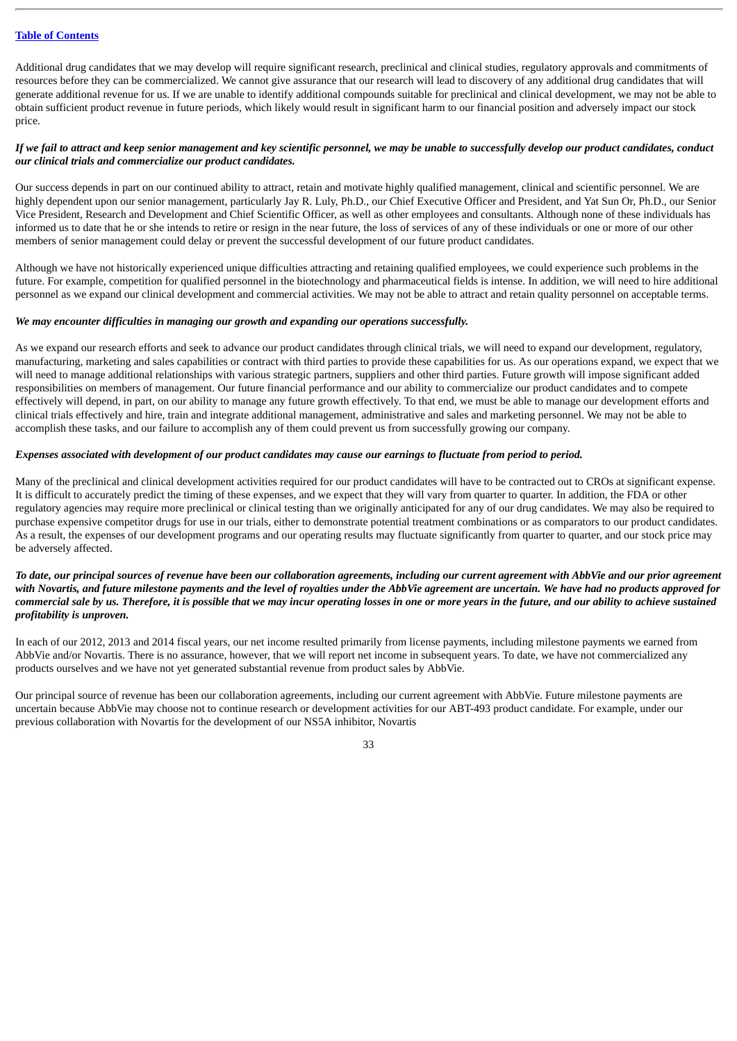Additional drug candidates that we may develop will require significant research, preclinical and clinical studies, regulatory approvals and commitments of resources before they can be commercialized. We cannot give assurance that our research will lead to discovery of any additional drug candidates that will generate additional revenue for us. If we are unable to identify additional compounds suitable for preclinical and clinical development, we may not be able to obtain sufficient product revenue in future periods, which likely would result in significant harm to our financial position and adversely impact our stock price.

## If we fail to attract and keep senior management and key scientific personnel, we may be unable to successfully develop our product candidates, conduct *our clinical trials and commercialize our product candidates.*

Our success depends in part on our continued ability to attract, retain and motivate highly qualified management, clinical and scientific personnel. We are highly dependent upon our senior management, particularly Jay R. Luly, Ph.D., our Chief Executive Officer and President, and Yat Sun Or, Ph.D., our Senior Vice President, Research and Development and Chief Scientific Officer, as well as other employees and consultants. Although none of these individuals has informed us to date that he or she intends to retire or resign in the near future, the loss of services of any of these individuals or one or more of our other members of senior management could delay or prevent the successful development of our future product candidates.

Although we have not historically experienced unique difficulties attracting and retaining qualified employees, we could experience such problems in the future. For example, competition for qualified personnel in the biotechnology and pharmaceutical fields is intense. In addition, we will need to hire additional personnel as we expand our clinical development and commercial activities. We may not be able to attract and retain quality personnel on acceptable terms.

#### *We may encounter difficulties in managing our growth and expanding our operations successfully.*

As we expand our research efforts and seek to advance our product candidates through clinical trials, we will need to expand our development, regulatory, manufacturing, marketing and sales capabilities or contract with third parties to provide these capabilities for us. As our operations expand, we expect that we will need to manage additional relationships with various strategic partners, suppliers and other third parties. Future growth will impose significant added responsibilities on members of management. Our future financial performance and our ability to commercialize our product candidates and to compete effectively will depend, in part, on our ability to manage any future growth effectively. To that end, we must be able to manage our development efforts and clinical trials effectively and hire, train and integrate additional management, administrative and sales and marketing personnel. We may not be able to accomplish these tasks, and our failure to accomplish any of them could prevent us from successfully growing our company.

## Expenses associated with development of our product candidates may cause our earnings to fluctuate from period to period.

Many of the preclinical and clinical development activities required for our product candidates will have to be contracted out to CROs at significant expense. It is difficult to accurately predict the timing of these expenses, and we expect that they will vary from quarter to quarter. In addition, the FDA or other regulatory agencies may require more preclinical or clinical testing than we originally anticipated for any of our drug candidates. We may also be required to purchase expensive competitor drugs for use in our trials, either to demonstrate potential treatment combinations or as comparators to our product candidates. As a result, the expenses of our development programs and our operating results may fluctuate significantly from quarter to quarter, and our stock price may be adversely affected.

#### To date, our principal sources of revenue have been our collaboration agreements, including our current agreement with AbbVie and our prior agreement with Novartis, and future milestone payments and the level of royalties under the AbbVie agreement are uncertain. We have had no products approved for commercial sale by us. Therefore, it is possible that we may incur operating losses in one or more years in the future, and our ability to achieve sustained *profitability is unproven.*

In each of our 2012, 2013 and 2014 fiscal years, our net income resulted primarily from license payments, including milestone payments we earned from AbbVie and/or Novartis. There is no assurance, however, that we will report net income in subsequent years. To date, we have not commercialized any products ourselves and we have not yet generated substantial revenue from product sales by AbbVie.

Our principal source of revenue has been our collaboration agreements, including our current agreement with AbbVie. Future milestone payments are uncertain because AbbVie may choose not to continue research or development activities for our ABT-493 product candidate. For example, under our previous collaboration with Novartis for the development of our NS5A inhibitor, Novartis

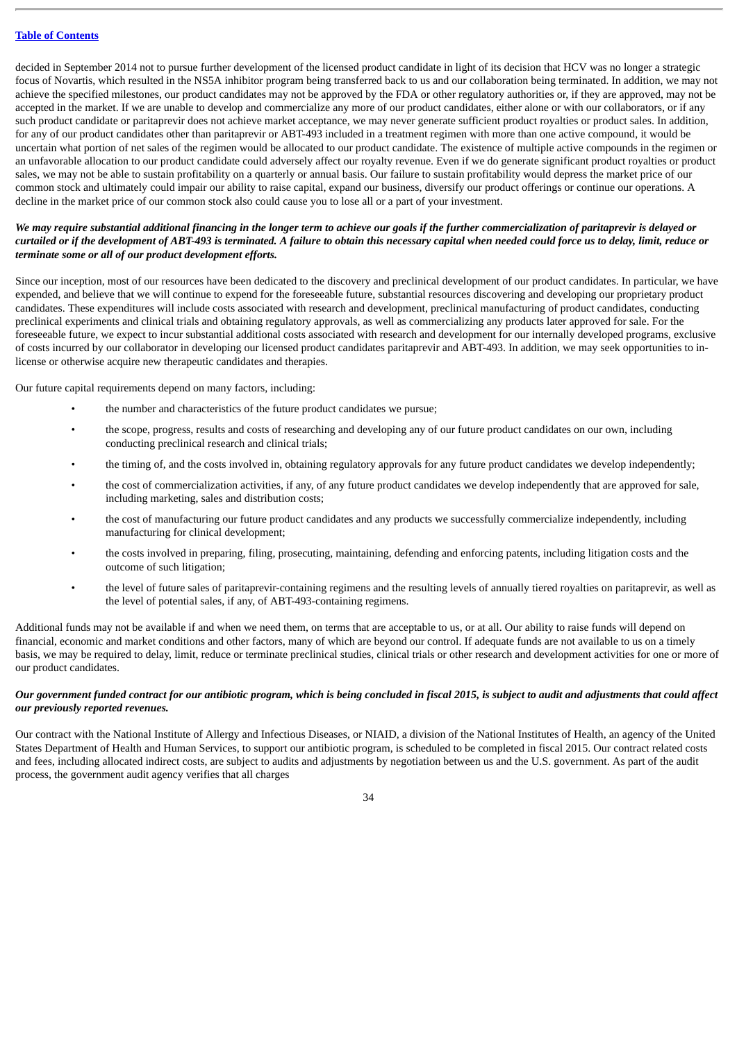decided in September 2014 not to pursue further development of the licensed product candidate in light of its decision that HCV was no longer a strategic focus of Novartis, which resulted in the NS5A inhibitor program being transferred back to us and our collaboration being terminated. In addition, we may not achieve the specified milestones, our product candidates may not be approved by the FDA or other regulatory authorities or, if they are approved, may not be accepted in the market. If we are unable to develop and commercialize any more of our product candidates, either alone or with our collaborators, or if any such product candidate or paritaprevir does not achieve market acceptance, we may never generate sufficient product royalties or product sales. In addition, for any of our product candidates other than paritaprevir or ABT-493 included in a treatment regimen with more than one active compound, it would be uncertain what portion of net sales of the regimen would be allocated to our product candidate. The existence of multiple active compounds in the regimen or an unfavorable allocation to our product candidate could adversely affect our royalty revenue. Even if we do generate significant product royalties or product sales, we may not be able to sustain profitability on a quarterly or annual basis. Our failure to sustain profitability would depress the market price of our common stock and ultimately could impair our ability to raise capital, expand our business, diversify our product offerings or continue our operations. A decline in the market price of our common stock also could cause you to lose all or a part of your investment.

## We may require substantial additional financing in the longer term to achieve our goals if the further commercialization of paritaprevir is delayed or curtailed or if the development of ABT-493 is terminated. A failure to obtain this necessary capital when needed could force us to delay, limit, reduce or *terminate some or all of our product development efforts.*

Since our inception, most of our resources have been dedicated to the discovery and preclinical development of our product candidates. In particular, we have expended, and believe that we will continue to expend for the foreseeable future, substantial resources discovering and developing our proprietary product candidates. These expenditures will include costs associated with research and development, preclinical manufacturing of product candidates, conducting preclinical experiments and clinical trials and obtaining regulatory approvals, as well as commercializing any products later approved for sale. For the foreseeable future, we expect to incur substantial additional costs associated with research and development for our internally developed programs, exclusive of costs incurred by our collaborator in developing our licensed product candidates paritaprevir and ABT-493. In addition, we may seek opportunities to inlicense or otherwise acquire new therapeutic candidates and therapies.

Our future capital requirements depend on many factors, including:

- the number and characteristics of the future product candidates we pursue;
- the scope, progress, results and costs of researching and developing any of our future product candidates on our own, including conducting preclinical research and clinical trials;
- the timing of, and the costs involved in, obtaining regulatory approvals for any future product candidates we develop independently;
- the cost of commercialization activities, if any, of any future product candidates we develop independently that are approved for sale, including marketing, sales and distribution costs;
- the cost of manufacturing our future product candidates and any products we successfully commercialize independently, including manufacturing for clinical development;
- the costs involved in preparing, filing, prosecuting, maintaining, defending and enforcing patents, including litigation costs and the outcome of such litigation;
- the level of future sales of paritaprevir-containing regimens and the resulting levels of annually tiered royalties on paritaprevir, as well as the level of potential sales, if any, of ABT-493-containing regimens.

Additional funds may not be available if and when we need them, on terms that are acceptable to us, or at all. Our ability to raise funds will depend on financial, economic and market conditions and other factors, many of which are beyond our control. If adequate funds are not available to us on a timely basis, we may be required to delay, limit, reduce or terminate preclinical studies, clinical trials or other research and development activities for one or more of our product candidates.

## Our government funded contract for our antibiotic program, which is being concluded in fiscal 2015, is subject to audit and adjustments that could affect *our previously reported revenues.*

Our contract with the National Institute of Allergy and Infectious Diseases, or NIAID, a division of the National Institutes of Health, an agency of the United States Department of Health and Human Services, to support our antibiotic program, is scheduled to be completed in fiscal 2015. Our contract related costs and fees, including allocated indirect costs, are subject to audits and adjustments by negotiation between us and the U.S. government. As part of the audit process, the government audit agency verifies that all charges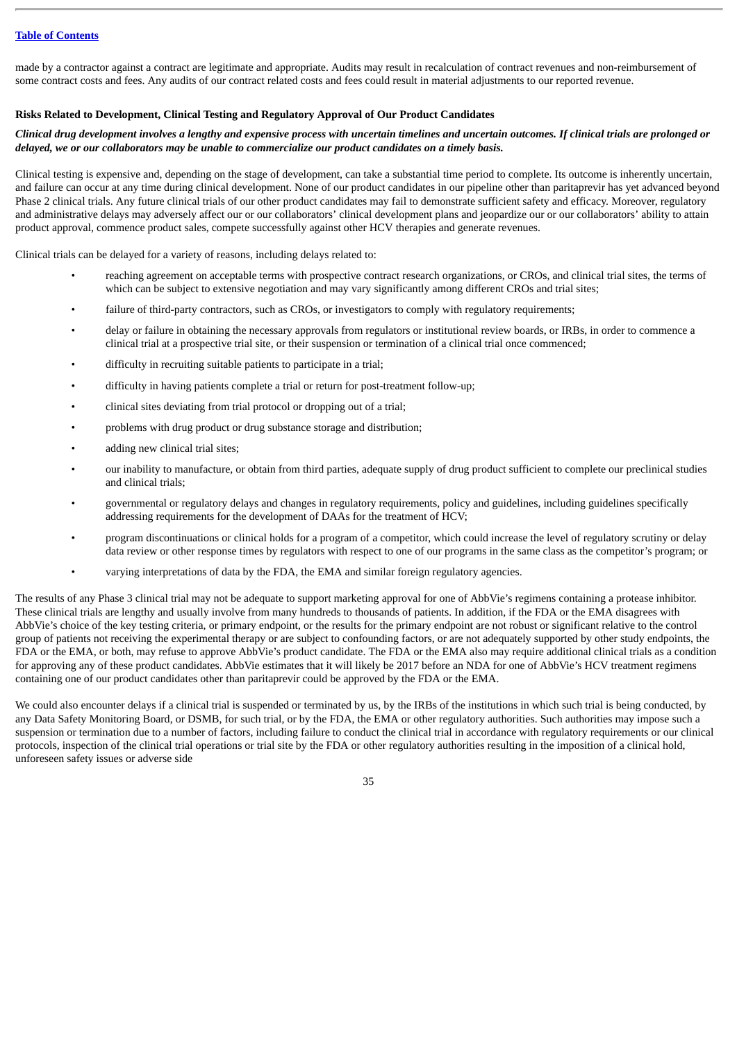made by a contractor against a contract are legitimate and appropriate. Audits may result in recalculation of contract revenues and non-reimbursement of some contract costs and fees. Any audits of our contract related costs and fees could result in material adjustments to our reported revenue.

## **Risks Related to Development, Clinical Testing and Regulatory Approval of Our Product Candidates**

#### Clinical drug development involves a lengthy and expensive process with uncertain timelines and uncertain outcomes. If clinical trials are prolonged or *delayed, we or our collaborators may be unable to commercialize our product candidates on a timely basis.*

Clinical testing is expensive and, depending on the stage of development, can take a substantial time period to complete. Its outcome is inherently uncertain, and failure can occur at any time during clinical development. None of our product candidates in our pipeline other than paritaprevir has yet advanced beyond Phase 2 clinical trials. Any future clinical trials of our other product candidates may fail to demonstrate sufficient safety and efficacy. Moreover, regulatory and administrative delays may adversely affect our or our collaborators' clinical development plans and jeopardize our or our collaborators' ability to attain product approval, commence product sales, compete successfully against other HCV therapies and generate revenues.

Clinical trials can be delayed for a variety of reasons, including delays related to:

- reaching agreement on acceptable terms with prospective contract research organizations, or CROs, and clinical trial sites, the terms of which can be subject to extensive negotiation and may vary significantly among different CROs and trial sites;
- failure of third-party contractors, such as CROs, or investigators to comply with regulatory requirements;
- delay or failure in obtaining the necessary approvals from regulators or institutional review boards, or IRBs, in order to commence a clinical trial at a prospective trial site, or their suspension or termination of a clinical trial once commenced;
- difficulty in recruiting suitable patients to participate in a trial;
- difficulty in having patients complete a trial or return for post-treatment follow-up;
- clinical sites deviating from trial protocol or dropping out of a trial;
- problems with drug product or drug substance storage and distribution;
- adding new clinical trial sites;
- our inability to manufacture, or obtain from third parties, adequate supply of drug product sufficient to complete our preclinical studies and clinical trials;
- governmental or regulatory delays and changes in regulatory requirements, policy and guidelines, including guidelines specifically addressing requirements for the development of DAAs for the treatment of HCV;
- program discontinuations or clinical holds for a program of a competitor, which could increase the level of regulatory scrutiny or delay data review or other response times by regulators with respect to one of our programs in the same class as the competitor's program; or
- varying interpretations of data by the FDA, the EMA and similar foreign regulatory agencies.

The results of any Phase 3 clinical trial may not be adequate to support marketing approval for one of AbbVie's regimens containing a protease inhibitor. These clinical trials are lengthy and usually involve from many hundreds to thousands of patients. In addition, if the FDA or the EMA disagrees with AbbVie's choice of the key testing criteria, or primary endpoint, or the results for the primary endpoint are not robust or significant relative to the control group of patients not receiving the experimental therapy or are subject to confounding factors, or are not adequately supported by other study endpoints, the FDA or the EMA, or both, may refuse to approve AbbVie's product candidate. The FDA or the EMA also may require additional clinical trials as a condition for approving any of these product candidates. AbbVie estimates that it will likely be 2017 before an NDA for one of AbbVie's HCV treatment regimens containing one of our product candidates other than paritaprevir could be approved by the FDA or the EMA.

We could also encounter delays if a clinical trial is suspended or terminated by us, by the IRBs of the institutions in which such trial is being conducted, by any Data Safety Monitoring Board, or DSMB, for such trial, or by the FDA, the EMA or other regulatory authorities. Such authorities may impose such a suspension or termination due to a number of factors, including failure to conduct the clinical trial in accordance with regulatory requirements or our clinical protocols, inspection of the clinical trial operations or trial site by the FDA or other regulatory authorities resulting in the imposition of a clinical hold, unforeseen safety issues or adverse side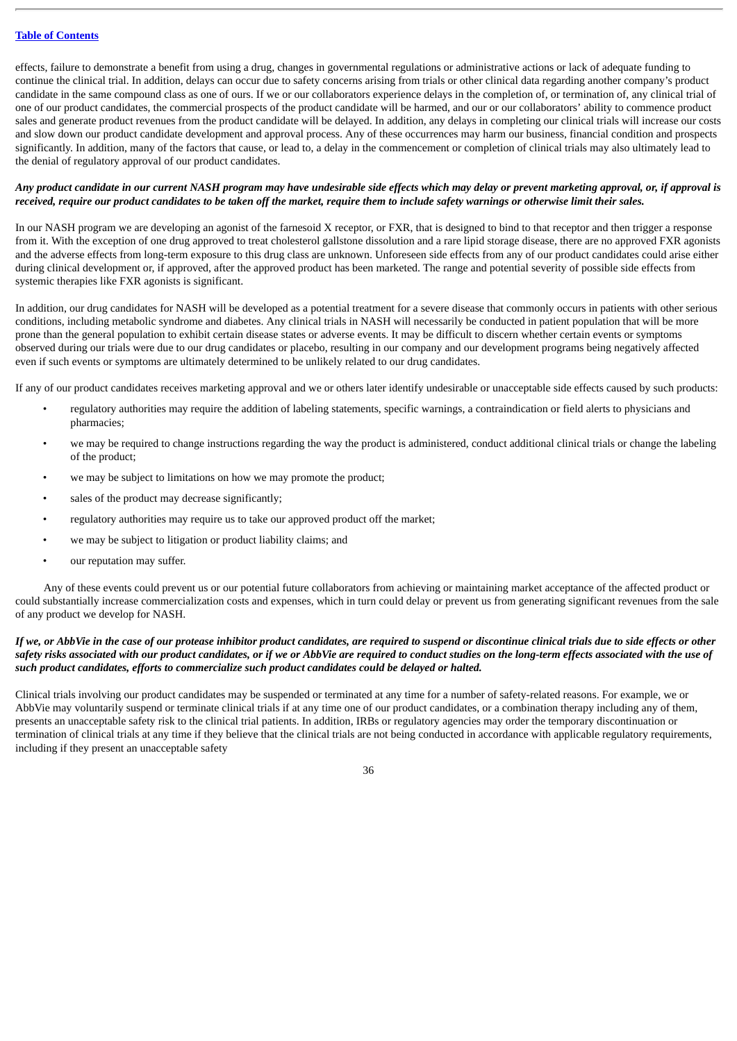effects, failure to demonstrate a benefit from using a drug, changes in governmental regulations or administrative actions or lack of adequate funding to continue the clinical trial. In addition, delays can occur due to safety concerns arising from trials or other clinical data regarding another company's product candidate in the same compound class as one of ours. If we or our collaborators experience delays in the completion of, or termination of, any clinical trial of one of our product candidates, the commercial prospects of the product candidate will be harmed, and our or our collaborators' ability to commence product sales and generate product revenues from the product candidate will be delayed. In addition, any delays in completing our clinical trials will increase our costs and slow down our product candidate development and approval process. Any of these occurrences may harm our business, financial condition and prospects significantly. In addition, many of the factors that cause, or lead to, a delay in the commencement or completion of clinical trials may also ultimately lead to the denial of regulatory approval of our product candidates.

#### Any product candidate in our current NASH program may have undesirable side effects which may delay or prevent marketing approval, or, if approval is received, require our product candidates to be taken off the market, require them to include safety warnings or otherwise limit their sales.

In our NASH program we are developing an agonist of the farnesoid X receptor, or FXR, that is designed to bind to that receptor and then trigger a response from it. With the exception of one drug approved to treat cholesterol gallstone dissolution and a rare lipid storage disease, there are no approved FXR agonists and the adverse effects from long-term exposure to this drug class are unknown. Unforeseen side effects from any of our product candidates could arise either during clinical development or, if approved, after the approved product has been marketed. The range and potential severity of possible side effects from systemic therapies like FXR agonists is significant.

In addition, our drug candidates for NASH will be developed as a potential treatment for a severe disease that commonly occurs in patients with other serious conditions, including metabolic syndrome and diabetes. Any clinical trials in NASH will necessarily be conducted in patient population that will be more prone than the general population to exhibit certain disease states or adverse events. It may be difficult to discern whether certain events or symptoms observed during our trials were due to our drug candidates or placebo, resulting in our company and our development programs being negatively affected even if such events or symptoms are ultimately determined to be unlikely related to our drug candidates.

If any of our product candidates receives marketing approval and we or others later identify undesirable or unacceptable side effects caused by such products:

- regulatory authorities may require the addition of labeling statements, specific warnings, a contraindication or field alerts to physicians and pharmacies;
- we may be required to change instructions regarding the way the product is administered, conduct additional clinical trials or change the labeling of the product;
- we may be subject to limitations on how we may promote the product;
- sales of the product may decrease significantly;
- regulatory authorities may require us to take our approved product off the market;
- we may be subject to litigation or product liability claims; and
- our reputation may suffer.

Any of these events could prevent us or our potential future collaborators from achieving or maintaining market acceptance of the affected product or could substantially increase commercialization costs and expenses, which in turn could delay or prevent us from generating significant revenues from the sale of any product we develop for NASH.

#### If we, or AbbVie in the case of our protease inhibitor product candidates, are required to suspend or discontinue clinical trials due to side effects or other safety risks associated with our product candidates, or if we or AbbVie are required to conduct studies on the long-term effects associated with the use of *such product candidates, efforts to commercialize such product candidates could be delayed or halted.*

Clinical trials involving our product candidates may be suspended or terminated at any time for a number of safety-related reasons. For example, we or AbbVie may voluntarily suspend or terminate clinical trials if at any time one of our product candidates, or a combination therapy including any of them, presents an unacceptable safety risk to the clinical trial patients. In addition, IRBs or regulatory agencies may order the temporary discontinuation or termination of clinical trials at any time if they believe that the clinical trials are not being conducted in accordance with applicable regulatory requirements, including if they present an unacceptable safety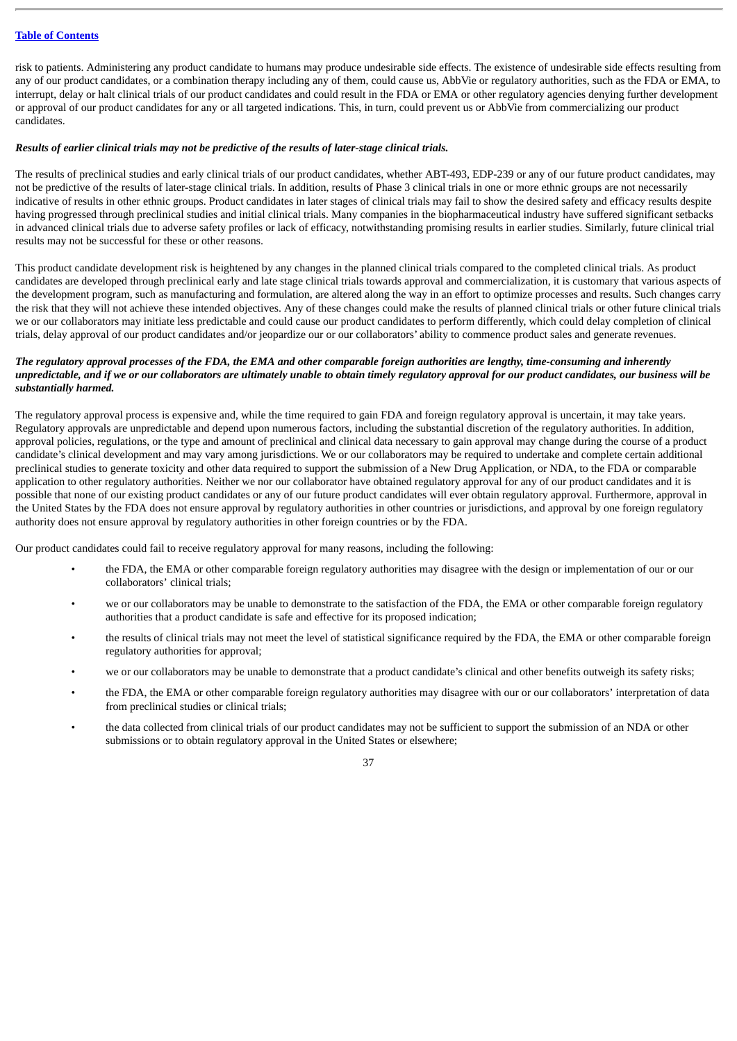risk to patients. Administering any product candidate to humans may produce undesirable side effects. The existence of undesirable side effects resulting from any of our product candidates, or a combination therapy including any of them, could cause us, AbbVie or regulatory authorities, such as the FDA or EMA, to interrupt, delay or halt clinical trials of our product candidates and could result in the FDA or EMA or other regulatory agencies denying further development or approval of our product candidates for any or all targeted indications. This, in turn, could prevent us or AbbVie from commercializing our product candidates.

#### *Results of earlier clinical trials may not be predictive of the results of later-stage clinical trials.*

The results of preclinical studies and early clinical trials of our product candidates, whether ABT-493, EDP-239 or any of our future product candidates, may not be predictive of the results of later-stage clinical trials. In addition, results of Phase 3 clinical trials in one or more ethnic groups are not necessarily indicative of results in other ethnic groups. Product candidates in later stages of clinical trials may fail to show the desired safety and efficacy results despite having progressed through preclinical studies and initial clinical trials. Many companies in the biopharmaceutical industry have suffered significant setbacks in advanced clinical trials due to adverse safety profiles or lack of efficacy, notwithstanding promising results in earlier studies. Similarly, future clinical trial results may not be successful for these or other reasons.

This product candidate development risk is heightened by any changes in the planned clinical trials compared to the completed clinical trials. As product candidates are developed through preclinical early and late stage clinical trials towards approval and commercialization, it is customary that various aspects of the development program, such as manufacturing and formulation, are altered along the way in an effort to optimize processes and results. Such changes carry the risk that they will not achieve these intended objectives. Any of these changes could make the results of planned clinical trials or other future clinical trials we or our collaborators may initiate less predictable and could cause our product candidates to perform differently, which could delay completion of clinical trials, delay approval of our product candidates and/or jeopardize our or our collaborators' ability to commence product sales and generate revenues.

## The regulatory approval processes of the FDA, the EMA and other comparable foreign authorities are lengthy, time-consuming and inherently unpredictable, and if we or our collaborators are ultimately unable to obtain timely reaulatory approval for our product candidates, our business will be *substantially harmed.*

The regulatory approval process is expensive and, while the time required to gain FDA and foreign regulatory approval is uncertain, it may take years. Regulatory approvals are unpredictable and depend upon numerous factors, including the substantial discretion of the regulatory authorities. In addition, approval policies, regulations, or the type and amount of preclinical and clinical data necessary to gain approval may change during the course of a product candidate's clinical development and may vary among jurisdictions. We or our collaborators may be required to undertake and complete certain additional preclinical studies to generate toxicity and other data required to support the submission of a New Drug Application, or NDA, to the FDA or comparable application to other regulatory authorities. Neither we nor our collaborator have obtained regulatory approval for any of our product candidates and it is possible that none of our existing product candidates or any of our future product candidates will ever obtain regulatory approval. Furthermore, approval in the United States by the FDA does not ensure approval by regulatory authorities in other countries or jurisdictions, and approval by one foreign regulatory authority does not ensure approval by regulatory authorities in other foreign countries or by the FDA.

Our product candidates could fail to receive regulatory approval for many reasons, including the following:

- the FDA, the EMA or other comparable foreign regulatory authorities may disagree with the design or implementation of our or our collaborators' clinical trials;
- we or our collaborators may be unable to demonstrate to the satisfaction of the FDA, the EMA or other comparable foreign regulatory authorities that a product candidate is safe and effective for its proposed indication;
- the results of clinical trials may not meet the level of statistical significance required by the FDA, the EMA or other comparable foreign regulatory authorities for approval;
- we or our collaborators may be unable to demonstrate that a product candidate's clinical and other benefits outweigh its safety risks;
- the FDA, the EMA or other comparable foreign regulatory authorities may disagree with our or our collaborators' interpretation of data from preclinical studies or clinical trials;
- the data collected from clinical trials of our product candidates may not be sufficient to support the submission of an NDA or other submissions or to obtain regulatory approval in the United States or elsewhere;

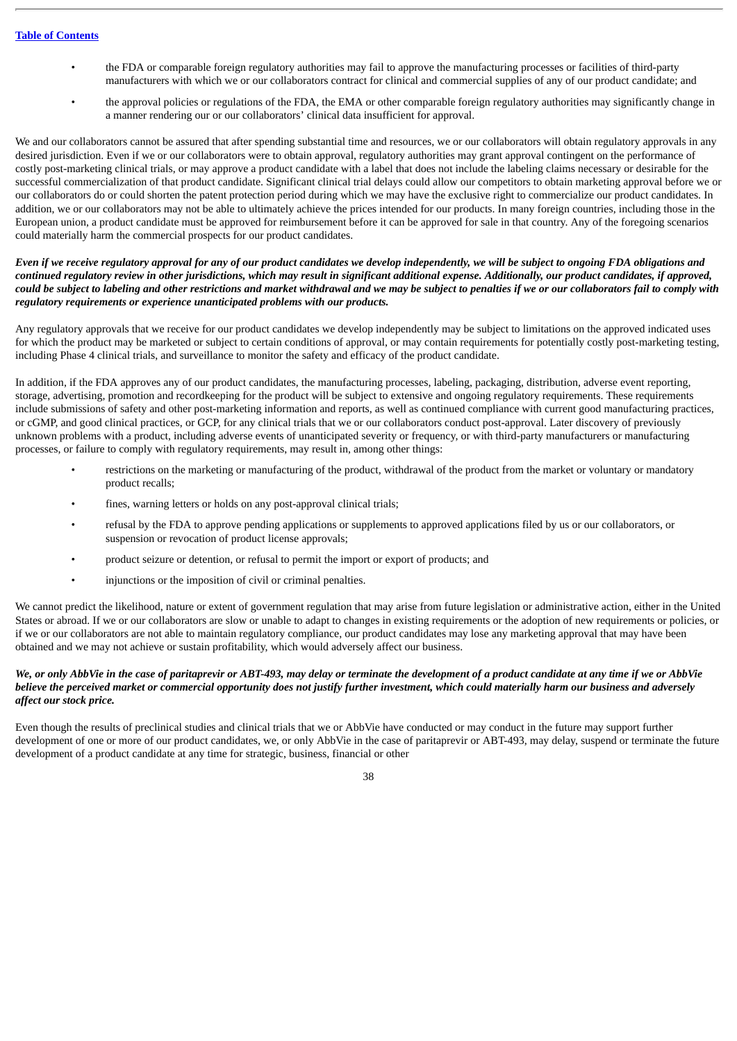- the FDA or comparable foreign regulatory authorities may fail to approve the manufacturing processes or facilities of third-party manufacturers with which we or our collaborators contract for clinical and commercial supplies of any of our product candidate; and
- the approval policies or regulations of the FDA, the EMA or other comparable foreign regulatory authorities may significantly change in a manner rendering our or our collaborators' clinical data insufficient for approval.

We and our collaborators cannot be assured that after spending substantial time and resources, we or our collaborators will obtain regulatory approvals in any desired jurisdiction. Even if we or our collaborators were to obtain approval, regulatory authorities may grant approval contingent on the performance of costly post-marketing clinical trials, or may approve a product candidate with a label that does not include the labeling claims necessary or desirable for the successful commercialization of that product candidate. Significant clinical trial delays could allow our competitors to obtain marketing approval before we or our collaborators do or could shorten the patent protection period during which we may have the exclusive right to commercialize our product candidates. In addition, we or our collaborators may not be able to ultimately achieve the prices intended for our products. In many foreign countries, including those in the European union, a product candidate must be approved for reimbursement before it can be approved for sale in that country. Any of the foregoing scenarios could materially harm the commercial prospects for our product candidates.

## Even if we receive regulatory approval for any of our product candidates we develop independently, we will be subject to ongoing FDA obligations and continued regulatory review in other jurisdictions, which may result in significant additional expense. Additionally, our product candidates, if approved, could be subject to labeling and other restrictions and market withdrawal and we may be subject to penalties if we or our collaborators fail to comply with *regulatory requirements or experience unanticipated problems with our products.*

Any regulatory approvals that we receive for our product candidates we develop independently may be subject to limitations on the approved indicated uses for which the product may be marketed or subject to certain conditions of approval, or may contain requirements for potentially costly post-marketing testing, including Phase 4 clinical trials, and surveillance to monitor the safety and efficacy of the product candidate.

In addition, if the FDA approves any of our product candidates, the manufacturing processes, labeling, packaging, distribution, adverse event reporting, storage, advertising, promotion and recordkeeping for the product will be subject to extensive and ongoing regulatory requirements. These requirements include submissions of safety and other post-marketing information and reports, as well as continued compliance with current good manufacturing practices, or cGMP, and good clinical practices, or GCP, for any clinical trials that we or our collaborators conduct post-approval. Later discovery of previously unknown problems with a product, including adverse events of unanticipated severity or frequency, or with third-party manufacturers or manufacturing processes, or failure to comply with regulatory requirements, may result in, among other things:

- restrictions on the marketing or manufacturing of the product, withdrawal of the product from the market or voluntary or mandatory product recalls;
- fines, warning letters or holds on any post-approval clinical trials;
- refusal by the FDA to approve pending applications or supplements to approved applications filed by us or our collaborators, or suspension or revocation of product license approvals;
- product seizure or detention, or refusal to permit the import or export of products; and
- injunctions or the imposition of civil or criminal penalties.

We cannot predict the likelihood, nature or extent of government regulation that may arise from future legislation or administrative action, either in the United States or abroad. If we or our collaborators are slow or unable to adapt to changes in existing requirements or the adoption of new requirements or policies, or if we or our collaborators are not able to maintain regulatory compliance, our product candidates may lose any marketing approval that may have been obtained and we may not achieve or sustain profitability, which would adversely affect our business.

## We, or only AbbVie in the case of paritaprevir or ABT-493, may delay or terminate the development of a product candidate at any time if we or AbbVie believe the perceived market or commercial opportunity does not justify further investment, which could materially harm our business and adversely *affect our stock price.*

Even though the results of preclinical studies and clinical trials that we or AbbVie have conducted or may conduct in the future may support further development of one or more of our product candidates, we, or only AbbVie in the case of paritaprevir or ABT-493, may delay, suspend or terminate the future development of a product candidate at any time for strategic, business, financial or other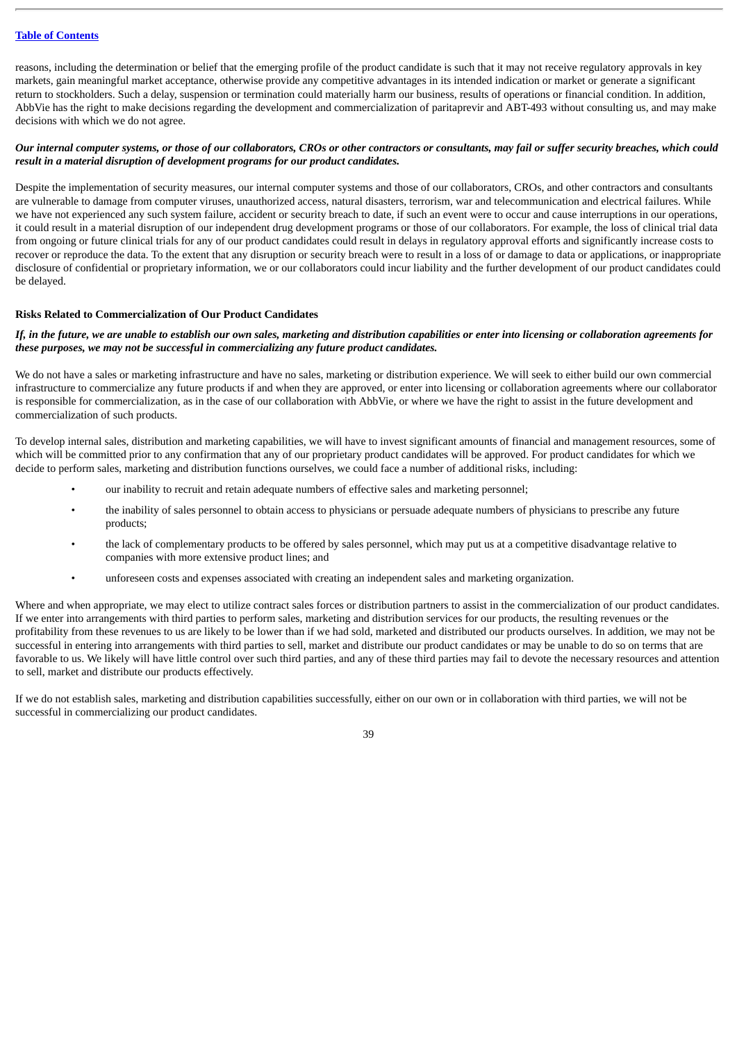reasons, including the determination or belief that the emerging profile of the product candidate is such that it may not receive regulatory approvals in key markets, gain meaningful market acceptance, otherwise provide any competitive advantages in its intended indication or market or generate a significant return to stockholders. Such a delay, suspension or termination could materially harm our business, results of operations or financial condition. In addition, AbbVie has the right to make decisions regarding the development and commercialization of paritaprevir and ABT-493 without consulting us, and may make decisions with which we do not agree.

## Our internal computer systems, or those of our collaborators, CROs or other contractors or consultants, may fail or suffer security breaches, which could *result in a material disruption of development programs for our product candidates.*

Despite the implementation of security measures, our internal computer systems and those of our collaborators, CROs, and other contractors and consultants are vulnerable to damage from computer viruses, unauthorized access, natural disasters, terrorism, war and telecommunication and electrical failures. While we have not experienced any such system failure, accident or security breach to date, if such an event were to occur and cause interruptions in our operations, it could result in a material disruption of our independent drug development programs or those of our collaborators. For example, the loss of clinical trial data from ongoing or future clinical trials for any of our product candidates could result in delays in regulatory approval efforts and significantly increase costs to recover or reproduce the data. To the extent that any disruption or security breach were to result in a loss of or damage to data or applications, or inappropriate disclosure of confidential or proprietary information, we or our collaborators could incur liability and the further development of our product candidates could be delayed.

#### **Risks Related to Commercialization of Our Product Candidates**

## If, in the future, we are unable to establish our own sales, marketing and distribution capabilities or enter into licensing or collaboration agreements for *these purposes, we may not be successful in commercializing any future product candidates.*

We do not have a sales or marketing infrastructure and have no sales, marketing or distribution experience. We will seek to either build our own commercial infrastructure to commercialize any future products if and when they are approved, or enter into licensing or collaboration agreements where our collaborator is responsible for commercialization, as in the case of our collaboration with AbbVie, or where we have the right to assist in the future development and commercialization of such products.

To develop internal sales, distribution and marketing capabilities, we will have to invest significant amounts of financial and management resources, some of which will be committed prior to any confirmation that any of our proprietary product candidates will be approved. For product candidates for which we decide to perform sales, marketing and distribution functions ourselves, we could face a number of additional risks, including:

- our inability to recruit and retain adequate numbers of effective sales and marketing personnel;
- the inability of sales personnel to obtain access to physicians or persuade adequate numbers of physicians to prescribe any future products;
- the lack of complementary products to be offered by sales personnel, which may put us at a competitive disadvantage relative to companies with more extensive product lines; and
- unforeseen costs and expenses associated with creating an independent sales and marketing organization.

Where and when appropriate, we may elect to utilize contract sales forces or distribution partners to assist in the commercialization of our product candidates. If we enter into arrangements with third parties to perform sales, marketing and distribution services for our products, the resulting revenues or the profitability from these revenues to us are likely to be lower than if we had sold, marketed and distributed our products ourselves. In addition, we may not be successful in entering into arrangements with third parties to sell, market and distribute our product candidates or may be unable to do so on terms that are favorable to us. We likely will have little control over such third parties, and any of these third parties may fail to devote the necessary resources and attention to sell, market and distribute our products effectively.

If we do not establish sales, marketing and distribution capabilities successfully, either on our own or in collaboration with third parties, we will not be successful in commercializing our product candidates.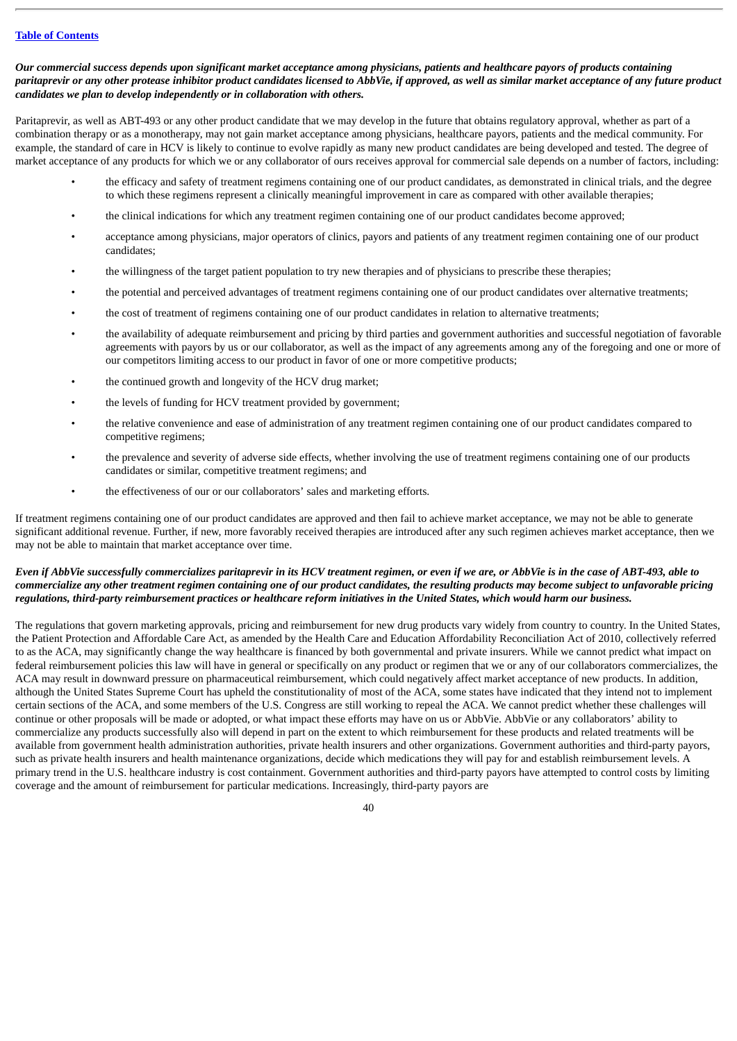Our commercial success depends upon significant market acceptance among physicians, patients and healthcare payors of products containing paritaprevir or any other protease inhibitor product candidates licensed to AbbVie, if approved, as well as similar market acceptance of any future product *candidates we plan to develop independently or in collaboration with others.*

Paritaprevir, as well as ABT-493 or any other product candidate that we may develop in the future that obtains regulatory approval, whether as part of a combination therapy or as a monotherapy, may not gain market acceptance among physicians, healthcare payors, patients and the medical community. For example, the standard of care in HCV is likely to continue to evolve rapidly as many new product candidates are being developed and tested. The degree of market acceptance of any products for which we or any collaborator of ours receives approval for commercial sale depends on a number of factors, including:

- the efficacy and safety of treatment regimens containing one of our product candidates, as demonstrated in clinical trials, and the degree to which these regimens represent a clinically meaningful improvement in care as compared with other available therapies;
- the clinical indications for which any treatment regimen containing one of our product candidates become approved;
- acceptance among physicians, major operators of clinics, payors and patients of any treatment regimen containing one of our product candidates;
- the willingness of the target patient population to try new therapies and of physicians to prescribe these therapies;
- the potential and perceived advantages of treatment regimens containing one of our product candidates over alternative treatments;
- the cost of treatment of regimens containing one of our product candidates in relation to alternative treatments;
- the availability of adequate reimbursement and pricing by third parties and government authorities and successful negotiation of favorable agreements with payors by us or our collaborator, as well as the impact of any agreements among any of the foregoing and one or more of our competitors limiting access to our product in favor of one or more competitive products;
- the continued growth and longevity of the HCV drug market;
- the levels of funding for HCV treatment provided by government;
- the relative convenience and ease of administration of any treatment regimen containing one of our product candidates compared to competitive regimens;
- the prevalence and severity of adverse side effects, whether involving the use of treatment regimens containing one of our products candidates or similar, competitive treatment regimens; and
- the effectiveness of our or our collaborators' sales and marketing efforts.

If treatment regimens containing one of our product candidates are approved and then fail to achieve market acceptance, we may not be able to generate significant additional revenue. Further, if new, more favorably received therapies are introduced after any such regimen achieves market acceptance, then we may not be able to maintain that market acceptance over time.

## Even if AbbVie successfully commercializes paritaprevir in its HCV treatment regimen, or even if we are, or AbbVie is in the case of ABT-493, able to commercialize any other treatment regimen containing one of our product candidates, the resulting products may become subject to unfavorable pricing regulations, third-party reimbursement practices or healthcare reform initiatives in the United States, which would harm our business.

The regulations that govern marketing approvals, pricing and reimbursement for new drug products vary widely from country to country. In the United States, the Patient Protection and Affordable Care Act, as amended by the Health Care and Education Affordability Reconciliation Act of 2010, collectively referred to as the ACA, may significantly change the way healthcare is financed by both governmental and private insurers. While we cannot predict what impact on federal reimbursement policies this law will have in general or specifically on any product or regimen that we or any of our collaborators commercializes, the ACA may result in downward pressure on pharmaceutical reimbursement, which could negatively affect market acceptance of new products. In addition, although the United States Supreme Court has upheld the constitutionality of most of the ACA, some states have indicated that they intend not to implement certain sections of the ACA, and some members of the U.S. Congress are still working to repeal the ACA. We cannot predict whether these challenges will continue or other proposals will be made or adopted, or what impact these efforts may have on us or AbbVie. AbbVie or any collaborators' ability to commercialize any products successfully also will depend in part on the extent to which reimbursement for these products and related treatments will be available from government health administration authorities, private health insurers and other organizations. Government authorities and third-party payors, such as private health insurers and health maintenance organizations, decide which medications they will pay for and establish reimbursement levels. A primary trend in the U.S. healthcare industry is cost containment. Government authorities and third-party payors have attempted to control costs by limiting coverage and the amount of reimbursement for particular medications. Increasingly, third-party payors are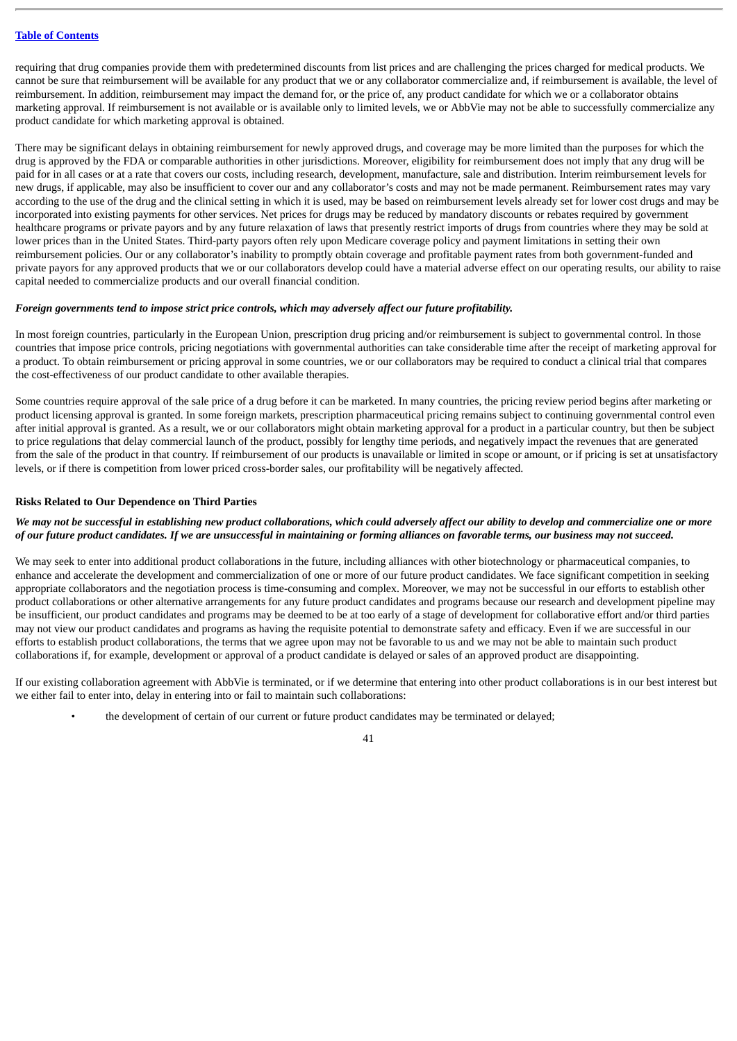requiring that drug companies provide them with predetermined discounts from list prices and are challenging the prices charged for medical products. We cannot be sure that reimbursement will be available for any product that we or any collaborator commercialize and, if reimbursement is available, the level of reimbursement. In addition, reimbursement may impact the demand for, or the price of, any product candidate for which we or a collaborator obtains marketing approval. If reimbursement is not available or is available only to limited levels, we or AbbVie may not be able to successfully commercialize any product candidate for which marketing approval is obtained.

There may be significant delays in obtaining reimbursement for newly approved drugs, and coverage may be more limited than the purposes for which the drug is approved by the FDA or comparable authorities in other jurisdictions. Moreover, eligibility for reimbursement does not imply that any drug will be paid for in all cases or at a rate that covers our costs, including research, development, manufacture, sale and distribution. Interim reimbursement levels for new drugs, if applicable, may also be insufficient to cover our and any collaborator's costs and may not be made permanent. Reimbursement rates may vary according to the use of the drug and the clinical setting in which it is used, may be based on reimbursement levels already set for lower cost drugs and may be incorporated into existing payments for other services. Net prices for drugs may be reduced by mandatory discounts or rebates required by government healthcare programs or private payors and by any future relaxation of laws that presently restrict imports of drugs from countries where they may be sold at lower prices than in the United States. Third-party payors often rely upon Medicare coverage policy and payment limitations in setting their own reimbursement policies. Our or any collaborator's inability to promptly obtain coverage and profitable payment rates from both government-funded and private payors for any approved products that we or our collaborators develop could have a material adverse effect on our operating results, our ability to raise capital needed to commercialize products and our overall financial condition.

#### *Foreign governments tend to impose strict price controls, which may adversely affect our future profitability.*

In most foreign countries, particularly in the European Union, prescription drug pricing and/or reimbursement is subject to governmental control. In those countries that impose price controls, pricing negotiations with governmental authorities can take considerable time after the receipt of marketing approval for a product. To obtain reimbursement or pricing approval in some countries, we or our collaborators may be required to conduct a clinical trial that compares the cost-effectiveness of our product candidate to other available therapies.

Some countries require approval of the sale price of a drug before it can be marketed. In many countries, the pricing review period begins after marketing or product licensing approval is granted. In some foreign markets, prescription pharmaceutical pricing remains subject to continuing governmental control even after initial approval is granted. As a result, we or our collaborators might obtain marketing approval for a product in a particular country, but then be subject to price regulations that delay commercial launch of the product, possibly for lengthy time periods, and negatively impact the revenues that are generated from the sale of the product in that country. If reimbursement of our products is unavailable or limited in scope or amount, or if pricing is set at unsatisfactory levels, or if there is competition from lower priced cross-border sales, our profitability will be negatively affected.

#### **Risks Related to Our Dependence on Third Parties**

#### We may not be successful in establishing new product collaborations, which could adversely affect our ability to develop and commercialize one or more of our future product candidates. If we are unsuccessful in maintaining or forming alliances on favorable terms, our business may not succeed.

We may seek to enter into additional product collaborations in the future, including alliances with other biotechnology or pharmaceutical companies, to enhance and accelerate the development and commercialization of one or more of our future product candidates. We face significant competition in seeking appropriate collaborators and the negotiation process is time-consuming and complex. Moreover, we may not be successful in our efforts to establish other product collaborations or other alternative arrangements for any future product candidates and programs because our research and development pipeline may be insufficient, our product candidates and programs may be deemed to be at too early of a stage of development for collaborative effort and/or third parties may not view our product candidates and programs as having the requisite potential to demonstrate safety and efficacy. Even if we are successful in our efforts to establish product collaborations, the terms that we agree upon may not be favorable to us and we may not be able to maintain such product collaborations if, for example, development or approval of a product candidate is delayed or sales of an approved product are disappointing.

If our existing collaboration agreement with AbbVie is terminated, or if we determine that entering into other product collaborations is in our best interest but we either fail to enter into, delay in entering into or fail to maintain such collaborations:

• the development of certain of our current or future product candidates may be terminated or delayed;

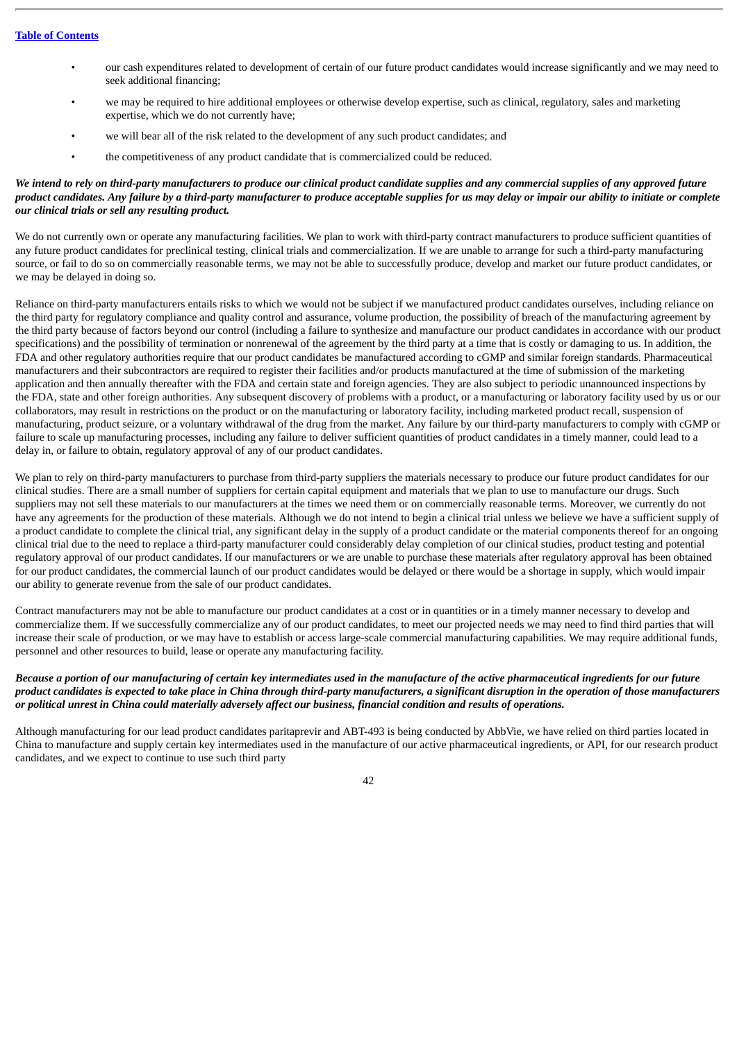- our cash expenditures related to development of certain of our future product candidates would increase significantly and we may need to seek additional financing;
- we may be required to hire additional employees or otherwise develop expertise, such as clinical, regulatory, sales and marketing expertise, which we do not currently have;
- we will bear all of the risk related to the development of any such product candidates; and
- the competitiveness of any product candidate that is commercialized could be reduced.

## We intend to rely on third-party manufacturers to produce our clinical product candidate supplies and any commercial supplies of any approved future product candidates. Any failure by a third-party manufacturer to produce acceptable supplies for us may delay or impair our ability to initiate or complete *our clinical trials or sell any resulting product.*

We do not currently own or operate any manufacturing facilities. We plan to work with third-party contract manufacturers to produce sufficient quantities of any future product candidates for preclinical testing, clinical trials and commercialization. If we are unable to arrange for such a third-party manufacturing source, or fail to do so on commercially reasonable terms, we may not be able to successfully produce, develop and market our future product candidates, or we may be delayed in doing so.

Reliance on third-party manufacturers entails risks to which we would not be subject if we manufactured product candidates ourselves, including reliance on the third party for regulatory compliance and quality control and assurance, volume production, the possibility of breach of the manufacturing agreement by the third party because of factors beyond our control (including a failure to synthesize and manufacture our product candidates in accordance with our product specifications) and the possibility of termination or nonrenewal of the agreement by the third party at a time that is costly or damaging to us. In addition, the FDA and other regulatory authorities require that our product candidates be manufactured according to cGMP and similar foreign standards. Pharmaceutical manufacturers and their subcontractors are required to register their facilities and/or products manufactured at the time of submission of the marketing application and then annually thereafter with the FDA and certain state and foreign agencies. They are also subject to periodic unannounced inspections by the FDA, state and other foreign authorities. Any subsequent discovery of problems with a product, or a manufacturing or laboratory facility used by us or our collaborators, may result in restrictions on the product or on the manufacturing or laboratory facility, including marketed product recall, suspension of manufacturing, product seizure, or a voluntary withdrawal of the drug from the market. Any failure by our third-party manufacturers to comply with cGMP or failure to scale up manufacturing processes, including any failure to deliver sufficient quantities of product candidates in a timely manner, could lead to a delay in, or failure to obtain, regulatory approval of any of our product candidates.

We plan to rely on third-party manufacturers to purchase from third-party suppliers the materials necessary to produce our future product candidates for our clinical studies. There are a small number of suppliers for certain capital equipment and materials that we plan to use to manufacture our drugs. Such suppliers may not sell these materials to our manufacturers at the times we need them or on commercially reasonable terms. Moreover, we currently do not have any agreements for the production of these materials. Although we do not intend to begin a clinical trial unless we believe we have a sufficient supply of a product candidate to complete the clinical trial, any significant delay in the supply of a product candidate or the material components thereof for an ongoing clinical trial due to the need to replace a third-party manufacturer could considerably delay completion of our clinical studies, product testing and potential regulatory approval of our product candidates. If our manufacturers or we are unable to purchase these materials after regulatory approval has been obtained for our product candidates, the commercial launch of our product candidates would be delayed or there would be a shortage in supply, which would impair our ability to generate revenue from the sale of our product candidates.

Contract manufacturers may not be able to manufacture our product candidates at a cost or in quantities or in a timely manner necessary to develop and commercialize them. If we successfully commercialize any of our product candidates, to meet our projected needs we may need to find third parties that will increase their scale of production, or we may have to establish or access large-scale commercial manufacturing capabilities. We may require additional funds, personnel and other resources to build, lease or operate any manufacturing facility.

## Because a portion of our manufacturing of certain key intermediates used in the manufacture of the active pharmaceutical ingredients for our future product candidates is expected to take place in China through third-party manufacturers, a significant disruption in the operation of those manufacturers or political unrest in China could materially adversely affect our business, financial condition and results of operations.

Although manufacturing for our lead product candidates paritaprevir and ABT-493 is being conducted by AbbVie, we have relied on third parties located in China to manufacture and supply certain key intermediates used in the manufacture of our active pharmaceutical ingredients, or API, for our research product candidates, and we expect to continue to use such third party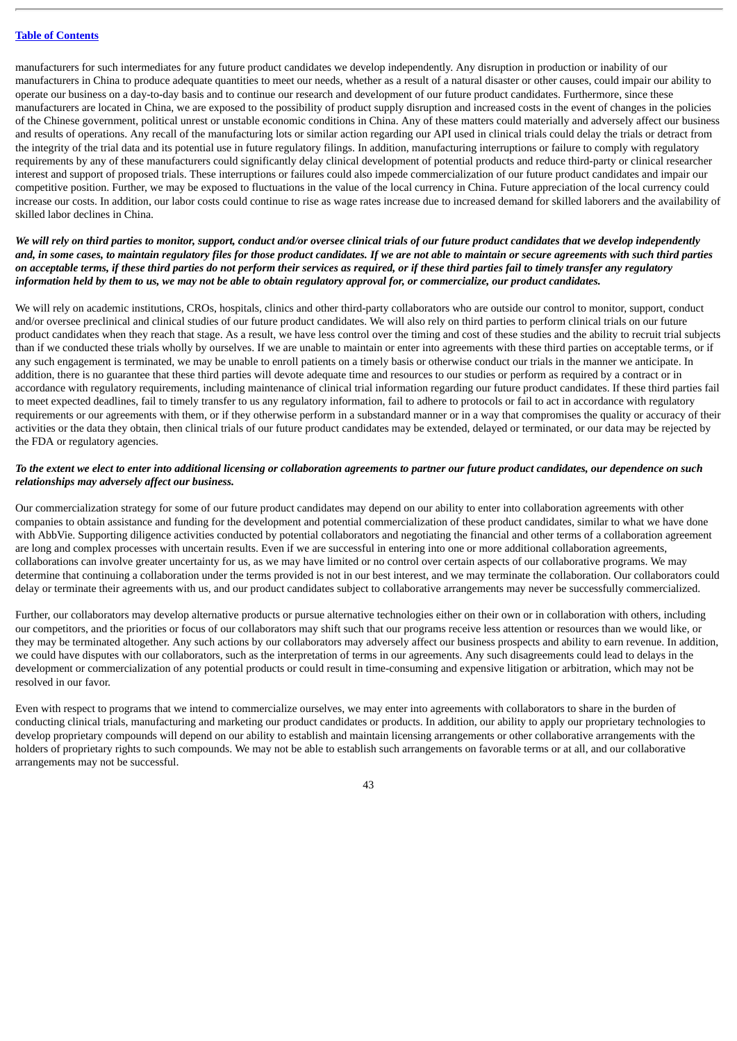manufacturers for such intermediates for any future product candidates we develop independently. Any disruption in production or inability of our manufacturers in China to produce adequate quantities to meet our needs, whether as a result of a natural disaster or other causes, could impair our ability to operate our business on a day-to-day basis and to continue our research and development of our future product candidates. Furthermore, since these manufacturers are located in China, we are exposed to the possibility of product supply disruption and increased costs in the event of changes in the policies of the Chinese government, political unrest or unstable economic conditions in China. Any of these matters could materially and adversely affect our business and results of operations. Any recall of the manufacturing lots or similar action regarding our API used in clinical trials could delay the trials or detract from the integrity of the trial data and its potential use in future regulatory filings. In addition, manufacturing interruptions or failure to comply with regulatory requirements by any of these manufacturers could significantly delay clinical development of potential products and reduce third-party or clinical researcher interest and support of proposed trials. These interruptions or failures could also impede commercialization of our future product candidates and impair our competitive position. Further, we may be exposed to fluctuations in the value of the local currency in China. Future appreciation of the local currency could increase our costs. In addition, our labor costs could continue to rise as wage rates increase due to increased demand for skilled laborers and the availability of skilled labor declines in China.

## We will rely on third parties to monitor, support, conduct and/or oversee clinical trials of our future product candidates that we develop independently and, in some cases, to maintain regulatory files for those product candidates. If we are not able to maintain or secure agreements with such third parties on acceptable terms, if these third parties do not perform their services as required, or if these third parties fail to timely transfer any requlatory information held by them to us, we may not be able to obtain reaulatory approval for, or commercialize, our product candidates,

We will rely on academic institutions, CROs, hospitals, clinics and other third-party collaborators who are outside our control to monitor, support, conduct and/or oversee preclinical and clinical studies of our future product candidates. We will also rely on third parties to perform clinical trials on our future product candidates when they reach that stage. As a result, we have less control over the timing and cost of these studies and the ability to recruit trial subjects than if we conducted these trials wholly by ourselves. If we are unable to maintain or enter into agreements with these third parties on acceptable terms, or if any such engagement is terminated, we may be unable to enroll patients on a timely basis or otherwise conduct our trials in the manner we anticipate. In addition, there is no guarantee that these third parties will devote adequate time and resources to our studies or perform as required by a contract or in accordance with regulatory requirements, including maintenance of clinical trial information regarding our future product candidates. If these third parties fail to meet expected deadlines, fail to timely transfer to us any regulatory information, fail to adhere to protocols or fail to act in accordance with regulatory requirements or our agreements with them, or if they otherwise perform in a substandard manner or in a way that compromises the quality or accuracy of their activities or the data they obtain, then clinical trials of our future product candidates may be extended, delayed or terminated, or our data may be rejected by the FDA or regulatory agencies.

## To the extent we elect to enter into additional licensing or collaboration agreements to partner our future product candidates, our dependence on such *relationships may adversely affect our business.*

Our commercialization strategy for some of our future product candidates may depend on our ability to enter into collaboration agreements with other companies to obtain assistance and funding for the development and potential commercialization of these product candidates, similar to what we have done with AbbVie. Supporting diligence activities conducted by potential collaborators and negotiating the financial and other terms of a collaboration agreement are long and complex processes with uncertain results. Even if we are successful in entering into one or more additional collaboration agreements, collaborations can involve greater uncertainty for us, as we may have limited or no control over certain aspects of our collaborative programs. We may determine that continuing a collaboration under the terms provided is not in our best interest, and we may terminate the collaboration. Our collaborators could delay or terminate their agreements with us, and our product candidates subject to collaborative arrangements may never be successfully commercialized.

Further, our collaborators may develop alternative products or pursue alternative technologies either on their own or in collaboration with others, including our competitors, and the priorities or focus of our collaborators may shift such that our programs receive less attention or resources than we would like, or they may be terminated altogether. Any such actions by our collaborators may adversely affect our business prospects and ability to earn revenue. In addition, we could have disputes with our collaborators, such as the interpretation of terms in our agreements. Any such disagreements could lead to delays in the development or commercialization of any potential products or could result in time-consuming and expensive litigation or arbitration, which may not be resolved in our favor.

Even with respect to programs that we intend to commercialize ourselves, we may enter into agreements with collaborators to share in the burden of conducting clinical trials, manufacturing and marketing our product candidates or products. In addition, our ability to apply our proprietary technologies to develop proprietary compounds will depend on our ability to establish and maintain licensing arrangements or other collaborative arrangements with the holders of proprietary rights to such compounds. We may not be able to establish such arrangements on favorable terms or at all, and our collaborative arrangements may not be successful.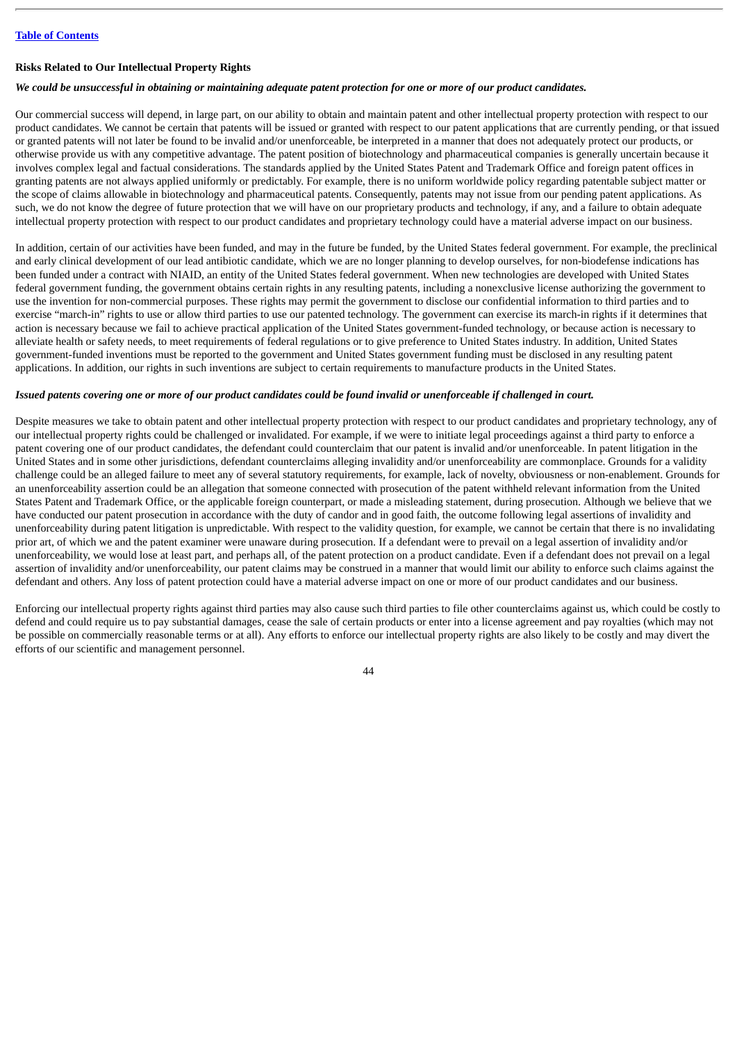#### **Risks Related to Our Intellectual Property Rights**

#### We could be unsuccessful in obtaining or maintaining adequate patent protection for one or more of our product candidates.

Our commercial success will depend, in large part, on our ability to obtain and maintain patent and other intellectual property protection with respect to our product candidates. We cannot be certain that patents will be issued or granted with respect to our patent applications that are currently pending, or that issued or granted patents will not later be found to be invalid and/or unenforceable, be interpreted in a manner that does not adequately protect our products, or otherwise provide us with any competitive advantage. The patent position of biotechnology and pharmaceutical companies is generally uncertain because it involves complex legal and factual considerations. The standards applied by the United States Patent and Trademark Office and foreign patent offices in granting patents are not always applied uniformly or predictably. For example, there is no uniform worldwide policy regarding patentable subject matter or the scope of claims allowable in biotechnology and pharmaceutical patents. Consequently, patents may not issue from our pending patent applications. As such, we do not know the degree of future protection that we will have on our proprietary products and technology, if any, and a failure to obtain adequate intellectual property protection with respect to our product candidates and proprietary technology could have a material adverse impact on our business.

In addition, certain of our activities have been funded, and may in the future be funded, by the United States federal government. For example, the preclinical and early clinical development of our lead antibiotic candidate, which we are no longer planning to develop ourselves, for non-biodefense indications has been funded under a contract with NIAID, an entity of the United States federal government. When new technologies are developed with United States federal government funding, the government obtains certain rights in any resulting patents, including a nonexclusive license authorizing the government to use the invention for non-commercial purposes. These rights may permit the government to disclose our confidential information to third parties and to exercise "march-in" rights to use or allow third parties to use our patented technology. The government can exercise its march-in rights if it determines that action is necessary because we fail to achieve practical application of the United States government-funded technology, or because action is necessary to alleviate health or safety needs, to meet requirements of federal regulations or to give preference to United States industry. In addition, United States government-funded inventions must be reported to the government and United States government funding must be disclosed in any resulting patent applications. In addition, our rights in such inventions are subject to certain requirements to manufacture products in the United States.

#### Issued patents covering one or more of our product candidates could be found invalid or unenforceable if challenged in court.

Despite measures we take to obtain patent and other intellectual property protection with respect to our product candidates and proprietary technology, any of our intellectual property rights could be challenged or invalidated. For example, if we were to initiate legal proceedings against a third party to enforce a patent covering one of our product candidates, the defendant could counterclaim that our patent is invalid and/or unenforceable. In patent litigation in the United States and in some other jurisdictions, defendant counterclaims alleging invalidity and/or unenforceability are commonplace. Grounds for a validity challenge could be an alleged failure to meet any of several statutory requirements, for example, lack of novelty, obviousness or non-enablement. Grounds for an unenforceability assertion could be an allegation that someone connected with prosecution of the patent withheld relevant information from the United States Patent and Trademark Office, or the applicable foreign counterpart, or made a misleading statement, during prosecution. Although we believe that we have conducted our patent prosecution in accordance with the duty of candor and in good faith, the outcome following legal assertions of invalidity and unenforceability during patent litigation is unpredictable. With respect to the validity question, for example, we cannot be certain that there is no invalidating prior art, of which we and the patent examiner were unaware during prosecution. If a defendant were to prevail on a legal assertion of invalidity and/or unenforceability, we would lose at least part, and perhaps all, of the patent protection on a product candidate. Even if a defendant does not prevail on a legal assertion of invalidity and/or unenforceability, our patent claims may be construed in a manner that would limit our ability to enforce such claims against the defendant and others. Any loss of patent protection could have a material adverse impact on one or more of our product candidates and our business.

Enforcing our intellectual property rights against third parties may also cause such third parties to file other counterclaims against us, which could be costly to defend and could require us to pay substantial damages, cease the sale of certain products or enter into a license agreement and pay royalties (which may not be possible on commercially reasonable terms or at all). Any efforts to enforce our intellectual property rights are also likely to be costly and may divert the efforts of our scientific and management personnel.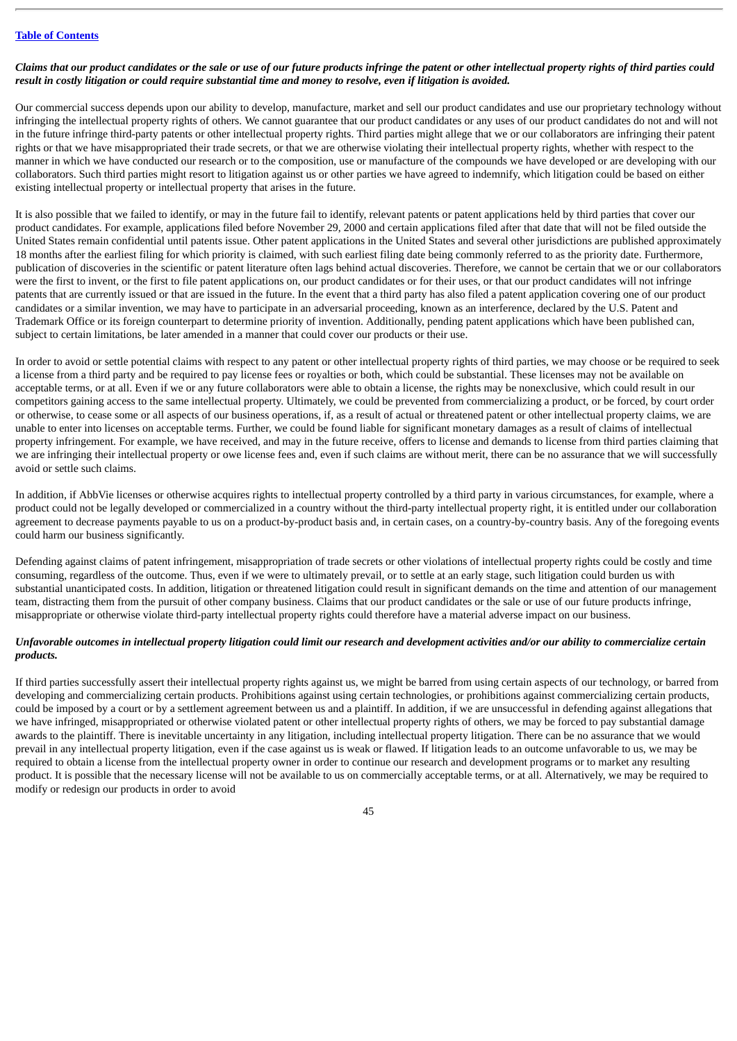#### Claims that our product candidates or the sale or use of our future products infringe the patent or other intellectual property rights of third parties could result in costly litigation or could require substantial time and money to resolve, even if litigation is avoided,

Our commercial success depends upon our ability to develop, manufacture, market and sell our product candidates and use our proprietary technology without infringing the intellectual property rights of others. We cannot guarantee that our product candidates or any uses of our product candidates do not and will not in the future infringe third-party patents or other intellectual property rights. Third parties might allege that we or our collaborators are infringing their patent rights or that we have misappropriated their trade secrets, or that we are otherwise violating their intellectual property rights, whether with respect to the manner in which we have conducted our research or to the composition, use or manufacture of the compounds we have developed or are developing with our collaborators. Such third parties might resort to litigation against us or other parties we have agreed to indemnify, which litigation could be based on either existing intellectual property or intellectual property that arises in the future.

It is also possible that we failed to identify, or may in the future fail to identify, relevant patents or patent applications held by third parties that cover our product candidates. For example, applications filed before November 29, 2000 and certain applications filed after that date that will not be filed outside the United States remain confidential until patents issue. Other patent applications in the United States and several other jurisdictions are published approximately 18 months after the earliest filing for which priority is claimed, with such earliest filing date being commonly referred to as the priority date. Furthermore, publication of discoveries in the scientific or patent literature often lags behind actual discoveries. Therefore, we cannot be certain that we or our collaborators were the first to invent, or the first to file patent applications on, our product candidates or for their uses, or that our product candidates will not infringe patents that are currently issued or that are issued in the future. In the event that a third party has also filed a patent application covering one of our product candidates or a similar invention, we may have to participate in an adversarial proceeding, known as an interference, declared by the U.S. Patent and Trademark Office or its foreign counterpart to determine priority of invention. Additionally, pending patent applications which have been published can, subject to certain limitations, be later amended in a manner that could cover our products or their use.

In order to avoid or settle potential claims with respect to any patent or other intellectual property rights of third parties, we may choose or be required to seek a license from a third party and be required to pay license fees or royalties or both, which could be substantial. These licenses may not be available on acceptable terms, or at all. Even if we or any future collaborators were able to obtain a license, the rights may be nonexclusive, which could result in our competitors gaining access to the same intellectual property. Ultimately, we could be prevented from commercializing a product, or be forced, by court order or otherwise, to cease some or all aspects of our business operations, if, as a result of actual or threatened patent or other intellectual property claims, we are unable to enter into licenses on acceptable terms. Further, we could be found liable for significant monetary damages as a result of claims of intellectual property infringement. For example, we have received, and may in the future receive, offers to license and demands to license from third parties claiming that we are infringing their intellectual property or owe license fees and, even if such claims are without merit, there can be no assurance that we will successfully avoid or settle such claims.

In addition, if AbbVie licenses or otherwise acquires rights to intellectual property controlled by a third party in various circumstances, for example, where a product could not be legally developed or commercialized in a country without the third-party intellectual property right, it is entitled under our collaboration agreement to decrease payments payable to us on a product-by-product basis and, in certain cases, on a country-by-country basis. Any of the foregoing events could harm our business significantly.

Defending against claims of patent infringement, misappropriation of trade secrets or other violations of intellectual property rights could be costly and time consuming, regardless of the outcome. Thus, even if we were to ultimately prevail, or to settle at an early stage, such litigation could burden us with substantial unanticipated costs. In addition, litigation or threatened litigation could result in significant demands on the time and attention of our management team, distracting them from the pursuit of other company business. Claims that our product candidates or the sale or use of our future products infringe, misappropriate or otherwise violate third-party intellectual property rights could therefore have a material adverse impact on our business.

## Unfavorable outcomes in intellectual property litigation could limit our research and development activities and/or our ability to commercialize certain *products.*

If third parties successfully assert their intellectual property rights against us, we might be barred from using certain aspects of our technology, or barred from developing and commercializing certain products. Prohibitions against using certain technologies, or prohibitions against commercializing certain products, could be imposed by a court or by a settlement agreement between us and a plaintiff. In addition, if we are unsuccessful in defending against allegations that we have infringed, misappropriated or otherwise violated patent or other intellectual property rights of others, we may be forced to pay substantial damage awards to the plaintiff. There is inevitable uncertainty in any litigation, including intellectual property litigation. There can be no assurance that we would prevail in any intellectual property litigation, even if the case against us is weak or flawed. If litigation leads to an outcome unfavorable to us, we may be required to obtain a license from the intellectual property owner in order to continue our research and development programs or to market any resulting product. It is possible that the necessary license will not be available to us on commercially acceptable terms, or at all. Alternatively, we may be required to modify or redesign our products in order to avoid

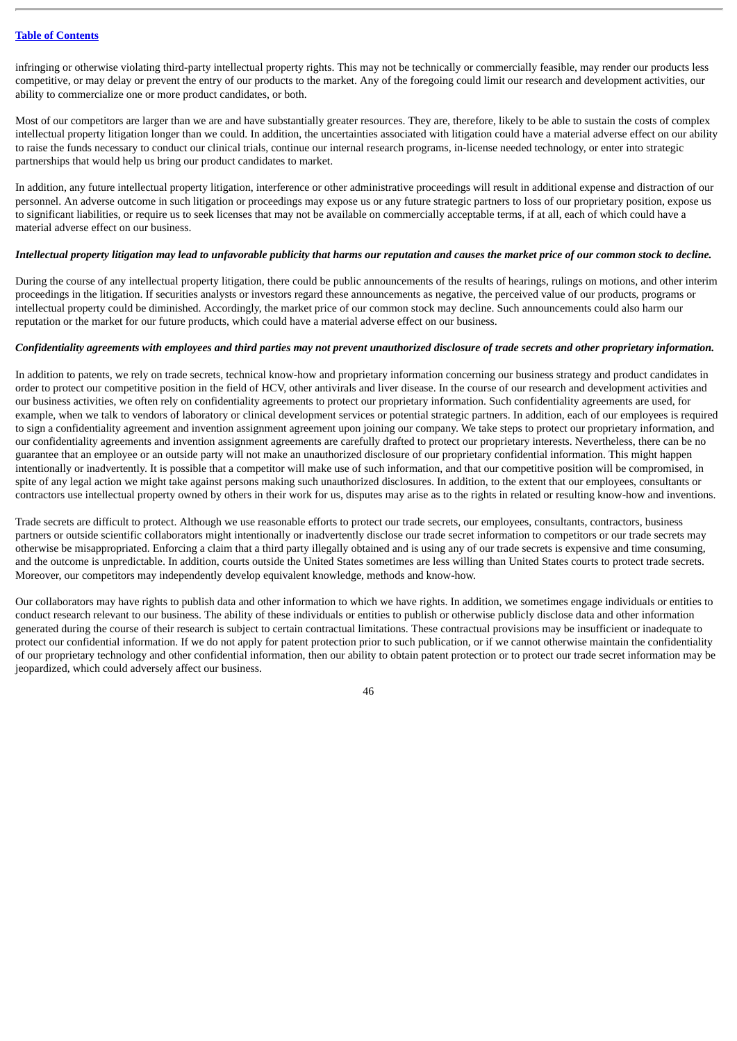infringing or otherwise violating third-party intellectual property rights. This may not be technically or commercially feasible, may render our products less competitive, or may delay or prevent the entry of our products to the market. Any of the foregoing could limit our research and development activities, our ability to commercialize one or more product candidates, or both.

Most of our competitors are larger than we are and have substantially greater resources. They are, therefore, likely to be able to sustain the costs of complex intellectual property litigation longer than we could. In addition, the uncertainties associated with litigation could have a material adverse effect on our ability to raise the funds necessary to conduct our clinical trials, continue our internal research programs, in-license needed technology, or enter into strategic partnerships that would help us bring our product candidates to market.

In addition, any future intellectual property litigation, interference or other administrative proceedings will result in additional expense and distraction of our personnel. An adverse outcome in such litigation or proceedings may expose us or any future strategic partners to loss of our proprietary position, expose us to significant liabilities, or require us to seek licenses that may not be available on commercially acceptable terms, if at all, each of which could have a material adverse effect on our business.

## Intellectual property litigation may lead to unfavorable publicity that harms our reputation and causes the market price of our common stock to decline.

During the course of any intellectual property litigation, there could be public announcements of the results of hearings, rulings on motions, and other interim proceedings in the litigation. If securities analysts or investors regard these announcements as negative, the perceived value of our products, programs or intellectual property could be diminished. Accordingly, the market price of our common stock may decline. Such announcements could also harm our reputation or the market for our future products, which could have a material adverse effect on our business.

#### Confidentiality agreements with employees and third parties may not prevent unauthorized disclosure of trade secrets and other proprietary information.

In addition to patents, we rely on trade secrets, technical know-how and proprietary information concerning our business strategy and product candidates in order to protect our competitive position in the field of HCV, other antivirals and liver disease. In the course of our research and development activities and our business activities, we often rely on confidentiality agreements to protect our proprietary information. Such confidentiality agreements are used, for example, when we talk to vendors of laboratory or clinical development services or potential strategic partners. In addition, each of our employees is required to sign a confidentiality agreement and invention assignment agreement upon joining our company. We take steps to protect our proprietary information, and our confidentiality agreements and invention assignment agreements are carefully drafted to protect our proprietary interests. Nevertheless, there can be no guarantee that an employee or an outside party will not make an unauthorized disclosure of our proprietary confidential information. This might happen intentionally or inadvertently. It is possible that a competitor will make use of such information, and that our competitive position will be compromised, in spite of any legal action we might take against persons making such unauthorized disclosures. In addition, to the extent that our employees, consultants or contractors use intellectual property owned by others in their work for us, disputes may arise as to the rights in related or resulting know-how and inventions.

Trade secrets are difficult to protect. Although we use reasonable efforts to protect our trade secrets, our employees, consultants, contractors, business partners or outside scientific collaborators might intentionally or inadvertently disclose our trade secret information to competitors or our trade secrets may otherwise be misappropriated. Enforcing a claim that a third party illegally obtained and is using any of our trade secrets is expensive and time consuming, and the outcome is unpredictable. In addition, courts outside the United States sometimes are less willing than United States courts to protect trade secrets. Moreover, our competitors may independently develop equivalent knowledge, methods and know-how.

Our collaborators may have rights to publish data and other information to which we have rights. In addition, we sometimes engage individuals or entities to conduct research relevant to our business. The ability of these individuals or entities to publish or otherwise publicly disclose data and other information generated during the course of their research is subject to certain contractual limitations. These contractual provisions may be insufficient or inadequate to protect our confidential information. If we do not apply for patent protection prior to such publication, or if we cannot otherwise maintain the confidentiality of our proprietary technology and other confidential information, then our ability to obtain patent protection or to protect our trade secret information may be jeopardized, which could adversely affect our business.

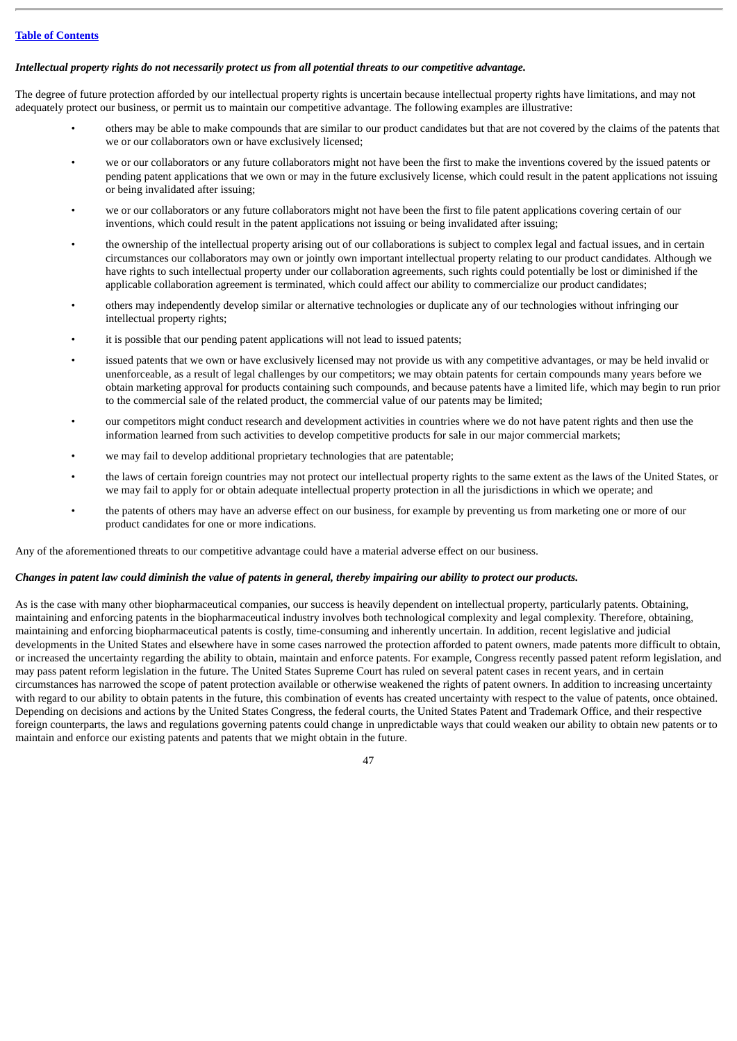#### Intellectual property rights do not necessarily protect us from all potential threats to our competitive advantage.

The degree of future protection afforded by our intellectual property rights is uncertain because intellectual property rights have limitations, and may not adequately protect our business, or permit us to maintain our competitive advantage. The following examples are illustrative:

- others may be able to make compounds that are similar to our product candidates but that are not covered by the claims of the patents that we or our collaborators own or have exclusively licensed;
- we or our collaborators or any future collaborators might not have been the first to make the inventions covered by the issued patents or pending patent applications that we own or may in the future exclusively license, which could result in the patent applications not issuing or being invalidated after issuing;
- we or our collaborators or any future collaborators might not have been the first to file patent applications covering certain of our inventions, which could result in the patent applications not issuing or being invalidated after issuing;
- the ownership of the intellectual property arising out of our collaborations is subject to complex legal and factual issues, and in certain circumstances our collaborators may own or jointly own important intellectual property relating to our product candidates. Although we have rights to such intellectual property under our collaboration agreements, such rights could potentially be lost or diminished if the applicable collaboration agreement is terminated, which could affect our ability to commercialize our product candidates;
- others may independently develop similar or alternative technologies or duplicate any of our technologies without infringing our intellectual property rights;
- it is possible that our pending patent applications will not lead to issued patents;
- issued patents that we own or have exclusively licensed may not provide us with any competitive advantages, or may be held invalid or unenforceable, as a result of legal challenges by our competitors; we may obtain patents for certain compounds many years before we obtain marketing approval for products containing such compounds, and because patents have a limited life, which may begin to run prior to the commercial sale of the related product, the commercial value of our patents may be limited;
- our competitors might conduct research and development activities in countries where we do not have patent rights and then use the information learned from such activities to develop competitive products for sale in our major commercial markets;
- we may fail to develop additional proprietary technologies that are patentable;
- the laws of certain foreign countries may not protect our intellectual property rights to the same extent as the laws of the United States, or we may fail to apply for or obtain adequate intellectual property protection in all the jurisdictions in which we operate; and
- the patents of others may have an adverse effect on our business, for example by preventing us from marketing one or more of our product candidates for one or more indications.

Any of the aforementioned threats to our competitive advantage could have a material adverse effect on our business.

#### Changes in patent law could diminish the value of patents in general, thereby impairing our ability to protect our products.

As is the case with many other biopharmaceutical companies, our success is heavily dependent on intellectual property, particularly patents. Obtaining, maintaining and enforcing patents in the biopharmaceutical industry involves both technological complexity and legal complexity. Therefore, obtaining, maintaining and enforcing biopharmaceutical patents is costly, time-consuming and inherently uncertain. In addition, recent legislative and judicial developments in the United States and elsewhere have in some cases narrowed the protection afforded to patent owners, made patents more difficult to obtain, or increased the uncertainty regarding the ability to obtain, maintain and enforce patents. For example, Congress recently passed patent reform legislation, and may pass patent reform legislation in the future. The United States Supreme Court has ruled on several patent cases in recent years, and in certain circumstances has narrowed the scope of patent protection available or otherwise weakened the rights of patent owners. In addition to increasing uncertainty with regard to our ability to obtain patents in the future, this combination of events has created uncertainty with respect to the value of patents, once obtained. Depending on decisions and actions by the United States Congress, the federal courts, the United States Patent and Trademark Office, and their respective foreign counterparts, the laws and regulations governing patents could change in unpredictable ways that could weaken our ability to obtain new patents or to maintain and enforce our existing patents and patents that we might obtain in the future.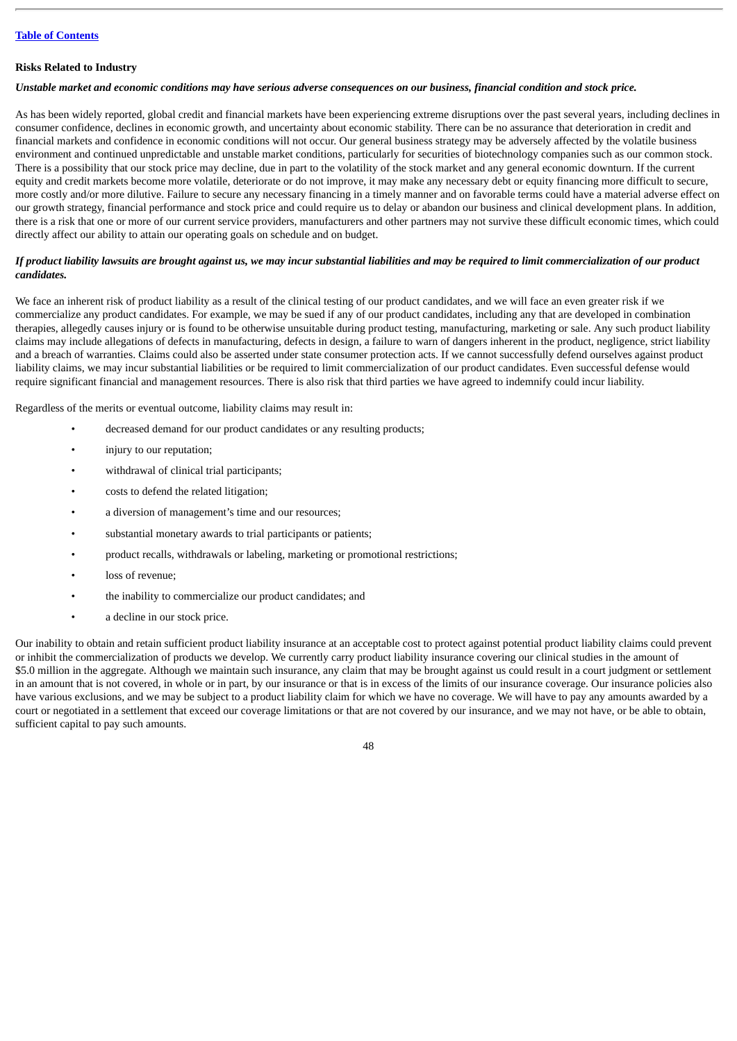#### **Risks Related to Industry**

#### Unstable market and economic conditions may have serious adverse consequences on our business, financial condition and stock price.

As has been widely reported, global credit and financial markets have been experiencing extreme disruptions over the past several years, including declines in consumer confidence, declines in economic growth, and uncertainty about economic stability. There can be no assurance that deterioration in credit and financial markets and confidence in economic conditions will not occur. Our general business strategy may be adversely affected by the volatile business environment and continued unpredictable and unstable market conditions, particularly for securities of biotechnology companies such as our common stock. There is a possibility that our stock price may decline, due in part to the volatility of the stock market and any general economic downturn. If the current equity and credit markets become more volatile, deteriorate or do not improve, it may make any necessary debt or equity financing more difficult to secure, more costly and/or more dilutive. Failure to secure any necessary financing in a timely manner and on favorable terms could have a material adverse effect on our growth strategy, financial performance and stock price and could require us to delay or abandon our business and clinical development plans. In addition, there is a risk that one or more of our current service providers, manufacturers and other partners may not survive these difficult economic times, which could directly affect our ability to attain our operating goals on schedule and on budget.

## If product liability lawsuits are brought against us, we may incur substantial liabilities and may be required to limit commercialization of our product *candidates.*

We face an inherent risk of product liability as a result of the clinical testing of our product candidates, and we will face an even greater risk if we commercialize any product candidates. For example, we may be sued if any of our product candidates, including any that are developed in combination therapies, allegedly causes injury or is found to be otherwise unsuitable during product testing, manufacturing, marketing or sale. Any such product liability claims may include allegations of defects in manufacturing, defects in design, a failure to warn of dangers inherent in the product, negligence, strict liability and a breach of warranties. Claims could also be asserted under state consumer protection acts. If we cannot successfully defend ourselves against product liability claims, we may incur substantial liabilities or be required to limit commercialization of our product candidates. Even successful defense would require significant financial and management resources. There is also risk that third parties we have agreed to indemnify could incur liability.

Regardless of the merits or eventual outcome, liability claims may result in:

- decreased demand for our product candidates or any resulting products;
- injury to our reputation;
- withdrawal of clinical trial participants;
- costs to defend the related litigation;
- a diversion of management's time and our resources;
- substantial monetary awards to trial participants or patients;
- product recalls, withdrawals or labeling, marketing or promotional restrictions;
- loss of revenue:
- the inability to commercialize our product candidates; and
- a decline in our stock price.

Our inability to obtain and retain sufficient product liability insurance at an acceptable cost to protect against potential product liability claims could prevent or inhibit the commercialization of products we develop. We currently carry product liability insurance covering our clinical studies in the amount of \$5.0 million in the aggregate. Although we maintain such insurance, any claim that may be brought against us could result in a court judgment or settlement in an amount that is not covered, in whole or in part, by our insurance or that is in excess of the limits of our insurance coverage. Our insurance policies also have various exclusions, and we may be subject to a product liability claim for which we have no coverage. We will have to pay any amounts awarded by a court or negotiated in a settlement that exceed our coverage limitations or that are not covered by our insurance, and we may not have, or be able to obtain, sufficient capital to pay such amounts.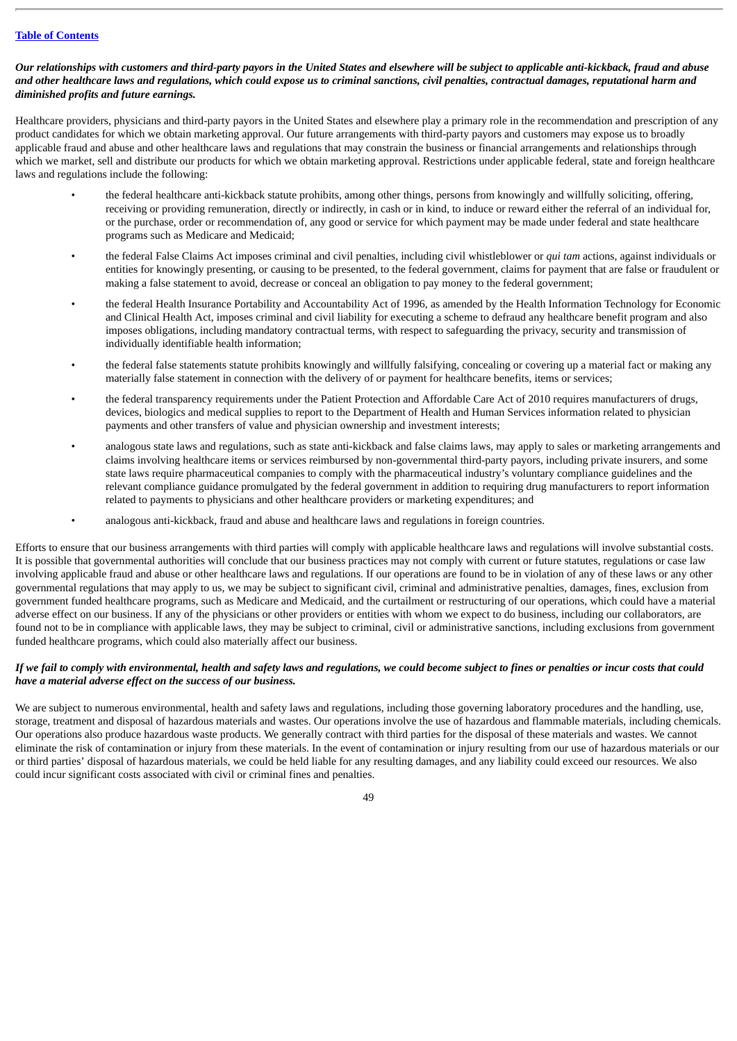## Our relationships with customers and third-party payors in the United States and elsewhere will be subject to applicable anti-kickback, fraud and abuse and other healthcare laws and regulations, which could expose us to criminal sanctions, civil penalties, contractual damages, reputational harm and *diminished profits and future earnings.*

Healthcare providers, physicians and third-party payors in the United States and elsewhere play a primary role in the recommendation and prescription of any product candidates for which we obtain marketing approval. Our future arrangements with third-party payors and customers may expose us to broadly applicable fraud and abuse and other healthcare laws and regulations that may constrain the business or financial arrangements and relationships through which we market, sell and distribute our products for which we obtain marketing approval. Restrictions under applicable federal, state and foreign healthcare laws and regulations include the following:

- the federal healthcare anti-kickback statute prohibits, among other things, persons from knowingly and willfully soliciting, offering, receiving or providing remuneration, directly or indirectly, in cash or in kind, to induce or reward either the referral of an individual for, or the purchase, order or recommendation of, any good or service for which payment may be made under federal and state healthcare programs such as Medicare and Medicaid;
- the federal False Claims Act imposes criminal and civil penalties, including civil whistleblower or *qui tam* actions, against individuals or entities for knowingly presenting, or causing to be presented, to the federal government, claims for payment that are false or fraudulent or making a false statement to avoid, decrease or conceal an obligation to pay money to the federal government;
- the federal Health Insurance Portability and Accountability Act of 1996, as amended by the Health Information Technology for Economic and Clinical Health Act, imposes criminal and civil liability for executing a scheme to defraud any healthcare benefit program and also imposes obligations, including mandatory contractual terms, with respect to safeguarding the privacy, security and transmission of individually identifiable health information;
- the federal false statements statute prohibits knowingly and willfully falsifying, concealing or covering up a material fact or making any materially false statement in connection with the delivery of or payment for healthcare benefits, items or services;
- the federal transparency requirements under the Patient Protection and Affordable Care Act of 2010 requires manufacturers of drugs, devices, biologics and medical supplies to report to the Department of Health and Human Services information related to physician payments and other transfers of value and physician ownership and investment interests;
- analogous state laws and regulations, such as state anti-kickback and false claims laws, may apply to sales or marketing arrangements and claims involving healthcare items or services reimbursed by non-governmental third-party payors, including private insurers, and some state laws require pharmaceutical companies to comply with the pharmaceutical industry's voluntary compliance guidelines and the relevant compliance guidance promulgated by the federal government in addition to requiring drug manufacturers to report information related to payments to physicians and other healthcare providers or marketing expenditures; and
- analogous anti-kickback, fraud and abuse and healthcare laws and regulations in foreign countries.

Efforts to ensure that our business arrangements with third parties will comply with applicable healthcare laws and regulations will involve substantial costs. It is possible that governmental authorities will conclude that our business practices may not comply with current or future statutes, regulations or case law involving applicable fraud and abuse or other healthcare laws and regulations. If our operations are found to be in violation of any of these laws or any other governmental regulations that may apply to us, we may be subject to significant civil, criminal and administrative penalties, damages, fines, exclusion from government funded healthcare programs, such as Medicare and Medicaid, and the curtailment or restructuring of our operations, which could have a material adverse effect on our business. If any of the physicians or other providers or entities with whom we expect to do business, including our collaborators, are found not to be in compliance with applicable laws, they may be subject to criminal, civil or administrative sanctions, including exclusions from government funded healthcare programs, which could also materially affect our business.

## If we fail to comply with environmental, health and safety laws and regulations, we could become subject to fines or penalties or incur costs that could *have a material adverse effect on the success of our business.*

We are subject to numerous environmental, health and safety laws and regulations, including those governing laboratory procedures and the handling, use, storage, treatment and disposal of hazardous materials and wastes. Our operations involve the use of hazardous and flammable materials, including chemicals. Our operations also produce hazardous waste products. We generally contract with third parties for the disposal of these materials and wastes. We cannot eliminate the risk of contamination or injury from these materials. In the event of contamination or injury resulting from our use of hazardous materials or our or third parties' disposal of hazardous materials, we could be held liable for any resulting damages, and any liability could exceed our resources. We also could incur significant costs associated with civil or criminal fines and penalties.

 $\overline{A}Q$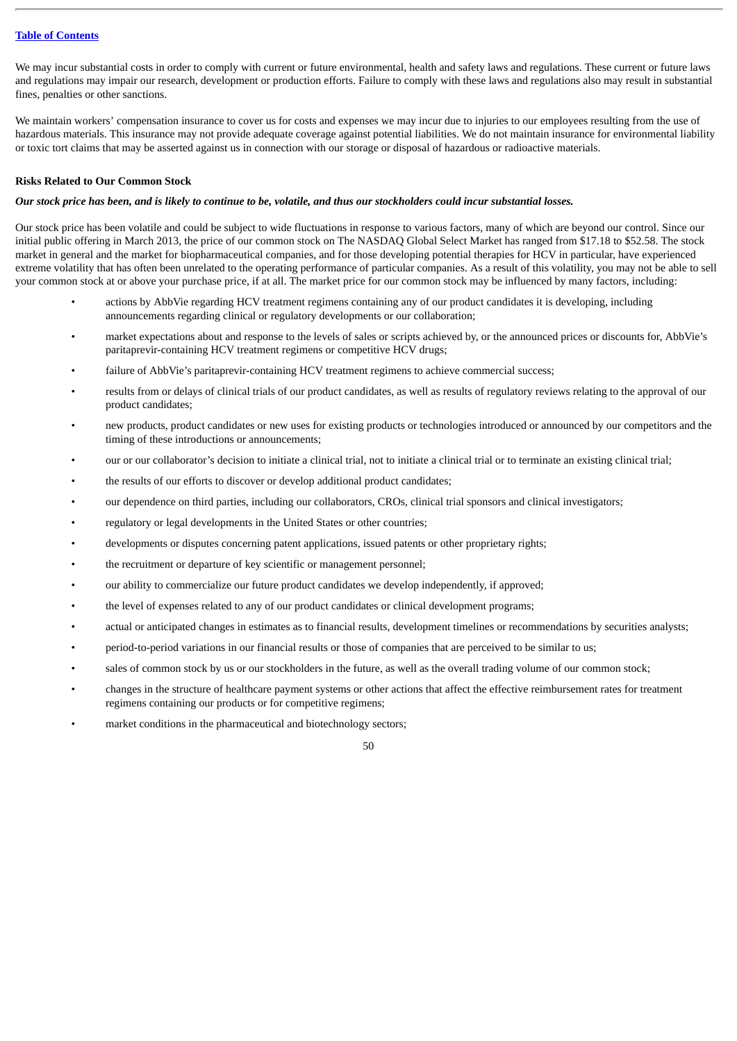We may incur substantial costs in order to comply with current or future environmental, health and safety laws and regulations. These current or future laws and regulations may impair our research, development or production efforts. Failure to comply with these laws and regulations also may result in substantial fines, penalties or other sanctions.

We maintain workers' compensation insurance to cover us for costs and expenses we may incur due to injuries to our employees resulting from the use of hazardous materials. This insurance may not provide adequate coverage against potential liabilities. We do not maintain insurance for environmental liability or toxic tort claims that may be asserted against us in connection with our storage or disposal of hazardous or radioactive materials.

#### **Risks Related to Our Common Stock**

#### Our stock price has been, and is likely to continue to be, volatile, and thus our stockholders could incur substantial losses.

Our stock price has been volatile and could be subject to wide fluctuations in response to various factors, many of which are beyond our control. Since our initial public offering in March 2013, the price of our common stock on The NASDAQ Global Select Market has ranged from \$17.18 to \$52.58. The stock market in general and the market for biopharmaceutical companies, and for those developing potential therapies for HCV in particular, have experienced extreme volatility that has often been unrelated to the operating performance of particular companies. As a result of this volatility, you may not be able to sell your common stock at or above your purchase price, if at all. The market price for our common stock may be influenced by many factors, including:

- actions by AbbVie regarding HCV treatment regimens containing any of our product candidates it is developing, including announcements regarding clinical or regulatory developments or our collaboration;
- market expectations about and response to the levels of sales or scripts achieved by, or the announced prices or discounts for, AbbVie's paritaprevir-containing HCV treatment regimens or competitive HCV drugs;
- failure of AbbVie's paritaprevir-containing HCV treatment regimens to achieve commercial success;
- results from or delays of clinical trials of our product candidates, as well as results of regulatory reviews relating to the approval of our product candidates;
- new products, product candidates or new uses for existing products or technologies introduced or announced by our competitors and the timing of these introductions or announcements;
- our or our collaborator's decision to initiate a clinical trial, not to initiate a clinical trial or to terminate an existing clinical trial;
- the results of our efforts to discover or develop additional product candidates;
- our dependence on third parties, including our collaborators, CROs, clinical trial sponsors and clinical investigators;
- regulatory or legal developments in the United States or other countries;
- developments or disputes concerning patent applications, issued patents or other proprietary rights;
- the recruitment or departure of key scientific or management personnel;
- our ability to commercialize our future product candidates we develop independently, if approved;
- the level of expenses related to any of our product candidates or clinical development programs;
- actual or anticipated changes in estimates as to financial results, development timelines or recommendations by securities analysts;
- period-to-period variations in our financial results or those of companies that are perceived to be similar to us;
- sales of common stock by us or our stockholders in the future, as well as the overall trading volume of our common stock;
- changes in the structure of healthcare payment systems or other actions that affect the effective reimbursement rates for treatment regimens containing our products or for competitive regimens;
- market conditions in the pharmaceutical and biotechnology sectors;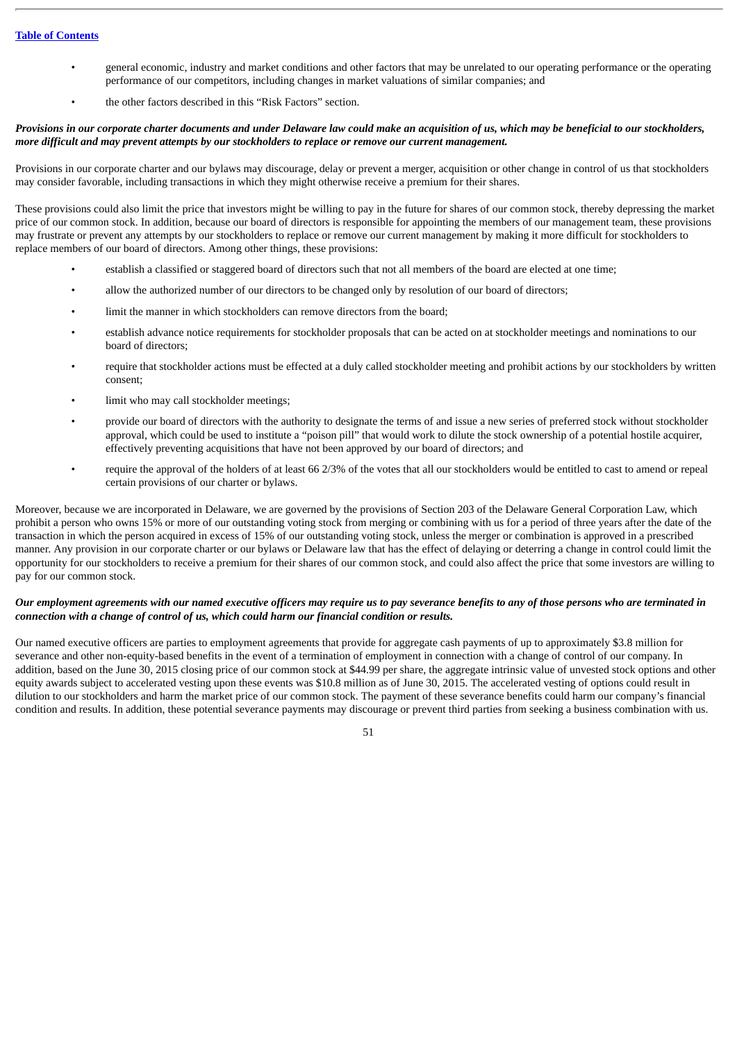- general economic, industry and market conditions and other factors that may be unrelated to our operating performance or the operating performance of our competitors, including changes in market valuations of similar companies; and
- the other factors described in this "Risk Factors" section.

#### Provisions in our corporate charter documents and under Delaware law could make an acquisition of us, which may be beneficial to our stockholders, *more difficult and may prevent attempts by our stockholders to replace or remove our current management.*

Provisions in our corporate charter and our bylaws may discourage, delay or prevent a merger, acquisition or other change in control of us that stockholders may consider favorable, including transactions in which they might otherwise receive a premium for their shares.

These provisions could also limit the price that investors might be willing to pay in the future for shares of our common stock, thereby depressing the market price of our common stock. In addition, because our board of directors is responsible for appointing the members of our management team, these provisions may frustrate or prevent any attempts by our stockholders to replace or remove our current management by making it more difficult for stockholders to replace members of our board of directors. Among other things, these provisions:

- establish a classified or staggered board of directors such that not all members of the board are elected at one time;
- allow the authorized number of our directors to be changed only by resolution of our board of directors;
- limit the manner in which stockholders can remove directors from the board;
- establish advance notice requirements for stockholder proposals that can be acted on at stockholder meetings and nominations to our board of directors;
- require that stockholder actions must be effected at a duly called stockholder meeting and prohibit actions by our stockholders by written consent;
- limit who may call stockholder meetings;
- provide our board of directors with the authority to designate the terms of and issue a new series of preferred stock without stockholder approval, which could be used to institute a "poison pill" that would work to dilute the stock ownership of a potential hostile acquirer, effectively preventing acquisitions that have not been approved by our board of directors; and
- require the approval of the holders of at least 66 2/3% of the votes that all our stockholders would be entitled to cast to amend or repeal certain provisions of our charter or bylaws.

Moreover, because we are incorporated in Delaware, we are governed by the provisions of Section 203 of the Delaware General Corporation Law, which prohibit a person who owns 15% or more of our outstanding voting stock from merging or combining with us for a period of three years after the date of the transaction in which the person acquired in excess of 15% of our outstanding voting stock, unless the merger or combination is approved in a prescribed manner. Any provision in our corporate charter or our bylaws or Delaware law that has the effect of delaying or deterring a change in control could limit the opportunity for our stockholders to receive a premium for their shares of our common stock, and could also affect the price that some investors are willing to pay for our common stock.

## Our employment agreements with our named executive officers may require us to pay severance benefits to any of those persons who are terminated in *connection with a change of control of us, which could harm our financial condition or results.*

Our named executive officers are parties to employment agreements that provide for aggregate cash payments of up to approximately \$3.8 million for severance and other non-equity-based benefits in the event of a termination of employment in connection with a change of control of our company. In addition, based on the June 30, 2015 closing price of our common stock at \$44.99 per share, the aggregate intrinsic value of unvested stock options and other equity awards subject to accelerated vesting upon these events was \$10.8 million as of June 30, 2015. The accelerated vesting of options could result in dilution to our stockholders and harm the market price of our common stock. The payment of these severance benefits could harm our company's financial condition and results. In addition, these potential severance payments may discourage or prevent third parties from seeking a business combination with us.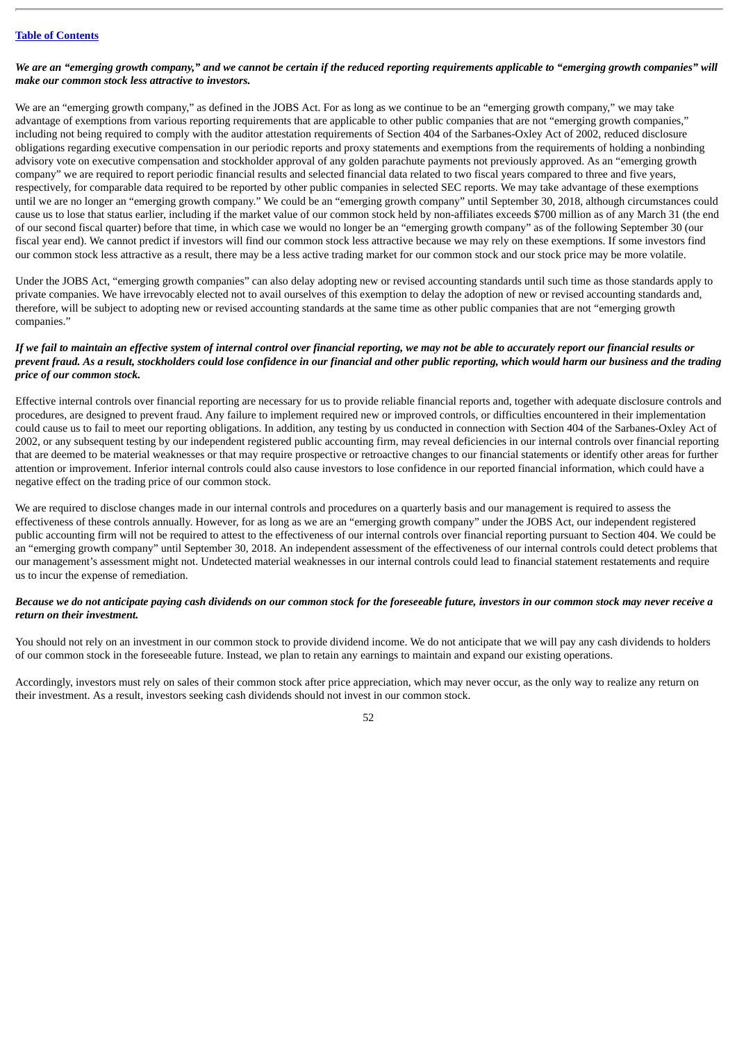#### We are an "emerging growth company," and we cannot be certain if the reduced reporting requirements applicable to "emerging growth companies" will *make our common stock less attractive to investors.*

We are an "emerging growth company," as defined in the JOBS Act. For as long as we continue to be an "emerging growth company," we may take advantage of exemptions from various reporting requirements that are applicable to other public companies that are not "emerging growth companies," including not being required to comply with the auditor attestation requirements of Section 404 of the Sarbanes-Oxley Act of 2002, reduced disclosure obligations regarding executive compensation in our periodic reports and proxy statements and exemptions from the requirements of holding a nonbinding advisory vote on executive compensation and stockholder approval of any golden parachute payments not previously approved. As an "emerging growth company" we are required to report periodic financial results and selected financial data related to two fiscal years compared to three and five years, respectively, for comparable data required to be reported by other public companies in selected SEC reports. We may take advantage of these exemptions until we are no longer an "emerging growth company." We could be an "emerging growth company" until September 30, 2018, although circumstances could cause us to lose that status earlier, including if the market value of our common stock held by non-affiliates exceeds \$700 million as of any March 31 (the end of our second fiscal quarter) before that time, in which case we would no longer be an "emerging growth company" as of the following September 30 (our fiscal year end). We cannot predict if investors will find our common stock less attractive because we may rely on these exemptions. If some investors find our common stock less attractive as a result, there may be a less active trading market for our common stock and our stock price may be more volatile.

Under the JOBS Act, "emerging growth companies" can also delay adopting new or revised accounting standards until such time as those standards apply to private companies. We have irrevocably elected not to avail ourselves of this exemption to delay the adoption of new or revised accounting standards and, therefore, will be subject to adopting new or revised accounting standards at the same time as other public companies that are not "emerging growth companies."

## If we fail to maintain an effective system of internal control over financial reporting, we may not be able to accurately report our financial results or prevent fraud. As a result, stockholders could lose confidence in our financial and other public reporting, which would harm our business and the trading *price of our common stock.*

Effective internal controls over financial reporting are necessary for us to provide reliable financial reports and, together with adequate disclosure controls and procedures, are designed to prevent fraud. Any failure to implement required new or improved controls, or difficulties encountered in their implementation could cause us to fail to meet our reporting obligations. In addition, any testing by us conducted in connection with Section 404 of the Sarbanes-Oxley Act of 2002, or any subsequent testing by our independent registered public accounting firm, may reveal deficiencies in our internal controls over financial reporting that are deemed to be material weaknesses or that may require prospective or retroactive changes to our financial statements or identify other areas for further attention or improvement. Inferior internal controls could also cause investors to lose confidence in our reported financial information, which could have a negative effect on the trading price of our common stock.

We are required to disclose changes made in our internal controls and procedures on a quarterly basis and our management is required to assess the effectiveness of these controls annually. However, for as long as we are an "emerging growth company" under the JOBS Act, our independent registered public accounting firm will not be required to attest to the effectiveness of our internal controls over financial reporting pursuant to Section 404. We could be an "emerging growth company" until September 30, 2018. An independent assessment of the effectiveness of our internal controls could detect problems that our management's assessment might not. Undetected material weaknesses in our internal controls could lead to financial statement restatements and require us to incur the expense of remediation.

## Because we do not anticipate paying cash dividends on our common stock for the foreseeable future, investors in our common stock may never receive a *return on their investment.*

You should not rely on an investment in our common stock to provide dividend income. We do not anticipate that we will pay any cash dividends to holders of our common stock in the foreseeable future. Instead, we plan to retain any earnings to maintain and expand our existing operations.

Accordingly, investors must rely on sales of their common stock after price appreciation, which may never occur, as the only way to realize any return on their investment. As a result, investors seeking cash dividends should not invest in our common stock.

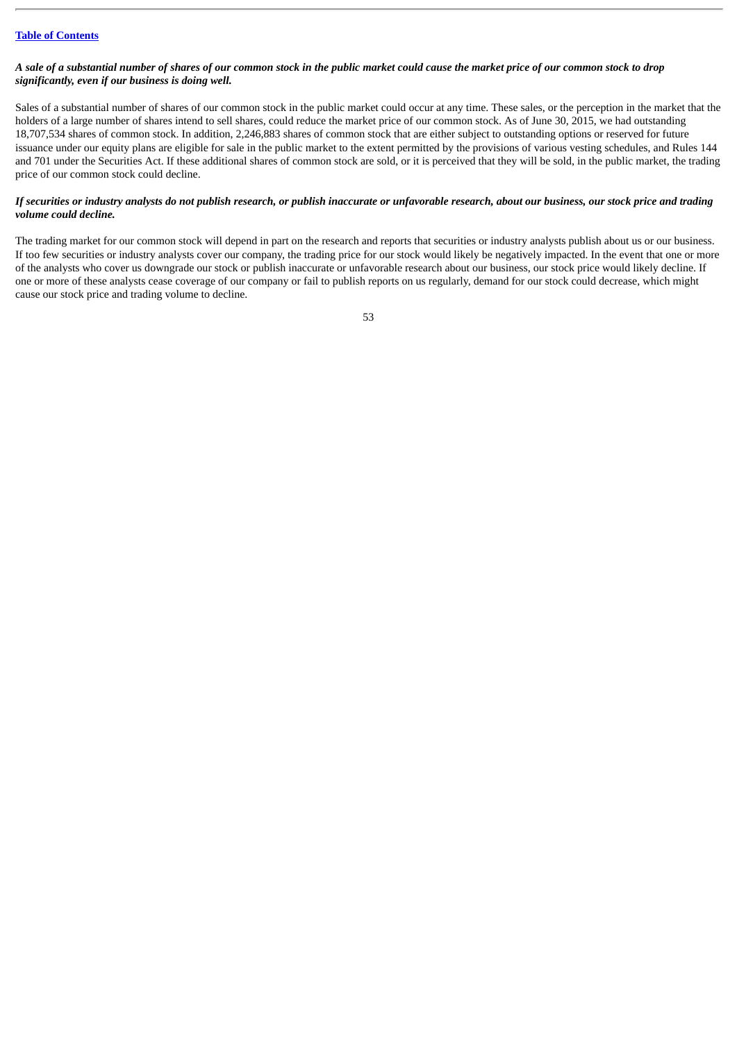#### A sale of a substantial number of shares of our common stock in the public market could cause the market price of our common stock to drop *significantly, even if our business is doing well.*

Sales of a substantial number of shares of our common stock in the public market could occur at any time. These sales, or the perception in the market that the holders of a large number of shares intend to sell shares, could reduce the market price of our common stock. As of June 30, 2015, we had outstanding 18,707,534 shares of common stock. In addition, 2,246,883 shares of common stock that are either subject to outstanding options or reserved for future issuance under our equity plans are eligible for sale in the public market to the extent permitted by the provisions of various vesting schedules, and Rules 144 and 701 under the Securities Act. If these additional shares of common stock are sold, or it is perceived that they will be sold, in the public market, the trading price of our common stock could decline.

## If securities or industry analysts do not publish research, or publish inaccurate or unfavorable research, about our business, our stock price and trading *volume could decline.*

The trading market for our common stock will depend in part on the research and reports that securities or industry analysts publish about us or our business. If too few securities or industry analysts cover our company, the trading price for our stock would likely be negatively impacted. In the event that one or more of the analysts who cover us downgrade our stock or publish inaccurate or unfavorable research about our business, our stock price would likely decline. If one or more of these analysts cease coverage of our company or fail to publish reports on us regularly, demand for our stock could decrease, which might cause our stock price and trading volume to decline.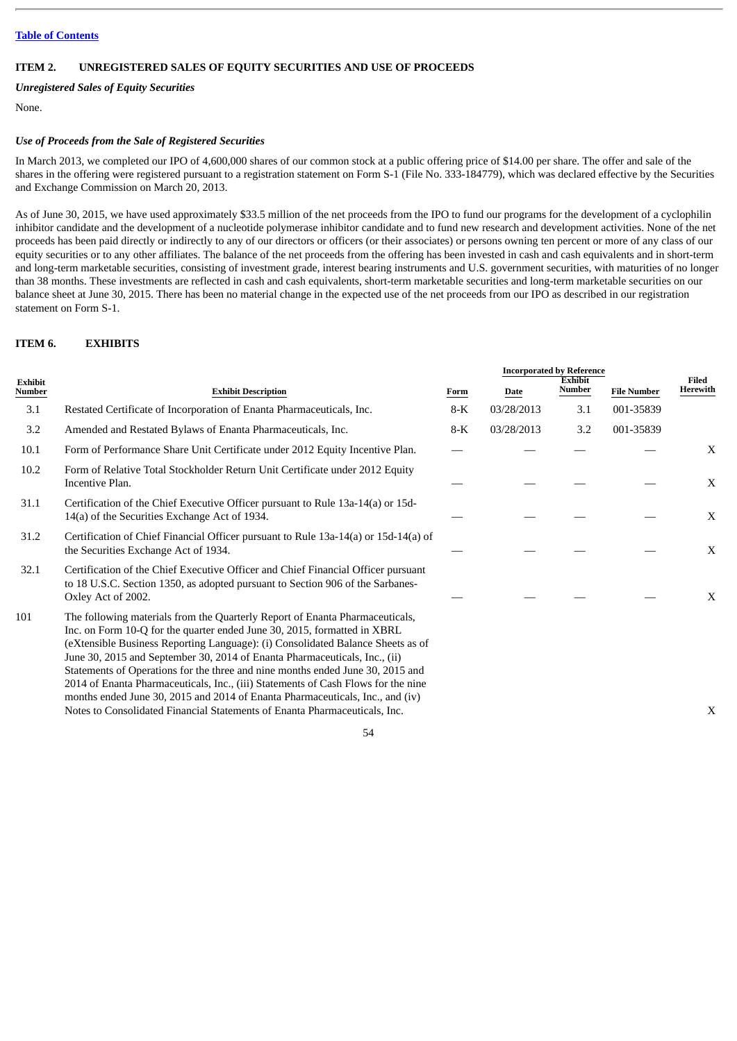## <span id="page-53-0"></span>**ITEM 2. UNREGISTERED SALES OF EQUITY SECURITIES AND USE OF PROCEEDS**

## *Unregistered Sales of Equity Securities*

None.

#### *Use of Proceeds from the Sale of Registered Securities*

In March 2013, we completed our IPO of 4,600,000 shares of our common stock at a public offering price of \$14.00 per share. The offer and sale of the shares in the offering were registered pursuant to a registration statement on Form S-1 (File No. 333-184779), which was declared effective by the Securities and Exchange Commission on March 20, 2013.

As of June 30, 2015, we have used approximately \$33.5 million of the net proceeds from the IPO to fund our programs for the development of a cyclophilin inhibitor candidate and the development of a nucleotide polymerase inhibitor candidate and to fund new research and development activities. None of the net proceeds has been paid directly or indirectly to any of our directors or officers (or their associates) or persons owning ten percent or more of any class of our equity securities or to any other affiliates. The balance of the net proceeds from the offering has been invested in cash and cash equivalents and in short-term and long-term marketable securities, consisting of investment grade, interest bearing instruments and U.S. government securities, with maturities of no longer than 38 months. These investments are reflected in cash and cash equivalents, short-term marketable securities and long-term marketable securities on our balance sheet at June 30, 2015. There has been no material change in the expected use of the net proceeds from our IPO as described in our registration statement on Form S-1.

## <span id="page-53-1"></span>**ITEM 6. EXHIBITS**

|                          |                                                                                                                                                                                                                                                                                                                                                                                                                                                                                                                                                                                   |      |             | <b>Incorporated by Reference</b> |                    |                          |  |  |  |
|--------------------------|-----------------------------------------------------------------------------------------------------------------------------------------------------------------------------------------------------------------------------------------------------------------------------------------------------------------------------------------------------------------------------------------------------------------------------------------------------------------------------------------------------------------------------------------------------------------------------------|------|-------------|----------------------------------|--------------------|--------------------------|--|--|--|
| <b>Exhibit</b><br>Number | <b>Exhibit Description</b>                                                                                                                                                                                                                                                                                                                                                                                                                                                                                                                                                        | Form | <b>Date</b> | <b>Exhibit</b><br>Number         | <b>File Number</b> | <b>Filed</b><br>Herewith |  |  |  |
| 3.1                      | Restated Certificate of Incorporation of Enanta Pharmaceuticals, Inc.                                                                                                                                                                                                                                                                                                                                                                                                                                                                                                             | 8-K  | 03/28/2013  | 3.1                              | 001-35839          |                          |  |  |  |
| 3.2                      | Amended and Restated Bylaws of Enanta Pharmaceuticals, Inc.                                                                                                                                                                                                                                                                                                                                                                                                                                                                                                                       | 8-K  | 03/28/2013  | 3.2                              | 001-35839          |                          |  |  |  |
| 10.1                     | Form of Performance Share Unit Certificate under 2012 Equity Incentive Plan.                                                                                                                                                                                                                                                                                                                                                                                                                                                                                                      |      |             |                                  |                    | X                        |  |  |  |
| 10.2                     | Form of Relative Total Stockholder Return Unit Certificate under 2012 Equity<br>Incentive Plan.                                                                                                                                                                                                                                                                                                                                                                                                                                                                                   |      |             |                                  |                    | X                        |  |  |  |
| 31.1                     | Certification of the Chief Executive Officer pursuant to Rule 13a-14(a) or 15d-<br>14(a) of the Securities Exchange Act of 1934.                                                                                                                                                                                                                                                                                                                                                                                                                                                  |      |             |                                  |                    | X                        |  |  |  |
| 31.2                     | Certification of Chief Financial Officer pursuant to Rule 13a-14(a) or 15d-14(a) of<br>the Securities Exchange Act of 1934.                                                                                                                                                                                                                                                                                                                                                                                                                                                       |      |             |                                  |                    | X                        |  |  |  |
| 32.1                     | Certification of the Chief Executive Officer and Chief Financial Officer pursuant<br>to 18 U.S.C. Section 1350, as adopted pursuant to Section 906 of the Sarbanes-<br>Oxley Act of 2002.                                                                                                                                                                                                                                                                                                                                                                                         |      |             |                                  |                    | X                        |  |  |  |
| 101                      | The following materials from the Quarterly Report of Enanta Pharmaceuticals,<br>Inc. on Form 10-Q for the quarter ended June 30, 2015, formatted in XBRL<br>(eXtensible Business Reporting Language): (i) Consolidated Balance Sheets as of<br>June 30, 2015 and September 30, 2014 of Enanta Pharmaceuticals, Inc., (ii)<br>Statements of Operations for the three and nine months ended June 30, 2015 and<br>2014 of Enanta Pharmaceuticals, Inc., (iii) Statements of Cash Flows for the nine<br>months ended June 30, 2015 and 2014 of Enanta Pharmaceuticals, Inc., and (iv) |      |             |                                  |                    |                          |  |  |  |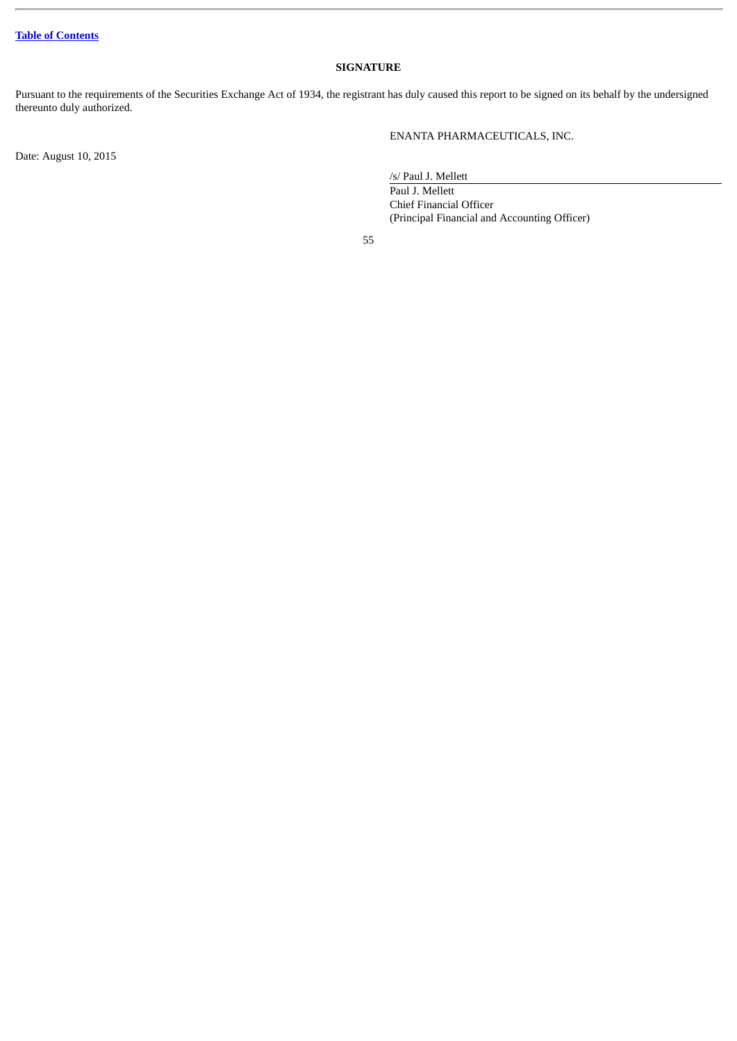## **SIGNATURE**

<span id="page-54-0"></span>Pursuant to the requirements of the Securities Exchange Act of 1934, the registrant has duly caused this report to be signed on its behalf by the undersigned thereunto duly authorized.

Date: August 10, 2015

ENANTA PHARMACEUTICALS, INC.

/s/ Paul J. Mellett

Paul J. Mellett Chief Financial Officer (Principal Financial and Accounting Officer)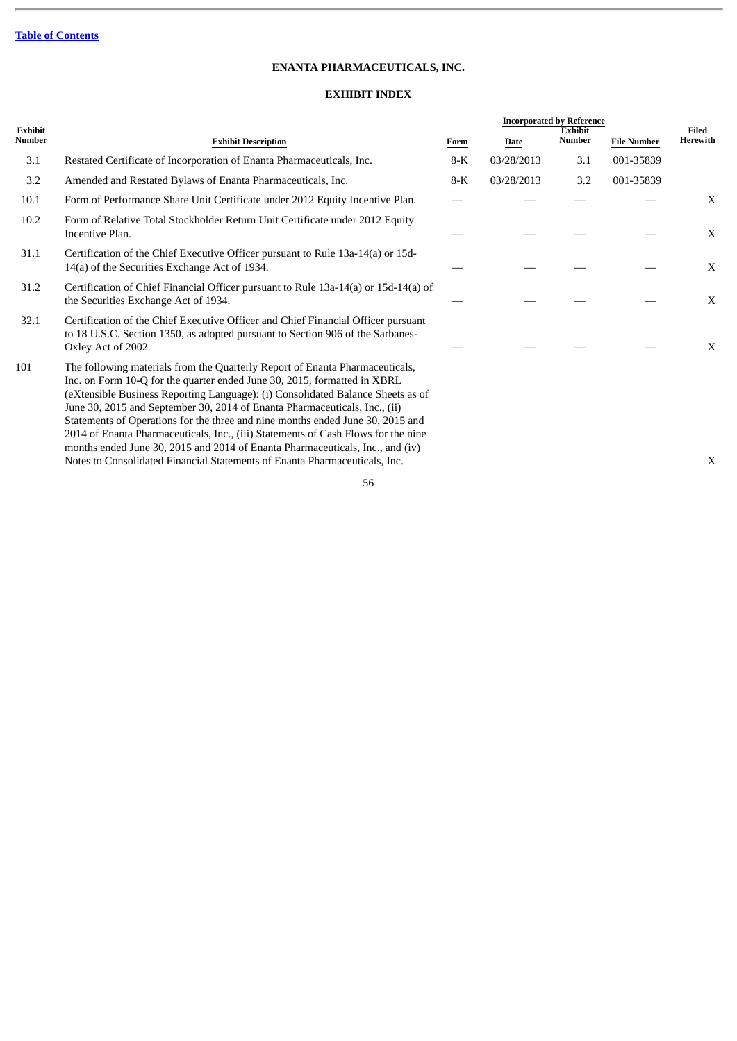## **ENANTA PHARMACEUTICALS, INC.**

## **EXHIBIT INDEX**

<span id="page-55-0"></span>

|                          |                                                                                                                                                                                                                                                                                                                                                                                                                                                                                                                                                                                   | <b>Incorporated by Reference</b> |             |                                 |                    |                   |
|--------------------------|-----------------------------------------------------------------------------------------------------------------------------------------------------------------------------------------------------------------------------------------------------------------------------------------------------------------------------------------------------------------------------------------------------------------------------------------------------------------------------------------------------------------------------------------------------------------------------------|----------------------------------|-------------|---------------------------------|--------------------|-------------------|
| <b>Exhibit</b><br>Number | <b>Exhibit Description</b>                                                                                                                                                                                                                                                                                                                                                                                                                                                                                                                                                        | Form                             | <b>Date</b> | <b>Exhibit</b><br><b>Number</b> | <b>File Number</b> | Filed<br>Herewith |
| 3.1                      | Restated Certificate of Incorporation of Enanta Pharmaceuticals, Inc.                                                                                                                                                                                                                                                                                                                                                                                                                                                                                                             | 8-K                              | 03/28/2013  | 3.1                             | 001-35839          |                   |
| 3.2                      | Amended and Restated Bylaws of Enanta Pharmaceuticals, Inc.                                                                                                                                                                                                                                                                                                                                                                                                                                                                                                                       | 8-K                              | 03/28/2013  | 3.2                             | 001-35839          |                   |
| 10.1                     | Form of Performance Share Unit Certificate under 2012 Equity Incentive Plan.                                                                                                                                                                                                                                                                                                                                                                                                                                                                                                      |                                  |             |                                 |                    | X                 |
| 10.2                     | Form of Relative Total Stockholder Return Unit Certificate under 2012 Equity<br>Incentive Plan.                                                                                                                                                                                                                                                                                                                                                                                                                                                                                   |                                  |             |                                 |                    | X                 |
| 31.1                     | Certification of the Chief Executive Officer pursuant to Rule 13a-14(a) or 15d-<br>14(a) of the Securities Exchange Act of 1934.                                                                                                                                                                                                                                                                                                                                                                                                                                                  |                                  |             |                                 |                    | X                 |
| 31.2                     | Certification of Chief Financial Officer pursuant to Rule $13a-14(a)$ or $15d-14(a)$ of<br>the Securities Exchange Act of 1934.                                                                                                                                                                                                                                                                                                                                                                                                                                                   |                                  |             |                                 |                    | X                 |
| 32.1                     | Certification of the Chief Executive Officer and Chief Financial Officer pursuant<br>to 18 U.S.C. Section 1350, as adopted pursuant to Section 906 of the Sarbanes-<br>Oxley Act of 2002.                                                                                                                                                                                                                                                                                                                                                                                         |                                  |             |                                 |                    | X                 |
| 101                      | The following materials from the Quarterly Report of Enanta Pharmaceuticals,<br>Inc. on Form 10-Q for the quarter ended June 30, 2015, formatted in XBRL<br>(eXtensible Business Reporting Language): (i) Consolidated Balance Sheets as of<br>June 30, 2015 and September 30, 2014 of Enanta Pharmaceuticals, Inc., (ii)<br>Statements of Operations for the three and nine months ended June 30, 2015 and<br>2014 of Enanta Pharmaceuticals, Inc., (iii) Statements of Cash Flows for the nine<br>months ended June 30, 2015 and 2014 of Enanta Pharmaceuticals, Inc., and (iv) |                                  |             |                                 |                    |                   |

56

Notes to Consolidated Financial Statements of Enanta Pharmaceuticals, Inc. X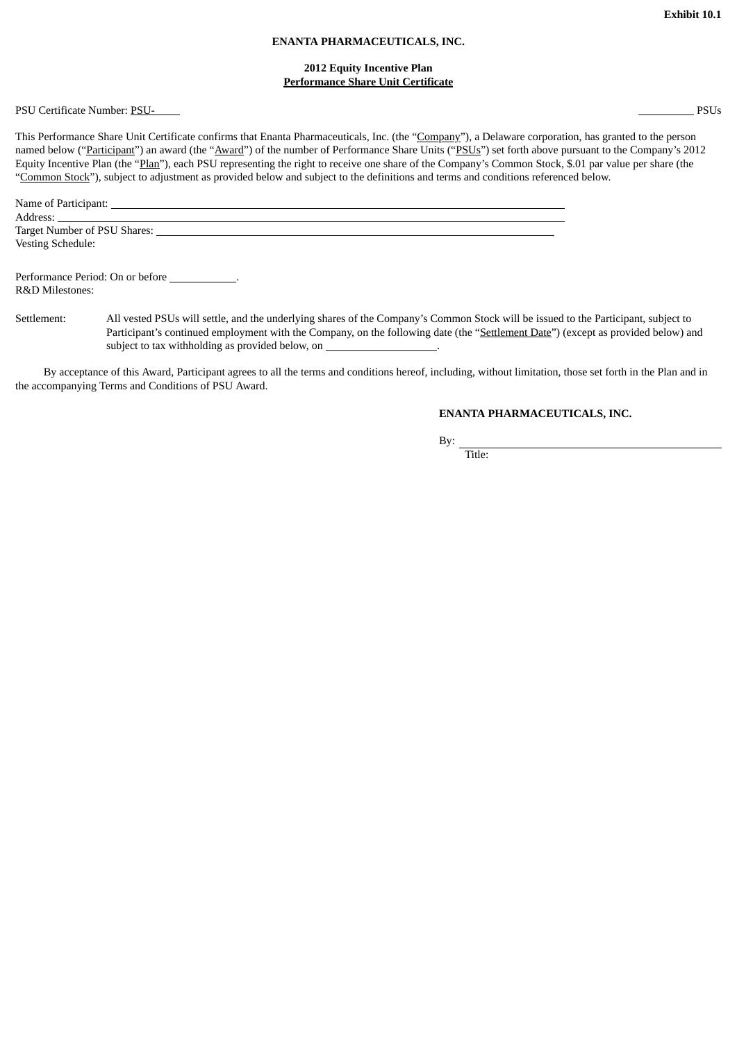#### **ENANTA PHARMACEUTICALS, INC.**

#### **2012 Equity Incentive Plan Performance Share Unit Certificate**

PSU Certificate Number: PSU- PSUs

This Performance Share Unit Certificate confirms that Enanta Pharmaceuticals, Inc. (the "Company"), a Delaware corporation, has granted to the person named below ("Participant") an award (the "Award") of the number of Performance Share Units ("PSUs") set forth above pursuant to the Company's 2012 Equity Incentive Plan (the "Plan"), each PSU representing the right to receive one share of the Company's Common Stock, \$.01 par value per share (the "Common Stock"), subject to adjustment as provided below and subject to the definitions and terms and conditions referenced below.

| Name of Participant:           |  |
|--------------------------------|--|
| Target Number of PSU Shares: _ |  |
| Vesting Schedule:              |  |

Performance Period: On or before R&D Milestones:

Settlement: All vested PSUs will settle, and the underlying shares of the Company's Common Stock will be issued to the Participant, subject to Participant's continued employment with the Company, on the following date (the "Settlement Date") (except as provided below) and subject to tax withholding as provided below, on

By acceptance of this Award, Participant agrees to all the terms and conditions hereof, including, without limitation, those set forth in the Plan and in the accompanying Terms and Conditions of PSU Award.

## **ENANTA PHARMACEUTICALS, INC.**

By:

Title: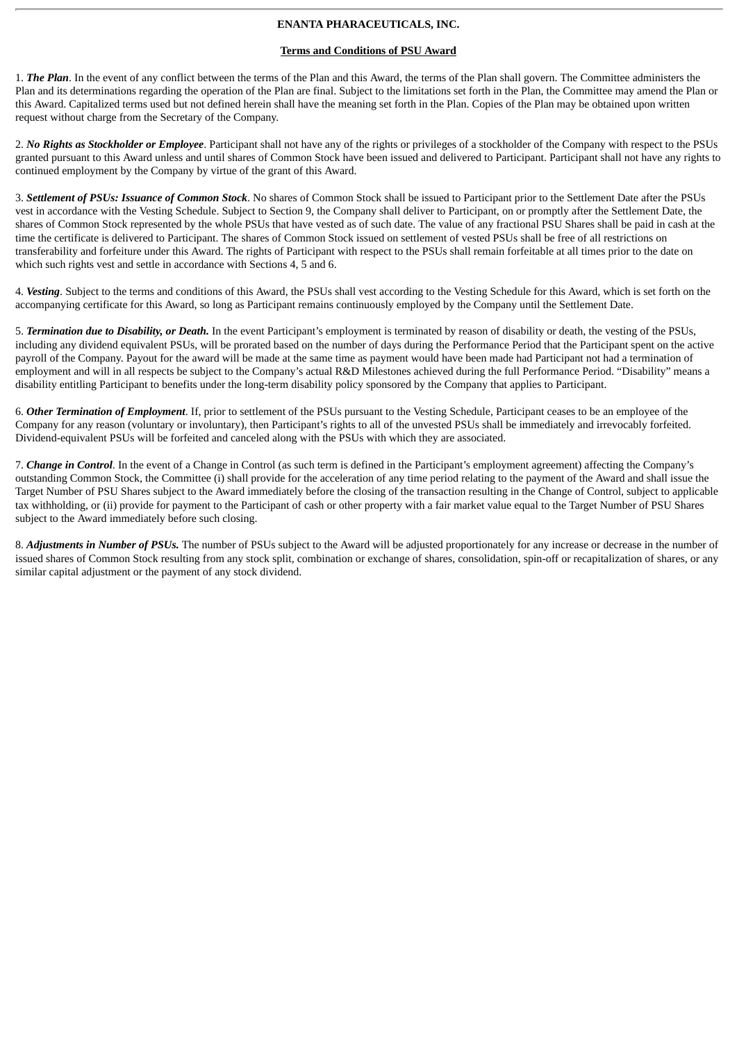## **ENANTA PHARACEUTICALS, INC.**

#### **Terms and Conditions of PSU Award**

1. *The Plan*. In the event of any conflict between the terms of the Plan and this Award, the terms of the Plan shall govern. The Committee administers the Plan and its determinations regarding the operation of the Plan are final. Subject to the limitations set forth in the Plan, the Committee may amend the Plan or this Award. Capitalized terms used but not defined herein shall have the meaning set forth in the Plan. Copies of the Plan may be obtained upon written request without charge from the Secretary of the Company.

2. *No Rights as Stockholder or Employee*. Participant shall not have any of the rights or privileges of a stockholder of the Company with respect to the PSUs granted pursuant to this Award unless and until shares of Common Stock have been issued and delivered to Participant. Participant shall not have any rights to continued employment by the Company by virtue of the grant of this Award.

3. *Settlement of PSUs: Issuance of Common Stock*. No shares of Common Stock shall be issued to Participant prior to the Settlement Date after the PSUs vest in accordance with the Vesting Schedule. Subject to Section 9, the Company shall deliver to Participant, on or promptly after the Settlement Date, the shares of Common Stock represented by the whole PSUs that have vested as of such date. The value of any fractional PSU Shares shall be paid in cash at the time the certificate is delivered to Participant. The shares of Common Stock issued on settlement of vested PSUs shall be free of all restrictions on transferability and forfeiture under this Award. The rights of Participant with respect to the PSUs shall remain forfeitable at all times prior to the date on which such rights vest and settle in accordance with Sections 4, 5 and 6.

4. *Vesting*. Subject to the terms and conditions of this Award, the PSUs shall vest according to the Vesting Schedule for this Award, which is set forth on the accompanying certificate for this Award, so long as Participant remains continuously employed by the Company until the Settlement Date.

5. *Termination due to Disability, or Death.* In the event Participant's employment is terminated by reason of disability or death, the vesting of the PSUs, including any dividend equivalent PSUs, will be prorated based on the number of days during the Performance Period that the Participant spent on the active payroll of the Company. Payout for the award will be made at the same time as payment would have been made had Participant not had a termination of employment and will in all respects be subject to the Company's actual R&D Milestones achieved during the full Performance Period. "Disability" means a disability entitling Participant to benefits under the long-term disability policy sponsored by the Company that applies to Participant.

6. *Other Termination of Employment*. If, prior to settlement of the PSUs pursuant to the Vesting Schedule, Participant ceases to be an employee of the Company for any reason (voluntary or involuntary), then Participant's rights to all of the unvested PSUs shall be immediately and irrevocably forfeited. Dividend-equivalent PSUs will be forfeited and canceled along with the PSUs with which they are associated.

7. *Change in Control*. In the event of a Change in Control (as such term is defined in the Participant's employment agreement) affecting the Company's outstanding Common Stock, the Committee (i) shall provide for the acceleration of any time period relating to the payment of the Award and shall issue the Target Number of PSU Shares subject to the Award immediately before the closing of the transaction resulting in the Change of Control, subject to applicable tax withholding, or (ii) provide for payment to the Participant of cash or other property with a fair market value equal to the Target Number of PSU Shares subject to the Award immediately before such closing.

8. *Adjustments in Number of PSUs.* The number of PSUs subject to the Award will be adjusted proportionately for any increase or decrease in the number of issued shares of Common Stock resulting from any stock split, combination or exchange of shares, consolidation, spin-off or recapitalization of shares, or any similar capital adjustment or the payment of any stock dividend.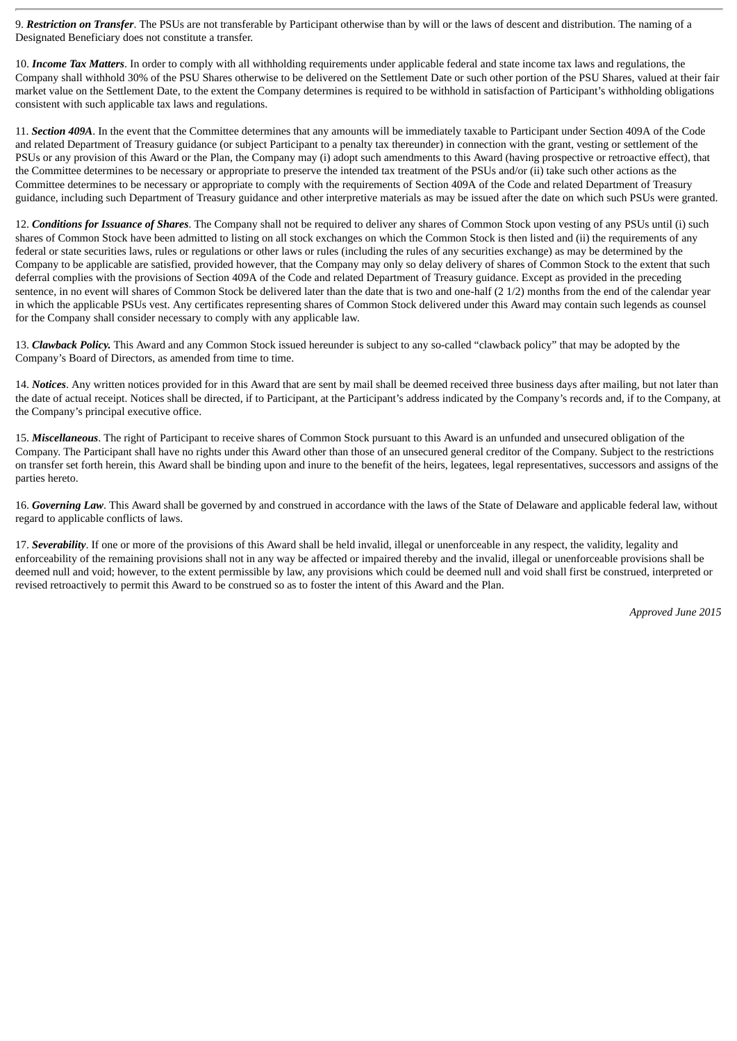9. *Restriction on Transfer*. The PSUs are not transferable by Participant otherwise than by will or the laws of descent and distribution. The naming of a Designated Beneficiary does not constitute a transfer.

10. *Income Tax Matters*. In order to comply with all withholding requirements under applicable federal and state income tax laws and regulations, the Company shall withhold 30% of the PSU Shares otherwise to be delivered on the Settlement Date or such other portion of the PSU Shares, valued at their fair market value on the Settlement Date, to the extent the Company determines is required to be withhold in satisfaction of Participant's withholding obligations consistent with such applicable tax laws and regulations.

11. *Section 409A*. In the event that the Committee determines that any amounts will be immediately taxable to Participant under Section 409A of the Code and related Department of Treasury guidance (or subject Participant to a penalty tax thereunder) in connection with the grant, vesting or settlement of the PSUs or any provision of this Award or the Plan, the Company may (i) adopt such amendments to this Award (having prospective or retroactive effect), that the Committee determines to be necessary or appropriate to preserve the intended tax treatment of the PSUs and/or (ii) take such other actions as the Committee determines to be necessary or appropriate to comply with the requirements of Section 409A of the Code and related Department of Treasury guidance, including such Department of Treasury guidance and other interpretive materials as may be issued after the date on which such PSUs were granted.

12. *Conditions for Issuance of Shares*. The Company shall not be required to deliver any shares of Common Stock upon vesting of any PSUs until (i) such shares of Common Stock have been admitted to listing on all stock exchanges on which the Common Stock is then listed and (ii) the requirements of any federal or state securities laws, rules or regulations or other laws or rules (including the rules of any securities exchange) as may be determined by the Company to be applicable are satisfied, provided however, that the Company may only so delay delivery of shares of Common Stock to the extent that such deferral complies with the provisions of Section 409A of the Code and related Department of Treasury guidance. Except as provided in the preceding sentence, in no event will shares of Common Stock be delivered later than the date that is two and one-half (2 1/2) months from the end of the calendar year in which the applicable PSUs vest. Any certificates representing shares of Common Stock delivered under this Award may contain such legends as counsel for the Company shall consider necessary to comply with any applicable law.

13. *Clawback Policy.* This Award and any Common Stock issued hereunder is subject to any so-called "clawback policy" that may be adopted by the Company's Board of Directors, as amended from time to time.

14. *Notices*. Any written notices provided for in this Award that are sent by mail shall be deemed received three business days after mailing, but not later than the date of actual receipt. Notices shall be directed, if to Participant, at the Participant's address indicated by the Company's records and, if to the Company, at the Company's principal executive office.

15. *Miscellaneous*. The right of Participant to receive shares of Common Stock pursuant to this Award is an unfunded and unsecured obligation of the Company. The Participant shall have no rights under this Award other than those of an unsecured general creditor of the Company. Subject to the restrictions on transfer set forth herein, this Award shall be binding upon and inure to the benefit of the heirs, legatees, legal representatives, successors and assigns of the parties hereto.

16. *Governing Law*. This Award shall be governed by and construed in accordance with the laws of the State of Delaware and applicable federal law, without regard to applicable conflicts of laws.

17. *Severability*. If one or more of the provisions of this Award shall be held invalid, illegal or unenforceable in any respect, the validity, legality and enforceability of the remaining provisions shall not in any way be affected or impaired thereby and the invalid, illegal or unenforceable provisions shall be deemed null and void; however, to the extent permissible by law, any provisions which could be deemed null and void shall first be construed, interpreted or revised retroactively to permit this Award to be construed so as to foster the intent of this Award and the Plan.

*Approved June 2015*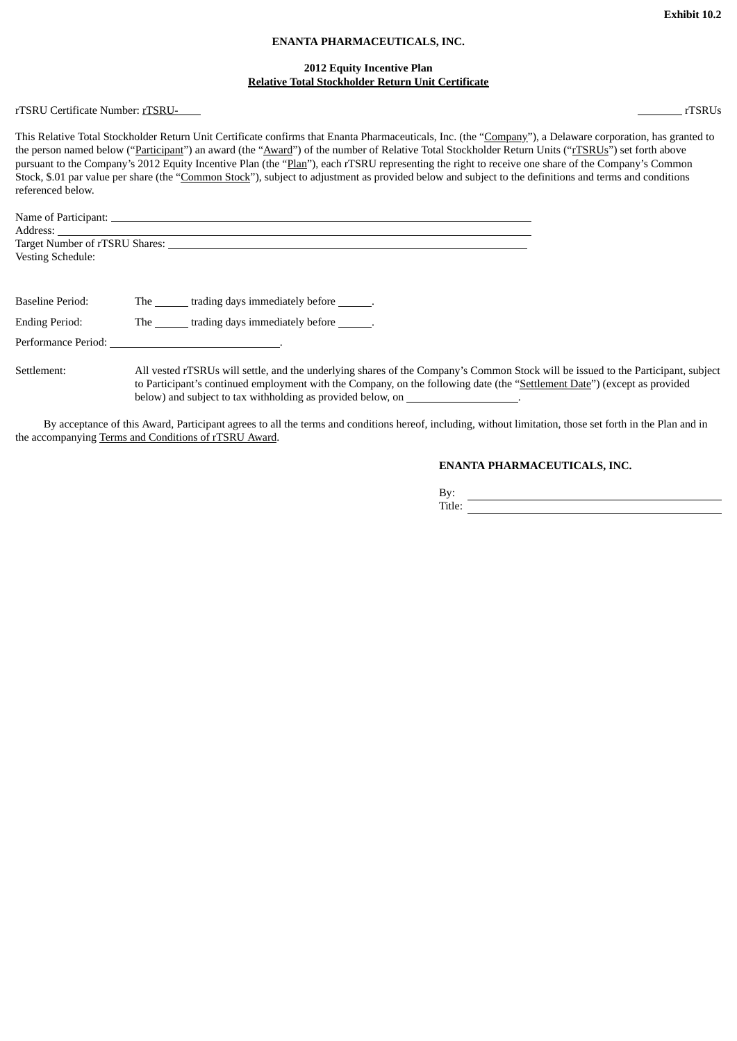#### **ENANTA PHARMACEUTICALS, INC.**

#### **2012 Equity Incentive Plan Relative Total Stockholder Return Unit Certificate**

rTSRU Certificate Number: <u>rTSRU-</u> rTSRUs

This Relative Total Stockholder Return Unit Certificate confirms that Enanta Pharmaceuticals, Inc. (the "Company"), a Delaware corporation, has granted to the person named below ("Participant") an award (the "Award") of the number of Relative Total Stockholder Return Units ("rTSRUs") set forth above pursuant to the Company's 2012 Equity Incentive Plan (the "Plan"), each rTSRU representing the right to receive one share of the Company's Common Stock, \$.01 par value per share (the "Common Stock"), subject to adjustment as provided below and subject to the definitions and terms and conditions referenced below.

|                          | Name of Participant: Name of Participant:                             |
|--------------------------|-----------------------------------------------------------------------|
| <b>Vesting Schedule:</b> |                                                                       |
| <b>Baseline Period:</b>  | The trading days immediately before .                                 |
| <b>Ending Period:</b>    | The <u>come trading</u> days immediately before <u>constantants</u> . |
|                          |                                                                       |

Settlement: All vested rTSRUs will settle, and the underlying shares of the Company's Common Stock will be issued to the Participant, subject to Participant's continued employment with the Company, on the following date (the "Settlement Date") (except as provided below) and subject to tax withholding as provided below, on \_\_\_\_\_\_\_\_\_\_\_\_\_\_\_\_\_\_\_\_

By acceptance of this Award, Participant agrees to all the terms and conditions hereof, including, without limitation, those set forth in the Plan and in the accompanying Terms and Conditions of rTSRU Award.

## **ENANTA PHARMACEUTICALS, INC.**

By: Title: Title: The Communication of the Communication of the Communication of the Communication of the Communication of the Communication of the Communication of the Communication of the Communication of the Communication o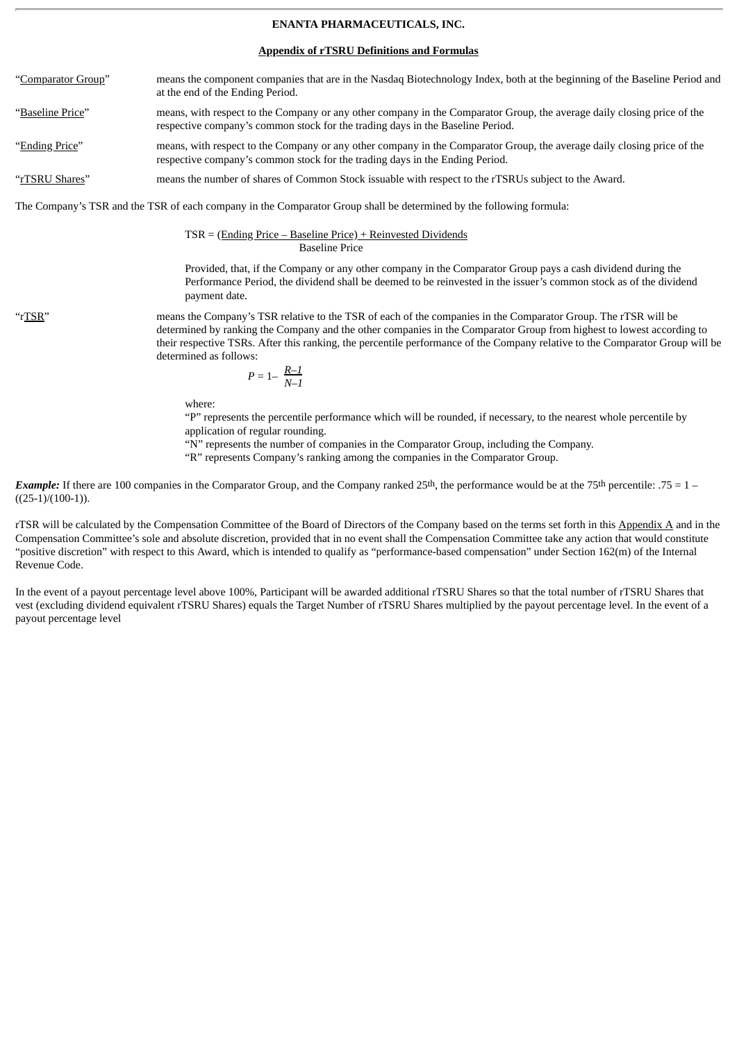## **ENANTA PHARMACEUTICALS, INC.**

#### **Appendix of rTSRU Definitions and Formulas**

"Comparator Group" means the component companies that are in the Nasdaq Biotechnology Index, both at the beginning of the Baseline Period and at the end of the Ending Period.

"Baseline Price" means, with respect to the Company or any other company in the Comparator Group, the average daily closing price of the respective company's common stock for the trading days in the Baseline Period.

"Ending Price" means, with respect to the Company or any other company in the Comparator Group, the average daily closing price of the respective company's common stock for the trading days in the Ending Period.

"rTSRU Shares" means the number of shares of Common Stock issuable with respect to the rTSRUs subject to the Award.

The Company's TSR and the TSR of each company in the Comparator Group shall be determined by the following formula:

$$
TSR = (\underline{Ending Price - Baseline Price) + Reinvested Dividends}\n \quad \text{Baseline Price}
$$

Provided, that, if the Company or any other company in the Comparator Group pays a cash dividend during the Performance Period, the dividend shall be deemed to be reinvested in the issuer's common stock as of the dividend payment date.

"rTSR" means the Company's TSR relative to the TSR of each of the companies in the Comparator Group. The rTSR will be determined by ranking the Company and the other companies in the Comparator Group from highest to lowest according to their respective TSRs. After this ranking, the percentile performance of the Company relative to the Comparator Group will be determined as follows:

$$
P=1-\begin{array}{c} \frac{R-1}{N-1} \end{array}
$$

where:

"P" represents the percentile performance which will be rounded, if necessary, to the nearest whole percentile by application of regular rounding.

"N" represents the number of companies in the Comparator Group, including the Company.

"R" represents Company's ranking among the companies in the Comparator Group.

*Example:* If there are 100 companies in the Comparator Group, and the Company ranked 25th, the performance would be at the 75th percentile: .75 = 1 –  $((25-1)/(100-1)).$ 

rTSR will be calculated by the Compensation Committee of the Board of Directors of the Company based on the terms set forth in this Appendix A and in the Compensation Committee's sole and absolute discretion, provided that in no event shall the Compensation Committee take any action that would constitute "positive discretion" with respect to this Award, which is intended to qualify as "performance-based compensation" under Section 162(m) of the Internal Revenue Code.

In the event of a payout percentage level above 100%, Participant will be awarded additional rTSRU Shares so that the total number of rTSRU Shares that vest (excluding dividend equivalent rTSRU Shares) equals the Target Number of rTSRU Shares multiplied by the payout percentage level. In the event of a payout percentage level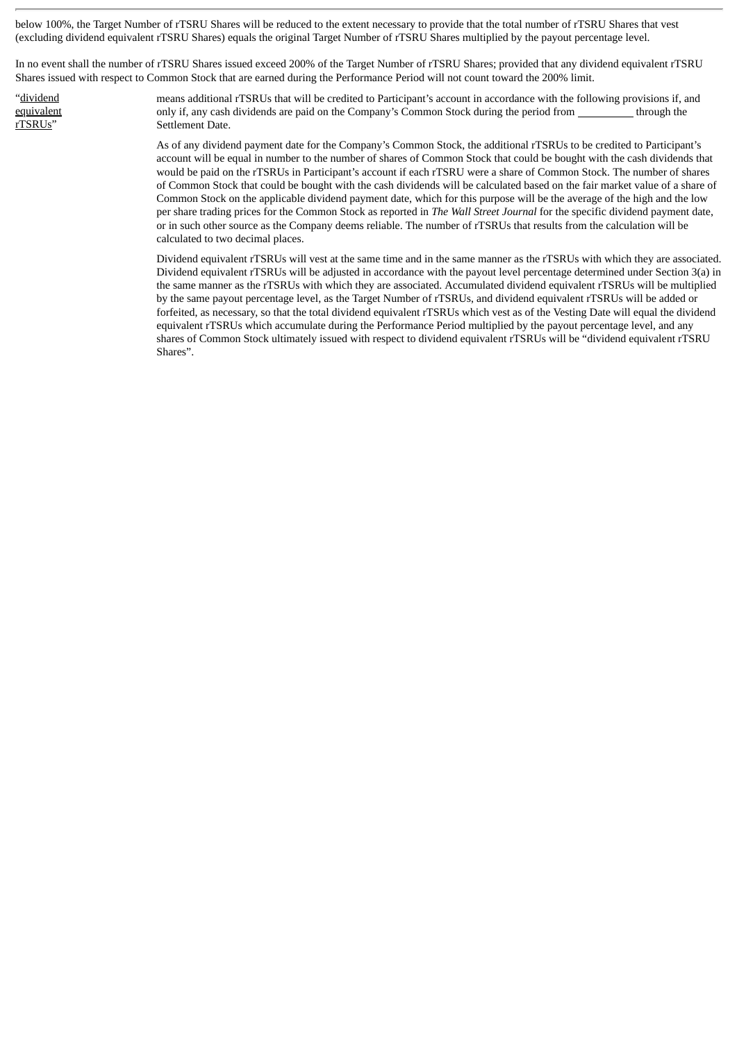below 100%, the Target Number of rTSRU Shares will be reduced to the extent necessary to provide that the total number of rTSRU Shares that vest (excluding dividend equivalent rTSRU Shares) equals the original Target Number of rTSRU Shares multiplied by the payout percentage level.

In no event shall the number of rTSRU Shares issued exceed 200% of the Target Number of rTSRU Shares; provided that any dividend equivalent rTSRU Shares issued with respect to Common Stock that are earned during the Performance Period will not count toward the 200% limit.

"dividend equivalent rTSRUs"

means additional rTSRUs that will be credited to Participant's account in accordance with the following provisions if, and only if, any cash dividends are paid on the Company's Common Stock during the period from \_\_\_\_\_\_\_\_\_\_\_ through the Settlement Date.

As of any dividend payment date for the Company's Common Stock, the additional rTSRUs to be credited to Participant's account will be equal in number to the number of shares of Common Stock that could be bought with the cash dividends that would be paid on the rTSRUs in Participant's account if each rTSRU were a share of Common Stock. The number of shares of Common Stock that could be bought with the cash dividends will be calculated based on the fair market value of a share of Common Stock on the applicable dividend payment date, which for this purpose will be the average of the high and the low per share trading prices for the Common Stock as reported in *The Wall Street Journal* for the specific dividend payment date, or in such other source as the Company deems reliable. The number of rTSRUs that results from the calculation will be calculated to two decimal places.

Dividend equivalent rTSRUs will vest at the same time and in the same manner as the rTSRUs with which they are associated. Dividend equivalent rTSRUs will be adjusted in accordance with the payout level percentage determined under Section 3(a) in the same manner as the rTSRUs with which they are associated. Accumulated dividend equivalent rTSRUs will be multiplied by the same payout percentage level, as the Target Number of rTSRUs, and dividend equivalent rTSRUs will be added or forfeited, as necessary, so that the total dividend equivalent rTSRUs which vest as of the Vesting Date will equal the dividend equivalent rTSRUs which accumulate during the Performance Period multiplied by the payout percentage level, and any shares of Common Stock ultimately issued with respect to dividend equivalent rTSRUs will be "dividend equivalent rTSRU Shares".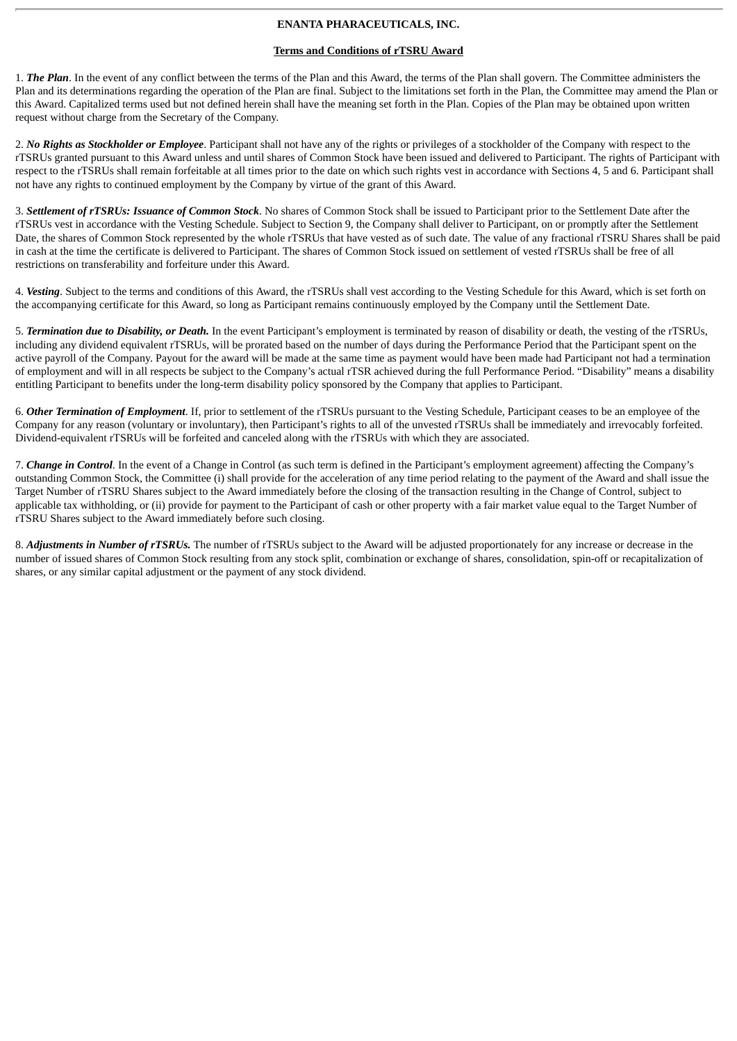## **ENANTA PHARACEUTICALS, INC.**

#### **Terms and Conditions of rTSRU Award**

1. *The Plan*. In the event of any conflict between the terms of the Plan and this Award, the terms of the Plan shall govern. The Committee administers the Plan and its determinations regarding the operation of the Plan are final. Subject to the limitations set forth in the Plan, the Committee may amend the Plan or this Award. Capitalized terms used but not defined herein shall have the meaning set forth in the Plan. Copies of the Plan may be obtained upon written request without charge from the Secretary of the Company.

2. *No Rights as Stockholder or Employee*. Participant shall not have any of the rights or privileges of a stockholder of the Company with respect to the rTSRUs granted pursuant to this Award unless and until shares of Common Stock have been issued and delivered to Participant. The rights of Participant with respect to the rTSRUs shall remain forfeitable at all times prior to the date on which such rights vest in accordance with Sections 4, 5 and 6. Participant shall not have any rights to continued employment by the Company by virtue of the grant of this Award.

3. *Settlement of rTSRUs: Issuance of Common Stock*. No shares of Common Stock shall be issued to Participant prior to the Settlement Date after the rTSRUs vest in accordance with the Vesting Schedule. Subject to Section 9, the Company shall deliver to Participant, on or promptly after the Settlement Date, the shares of Common Stock represented by the whole rTSRUs that have vested as of such date. The value of any fractional rTSRU Shares shall be paid in cash at the time the certificate is delivered to Participant. The shares of Common Stock issued on settlement of vested rTSRUs shall be free of all restrictions on transferability and forfeiture under this Award.

4. *Vesting*. Subject to the terms and conditions of this Award, the rTSRUs shall vest according to the Vesting Schedule for this Award, which is set forth on the accompanying certificate for this Award, so long as Participant remains continuously employed by the Company until the Settlement Date.

5. *Termination due to Disability, or Death.* In the event Participant's employment is terminated by reason of disability or death, the vesting of the rTSRUs, including any dividend equivalent rTSRUs, will be prorated based on the number of days during the Performance Period that the Participant spent on the active payroll of the Company. Payout for the award will be made at the same time as payment would have been made had Participant not had a termination of employment and will in all respects be subject to the Company's actual rTSR achieved during the full Performance Period. "Disability" means a disability entitling Participant to benefits under the long-term disability policy sponsored by the Company that applies to Participant.

6. *Other Termination of Employment*. If, prior to settlement of the rTSRUs pursuant to the Vesting Schedule, Participant ceases to be an employee of the Company for any reason (voluntary or involuntary), then Participant's rights to all of the unvested rTSRUs shall be immediately and irrevocably forfeited. Dividend-equivalent rTSRUs will be forfeited and canceled along with the rTSRUs with which they are associated.

7. *Change in Control*. In the event of a Change in Control (as such term is defined in the Participant's employment agreement) affecting the Company's outstanding Common Stock, the Committee (i) shall provide for the acceleration of any time period relating to the payment of the Award and shall issue the Target Number of rTSRU Shares subject to the Award immediately before the closing of the transaction resulting in the Change of Control, subject to applicable tax withholding, or (ii) provide for payment to the Participant of cash or other property with a fair market value equal to the Target Number of rTSRU Shares subject to the Award immediately before such closing.

8. *Adjustments in Number of rTSRUs.* The number of rTSRUs subject to the Award will be adjusted proportionately for any increase or decrease in the number of issued shares of Common Stock resulting from any stock split, combination or exchange of shares, consolidation, spin-off or recapitalization of shares, or any similar capital adjustment or the payment of any stock dividend.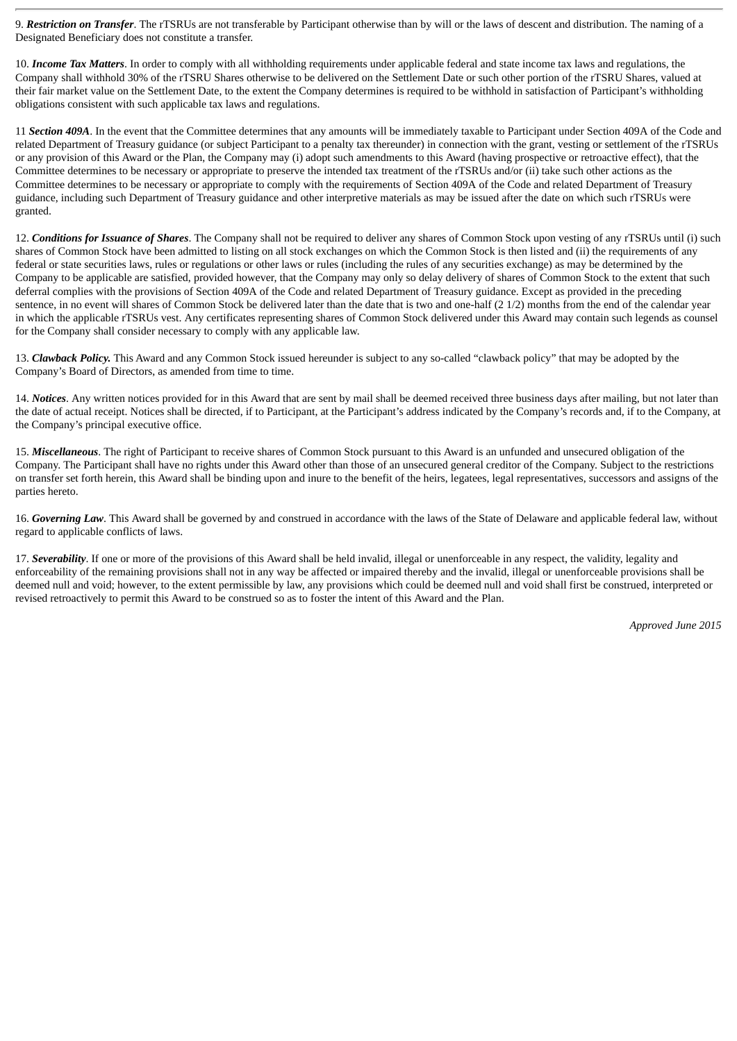9. *Restriction on Transfer*. The rTSRUs are not transferable by Participant otherwise than by will or the laws of descent and distribution. The naming of a Designated Beneficiary does not constitute a transfer.

10. *Income Tax Matters*. In order to comply with all withholding requirements under applicable federal and state income tax laws and regulations, the Company shall withhold 30% of the rTSRU Shares otherwise to be delivered on the Settlement Date or such other portion of the rTSRU Shares, valued at their fair market value on the Settlement Date, to the extent the Company determines is required to be withhold in satisfaction of Participant's withholding obligations consistent with such applicable tax laws and regulations.

11 *Section 409A*. In the event that the Committee determines that any amounts will be immediately taxable to Participant under Section 409A of the Code and related Department of Treasury guidance (or subject Participant to a penalty tax thereunder) in connection with the grant, vesting or settlement of the rTSRUs or any provision of this Award or the Plan, the Company may (i) adopt such amendments to this Award (having prospective or retroactive effect), that the Committee determines to be necessary or appropriate to preserve the intended tax treatment of the rTSRUs and/or (ii) take such other actions as the Committee determines to be necessary or appropriate to comply with the requirements of Section 409A of the Code and related Department of Treasury guidance, including such Department of Treasury guidance and other interpretive materials as may be issued after the date on which such rTSRUs were granted.

12. *Conditions for Issuance of Shares*. The Company shall not be required to deliver any shares of Common Stock upon vesting of any rTSRUs until (i) such shares of Common Stock have been admitted to listing on all stock exchanges on which the Common Stock is then listed and (ii) the requirements of any federal or state securities laws, rules or regulations or other laws or rules (including the rules of any securities exchange) as may be determined by the Company to be applicable are satisfied, provided however, that the Company may only so delay delivery of shares of Common Stock to the extent that such deferral complies with the provisions of Section 409A of the Code and related Department of Treasury guidance. Except as provided in the preceding sentence, in no event will shares of Common Stock be delivered later than the date that is two and one-half (2 1/2) months from the end of the calendar year in which the applicable rTSRUs vest. Any certificates representing shares of Common Stock delivered under this Award may contain such legends as counsel for the Company shall consider necessary to comply with any applicable law.

13. *Clawback Policy.* This Award and any Common Stock issued hereunder is subject to any so-called "clawback policy" that may be adopted by the Company's Board of Directors, as amended from time to time.

14. *Notices*. Any written notices provided for in this Award that are sent by mail shall be deemed received three business days after mailing, but not later than the date of actual receipt. Notices shall be directed, if to Participant, at the Participant's address indicated by the Company's records and, if to the Company, at the Company's principal executive office.

15. *Miscellaneous*. The right of Participant to receive shares of Common Stock pursuant to this Award is an unfunded and unsecured obligation of the Company. The Participant shall have no rights under this Award other than those of an unsecured general creditor of the Company. Subject to the restrictions on transfer set forth herein, this Award shall be binding upon and inure to the benefit of the heirs, legatees, legal representatives, successors and assigns of the parties hereto.

16. *Governing Law*. This Award shall be governed by and construed in accordance with the laws of the State of Delaware and applicable federal law, without regard to applicable conflicts of laws.

17. *Severability*. If one or more of the provisions of this Award shall be held invalid, illegal or unenforceable in any respect, the validity, legality and enforceability of the remaining provisions shall not in any way be affected or impaired thereby and the invalid, illegal or unenforceable provisions shall be deemed null and void; however, to the extent permissible by law, any provisions which could be deemed null and void shall first be construed, interpreted or revised retroactively to permit this Award to be construed so as to foster the intent of this Award and the Plan.

*Approved June 2015*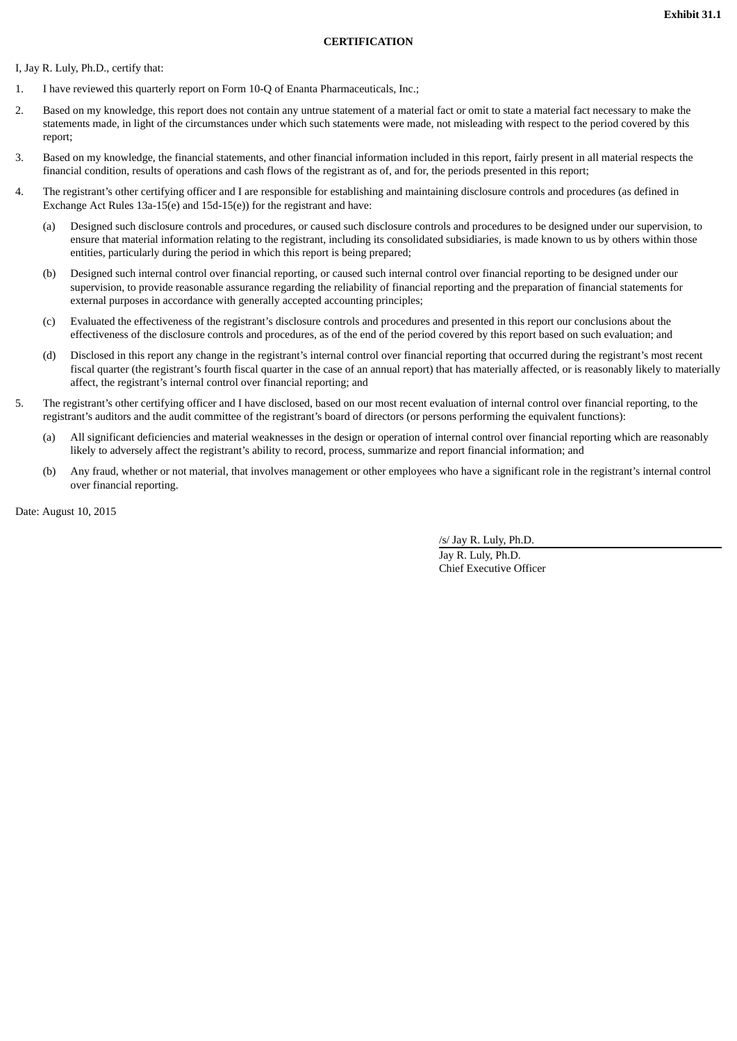#### **CERTIFICATION**

I, Jay R. Luly, Ph.D., certify that:

- 1. I have reviewed this quarterly report on Form 10-Q of Enanta Pharmaceuticals, Inc.;
- 2. Based on my knowledge, this report does not contain any untrue statement of a material fact or omit to state a material fact necessary to make the statements made, in light of the circumstances under which such statements were made, not misleading with respect to the period covered by this report;
- 3. Based on my knowledge, the financial statements, and other financial information included in this report, fairly present in all material respects the financial condition, results of operations and cash flows of the registrant as of, and for, the periods presented in this report;
- 4. The registrant's other certifying officer and I are responsible for establishing and maintaining disclosure controls and procedures (as defined in Exchange Act Rules 13a-15(e) and 15d-15(e)) for the registrant and have:
	- (a) Designed such disclosure controls and procedures, or caused such disclosure controls and procedures to be designed under our supervision, to ensure that material information relating to the registrant, including its consolidated subsidiaries, is made known to us by others within those entities, particularly during the period in which this report is being prepared;
	- (b) Designed such internal control over financial reporting, or caused such internal control over financial reporting to be designed under our supervision, to provide reasonable assurance regarding the reliability of financial reporting and the preparation of financial statements for external purposes in accordance with generally accepted accounting principles;
	- (c) Evaluated the effectiveness of the registrant's disclosure controls and procedures and presented in this report our conclusions about the effectiveness of the disclosure controls and procedures, as of the end of the period covered by this report based on such evaluation; and
	- (d) Disclosed in this report any change in the registrant's internal control over financial reporting that occurred during the registrant's most recent fiscal quarter (the registrant's fourth fiscal quarter in the case of an annual report) that has materially affected, or is reasonably likely to materially affect, the registrant's internal control over financial reporting; and
- 5. The registrant's other certifying officer and I have disclosed, based on our most recent evaluation of internal control over financial reporting, to the registrant's auditors and the audit committee of the registrant's board of directors (or persons performing the equivalent functions):
	- (a) All significant deficiencies and material weaknesses in the design or operation of internal control over financial reporting which are reasonably likely to adversely affect the registrant's ability to record, process, summarize and report financial information; and
	- (b) Any fraud, whether or not material, that involves management or other employees who have a significant role in the registrant's internal control over financial reporting.

Date: August 10, 2015

/s/ Jay R. Luly, Ph.D. Jay R. Luly, Ph.D. Chief Executive Officer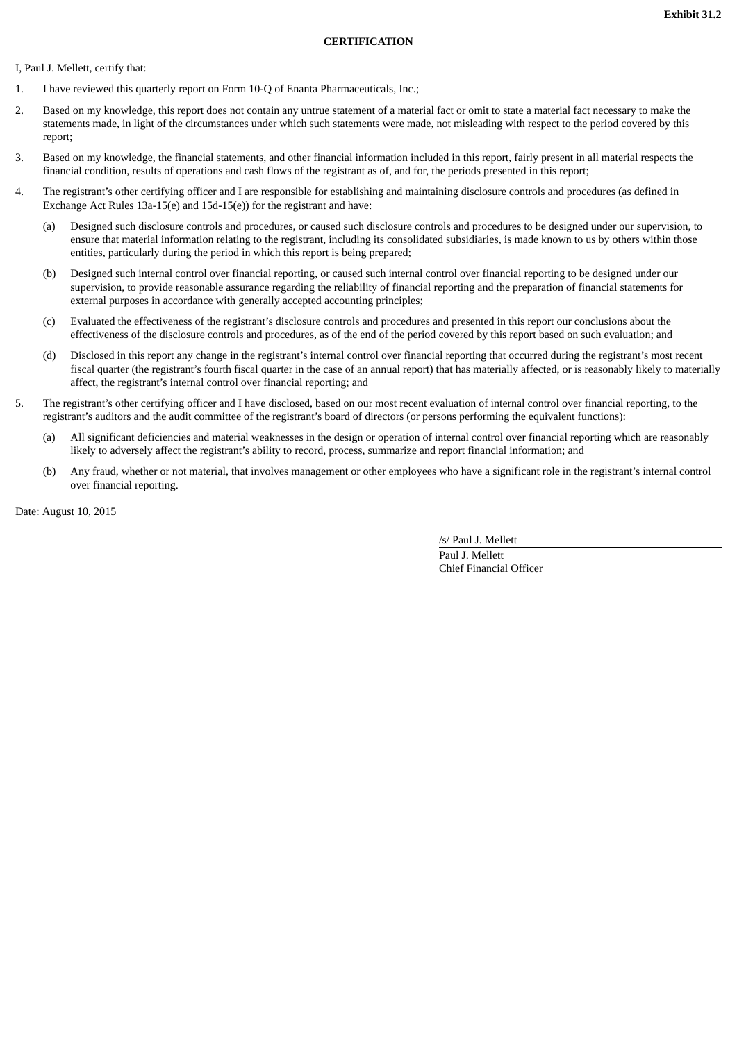## **CERTIFICATION**

I, Paul J. Mellett, certify that:

- 1. I have reviewed this quarterly report on Form 10-Q of Enanta Pharmaceuticals, Inc.;
- 2. Based on my knowledge, this report does not contain any untrue statement of a material fact or omit to state a material fact necessary to make the statements made, in light of the circumstances under which such statements were made, not misleading with respect to the period covered by this report;
- 3. Based on my knowledge, the financial statements, and other financial information included in this report, fairly present in all material respects the financial condition, results of operations and cash flows of the registrant as of, and for, the periods presented in this report;
- 4. The registrant's other certifying officer and I are responsible for establishing and maintaining disclosure controls and procedures (as defined in Exchange Act Rules 13a-15(e) and 15d-15(e)) for the registrant and have:
	- (a) Designed such disclosure controls and procedures, or caused such disclosure controls and procedures to be designed under our supervision, to ensure that material information relating to the registrant, including its consolidated subsidiaries, is made known to us by others within those entities, particularly during the period in which this report is being prepared;
	- (b) Designed such internal control over financial reporting, or caused such internal control over financial reporting to be designed under our supervision, to provide reasonable assurance regarding the reliability of financial reporting and the preparation of financial statements for external purposes in accordance with generally accepted accounting principles;
	- (c) Evaluated the effectiveness of the registrant's disclosure controls and procedures and presented in this report our conclusions about the effectiveness of the disclosure controls and procedures, as of the end of the period covered by this report based on such evaluation; and
	- (d) Disclosed in this report any change in the registrant's internal control over financial reporting that occurred during the registrant's most recent fiscal quarter (the registrant's fourth fiscal quarter in the case of an annual report) that has materially affected, or is reasonably likely to materially affect, the registrant's internal control over financial reporting; and
- 5. The registrant's other certifying officer and I have disclosed, based on our most recent evaluation of internal control over financial reporting, to the registrant's auditors and the audit committee of the registrant's board of directors (or persons performing the equivalent functions):
	- (a) All significant deficiencies and material weaknesses in the design or operation of internal control over financial reporting which are reasonably likely to adversely affect the registrant's ability to record, process, summarize and report financial information; and
	- (b) Any fraud, whether or not material, that involves management or other employees who have a significant role in the registrant's internal control over financial reporting.

Date: August 10, 2015

/s/ Paul J. Mellett Paul J. Mellett Chief Financial Officer